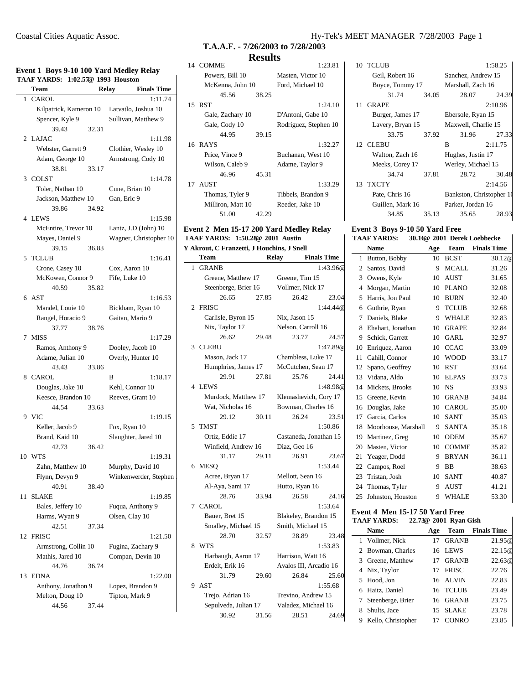#### **Event 1 Boys 9-10 100 Yard Medley Relay TAAF YARDS: 1:02.57@ 1993 Houston**

|    | $\overline{C}$ and $\overline{D}$ $\overline{C}$ $\overline{D}$<br>TAAF YARDS: 1:02.57@ 1993 Houston |       | $\sim$ 100 Tary means, nearly              |
|----|------------------------------------------------------------------------------------------------------|-------|--------------------------------------------|
|    | Team                                                                                                 |       | <b>Finals Time</b><br>Relay                |
| 1  | CAROL                                                                                                |       | 1:11.74                                    |
|    |                                                                                                      |       | Kilpatrick, Kameron 10 Latvatlo, Joshua 10 |
|    | Spencer, Kyle 9                                                                                      |       | Sullivan, Matthew 9                        |
|    | 39.43                                                                                                | 32.31 |                                            |
| 2  | LAJAC                                                                                                |       | 1:11.98                                    |
|    | Webster, Garrett 9                                                                                   |       | Clothier, Wesley 10                        |
|    | Adam, George 10                                                                                      |       | Armstrong, Cody 10                         |
|    | 38.81                                                                                                | 33.17 |                                            |
| 3  | COLST                                                                                                |       | 1:14.78                                    |
|    | Toler, Nathan 10                                                                                     |       | Cune, Brian 10                             |
|    | Jackson, Matthew 10                                                                                  |       | Gan, Eric 9                                |
|    | 39.86                                                                                                | 34.92 |                                            |
|    | 4 LEWS                                                                                               |       | 1:15.98                                    |
|    |                                                                                                      |       | McEntire, Trevor 10 Lantz, J.D (John) 10   |
|    | Mayes, Daniel 9                                                                                      |       | Wagner, Christopher 10                     |
|    | 39.15                                                                                                | 36.83 |                                            |
|    | 5 TCLUB                                                                                              |       | 1:16.41                                    |
|    | Crone, Casey 10                                                                                      |       | Cox, Aaron 10                              |
|    | McKowen, Connor 9                                                                                    |       | Fife, Luke 10                              |
|    | 40.59                                                                                                | 35.82 |                                            |
|    | $6$ AST                                                                                              |       | 1:16.53                                    |
|    | Mandel, Louie 10                                                                                     |       | Bickham, Ryan 10                           |
|    | Rangel, Horacio 9                                                                                    |       | Gaitan, Mario 9                            |
|    | 37.77                                                                                                | 38.76 |                                            |
|    | 7 MISS                                                                                               |       | 1:17.29                                    |
|    | Ramos, Anthony 9                                                                                     |       | Dooley, Jacob 10                           |
|    | Adame, Julian 10                                                                                     |       | Overly, Hunter 10                          |
|    | 43.43                                                                                                | 33.86 |                                            |
|    | 8 CAROL                                                                                              |       | B<br>1:18.17                               |
|    | Douglas, Jake 10                                                                                     |       | Kehl, Connor 10                            |
|    | Keesce, Brandon 10                                                                                   |       | Reeves, Grant 10                           |
|    | 44.54                                                                                                | 33.63 |                                            |
|    | 9 VIC                                                                                                |       | 1:19.15                                    |
|    | Keller, Jacob 9                                                                                      |       | Fox, Ryan 10                               |
|    | Brand, Kaid 10                                                                                       |       | Slaughter, Jared 10                        |
|    | 42.73                                                                                                | 36.42 |                                            |
|    | 10 WTS                                                                                               |       | 1:19.31                                    |
|    | Zahn, Matthew 10                                                                                     |       | Murphy, David 10                           |
|    | Flynn, Devyn 9                                                                                       |       | Winkenwerder, Stephen                      |
|    | 40.91                                                                                                | 38.40 |                                            |
| 11 | <b>SLAKE</b>                                                                                         |       | 1:19.85                                    |
|    | Bales, Jeffery 10                                                                                    |       | Fuqua, Anthony 9                           |
|    | Harms, Wyatt 9                                                                                       |       | Olsen, Clay 10                             |
|    | 42.51                                                                                                | 37.34 |                                            |
| 12 | <b>FRISC</b>                                                                                         |       | 1:21.50                                    |
|    | Armstrong, Collin 10                                                                                 |       | Fugina, Zachary 9                          |
|    | Mathis, Jared 10                                                                                     |       | Compan, Devin 10                           |
|    | 44.76                                                                                                | 36.74 |                                            |
| 13 | <b>EDNA</b>                                                                                          |       | 1:22.00                                    |
|    | Anthony, Jonathon 9                                                                                  |       | Lopez, Brandon 9                           |
|    | Melton, Doug 10                                                                                      |       | Tipton, Mark 9                             |
|    | 44.56                                                                                                | 37.44 |                                            |

# **T.A.A.F. - 7/26/2003 to 7/28/2003 Results**

| 14 | <b>COMME</b>      |       | 1:23.81               |
|----|-------------------|-------|-----------------------|
|    | Powers, Bill 10   |       | Masten, Victor 10     |
|    | McKenna, John 10  |       | Ford, Michael 10      |
|    | 45.56             | 38.25 |                       |
| 15 | <b>RST</b>        |       | 1:24.10               |
|    | Gale, Zachary 10  |       | D'Antoni, Gabe 10     |
|    | Gale, Cody 10     |       | Rodriguez, Stephen 10 |
|    | 44.95             | 39.15 |                       |
|    | 16 RAYS           |       | 1:32.27               |
|    |                   |       |                       |
|    | Price, Vince 9    |       | Buchanan, West 10     |
|    | Wilson, Caleb 9   |       | Adame, Taylor 9       |
|    | 46.96             | 45.31 |                       |
| 17 | <b>AUST</b>       |       | 1:33.29               |
|    | Thomas, Tyler 9   |       | Tibbels, Brandon 9    |
|    | Milliron, Matt 10 |       | Reeder, Jake 10       |

# **Event 2 Men 15-17 200 Yard Medley Relay TAAF YARDS: 1:50.28@ 2001 Austin**

**Y Akrout, C Franzetti, J Houchins, J Snell**

|   | Team                 |       | Relay                | <b>Finals Time</b>     |
|---|----------------------|-------|----------------------|------------------------|
| 1 | <b>GRANB</b>         |       |                      | 1:43.96@               |
|   | Greene, Matthew 17   |       | Greene, Tim 15       |                        |
|   | Steenberge, Brier 16 |       | Vollmer, Nick 17     |                        |
|   | 26.65                | 27.85 | 26.42                | 23.04                  |
| 2 | <b>FRISC</b>         |       |                      | 1:44.44@               |
|   | Carlisle, Byron 15   |       | Nix, Jason 15        |                        |
|   | Nix, Taylor 17       |       | Nelson, Carroll 16   |                        |
|   | 26.62                | 29.48 | 23.77                | 24.57                  |
| 3 | <b>CLEBU</b>         |       |                      | 1:47.89@               |
|   | Mason, Jack 17       |       | Chambless, Luke 17   |                        |
|   | Humphries, James 17  |       | McCutchen, Sean 17   |                        |
|   | 29.91                | 27.81 | 25.76                | 24.41                  |
| 4 | <b>LEWS</b>          |       |                      | 1:48.98@               |
|   | Murdock, Matthew 17  |       |                      | Klemashevich, Cory 17  |
|   | Wat, Nicholas 16     |       | Bowman, Charles 16   |                        |
|   | 29.12                | 30.11 | 26.24                | 23.51                  |
| 5 | TMST                 |       |                      | 1:50.86                |
|   | Ortiz, Eddie 17      |       |                      | Castaneda, Jonathan 15 |
|   | Winfield, Andrew 16  |       | Diaz, Geo 16         |                        |
|   | 31.17                | 29.11 | 26.91                | 23.67                  |
|   | 6 MESO               |       |                      | 1:53.44                |
|   | Acree, Bryan 17      |       | Mellott, Sean 16     |                        |
|   | Al-Aya, Sami 17      |       | Hutto, Ryan 16       |                        |
|   | 28.76                | 33.94 | 26.58                | 24.16                  |
|   | 7 CAROL              |       |                      | 1:53.64                |
|   | Bauer, Bret 15       |       | Blakeley, Brandon 15 |                        |
|   | Smalley, Michael 15  |       | Smith, Michael 15    |                        |
|   | 28.70                | 32.57 | 28.89                | 23.48                  |
| 8 | <b>WTS</b>           |       |                      | 1:53.83                |
|   | Harbaugh, Aaron 17   |       | Harrison, Watt 16    |                        |
|   | Erdelt, Erik 16      |       |                      | Avalos III, Arcadio 16 |
|   | 31.79                | 29.60 | 26.84                | 25.60                  |
|   | 9 AST                |       |                      | 1:55.68                |
|   | Trejo, Adrian 16     |       | Trevino, Andrew 15   |                        |
|   | Sepulveda, Julian 17 |       | Valadez, Michael 16  |                        |
|   | 30.92                | 31.56 | 28.51                | 24.69                  |

| 10 | <b>TCLUB</b>     | 1:58.25 |                          |         |
|----|------------------|---------|--------------------------|---------|
|    | Geil, Robert 16  |         | Sanchez, Andrew 15       |         |
|    | Boyce, Tommy 17  |         | Marshall, Zach 16        |         |
|    | 31.74            | 34.05   | 28.07                    | 24.39   |
| 11 | <b>GRAPE</b>     |         |                          | 2:10.96 |
|    | Burger, James 17 |         | Ebersole, Ryan 15        |         |
|    | Lavery, Bryan 15 |         | Maxwell, Charlie 15      |         |
|    | 33.75            | 37.92   | 31.96                    | 27.33   |
|    | 12 CLEBU         |         | B                        | 2:11.75 |
|    |                  |         |                          |         |
|    | Walton, Zach 16  |         | Hughes, Justin 17        |         |
|    | Meeks, Corey 17  |         | Werley, Michael 15       |         |
|    | 34.74            | 37.81   | 28.72                    | 30.48   |
|    | 13 TXCTY         |         |                          | 2:14.56 |
|    | Pate, Chris 16   |         | Bankston, Christopher 16 |         |
|    | Guillen, Mark 16 |         | Parker, Jordan 16        |         |

#### **Event 3 Boys 9-10 50 Yard Free TAAF YARDS: 30.16@ 2001 Derek Loebbecke**

|    | <b>Name</b>         | Age | Team         | <b>Finals Time</b> |
|----|---------------------|-----|--------------|--------------------|
| 1  | Button, Bobby       | 10  | <b>BCST</b>  | 30.12@             |
| 2  | Santos, David       | 9   | <b>MCALL</b> | 31.26              |
| 3  | Owens, Kyle         | 10  | <b>AUST</b>  | 31.65              |
| 4  | Morgan, Martin      | 10  | <b>PLANO</b> | 32.08              |
| 5  | Harris, Jon Paul    | 10  | <b>BURN</b>  | 32.40              |
| 6  | Guthrie, Ryan       | 9   | <b>TCLUB</b> | 32.68              |
| 7  | Daniels, Blake      | 9   | WHALE        | 32.83              |
| 8  | Ehahart, Jonathan   | 10  | <b>GRAPE</b> | 32.84              |
| 9  | Schick, Garrett     | 10  | <b>GARL</b>  | 32.97              |
| 10 | Enriquez, Aaron     | 10  | <b>CCAC</b>  | 33.09              |
| 11 | Cahill, Connor      | 10  | <b>WOOD</b>  | 33.17              |
| 12 | Spano, Geoffrey     | 10  | <b>RST</b>   | 33.64              |
|    | 13 Vidana, Aldo     | 10  | <b>ELPAS</b> | 33.73              |
| 14 | Mickets, Brooks     | 10  | NS.          | 33.93              |
| 15 | Greene, Kevin       | 10  | <b>GRANB</b> | 34.84              |
| 16 | Douglas, Jake       | 10  | CAROL        | 35.00              |
| 17 | Garcia, Carlos      | 10  | <b>SANT</b>  | 35.03              |
| 18 | Moorhouse, Marshall | 9   | SANTA        | 35.18              |
| 19 | Martinez, Greg      | 10  | <b>ODEM</b>  | 35.67              |
| 20 | Masten, Victor      | 10  | <b>COMME</b> | 35.82              |
| 21 | Yeager, Dodd        | 9   | <b>BRYAN</b> | 36.11              |
| 22 | Campos, Roel        | 9   | <b>BB</b>    | 38.63              |
| 23 | Tristan, Josh       | 10  | SANT         | 40.87              |
| 24 | Thomas, Tyler       | 9   | <b>AUST</b>  | 41.21              |
| 25 | Johnston, Houston   | 9   | <b>WHALE</b> | 53.30              |

#### **Event 4 Men 15-17 50 Yard Free TAAF YARDS: 22.73@ 2001 Ryan Gish**

| <b>Name</b>        | Age                                                                                                                             |              | <b>Team</b> Finals Time         |
|--------------------|---------------------------------------------------------------------------------------------------------------------------------|--------------|---------------------------------|
|                    |                                                                                                                                 | <b>GRANB</b> | 21.95@                          |
|                    |                                                                                                                                 |              | 22.15@                          |
|                    | 17                                                                                                                              | <b>GRANB</b> | 22.63@                          |
|                    | 17                                                                                                                              | <b>FRISC</b> | 22.76                           |
|                    |                                                                                                                                 |              | 22.83                           |
|                    |                                                                                                                                 |              | 23.49                           |
|                    | 16                                                                                                                              | <b>GRANB</b> | 23.75                           |
| Shults, Jace       | 15                                                                                                                              | <b>SLAKE</b> | 23.78                           |
| Kello, Christopher |                                                                                                                                 | CONRO        | 23.85                           |
|                    | 1 Vollmer, Nick<br>2 Bowman, Charles<br>Greene, Matthew<br>4 Nix, Taylor<br>5 Hood, Jon<br>Haitz, Daniel<br>7 Steenberge, Brier |              | 16 LEWS<br>16 ALVIN<br>16 TCLUB |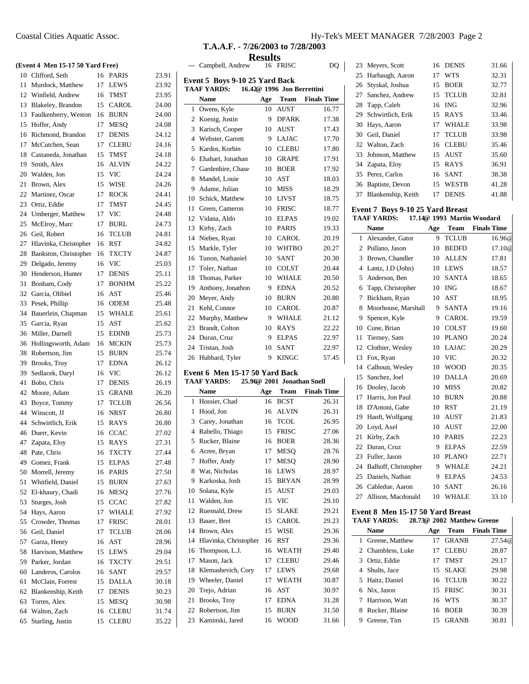| (Event 4 Men 15-17 50 Yard Free) |                      |    |              |       |  |  |
|----------------------------------|----------------------|----|--------------|-------|--|--|
|                                  | 10 Clifford, Seth    |    | 16 PARIS     | 23.91 |  |  |
| 11                               | Murdock, Matthew     | 17 | <b>LEWS</b>  | 23.92 |  |  |
|                                  | 12 Winfield, Andrew  | 16 | <b>TMST</b>  | 23.95 |  |  |
| 13                               | Blakeley, Brandon    | 15 | <b>CAROL</b> | 24.00 |  |  |
| 13                               | Faulkenberry, Weston | 16 | <b>BURN</b>  | 24.00 |  |  |
| 15                               | Hoffer, Andy         | 17 | <b>MESO</b>  | 24.08 |  |  |
| 16                               | Richmond, Brandon    | 17 | <b>DENIS</b> | 24.12 |  |  |
| 17                               | McCutchen, Sean      | 17 | CLEBU        | 24.16 |  |  |
| 18                               | Castaneda, Jonathan  | 15 | <b>TMST</b>  | 24.18 |  |  |
| 19                               | Smith, Alex          | 16 | <b>ALVIN</b> | 24.22 |  |  |
| 20                               | Walden, Jon          | 15 | <b>VIC</b>   | 24.24 |  |  |
| 21                               | Brown, Alex          | 15 | <b>WISE</b>  | 24.26 |  |  |
|                                  | 22 Martinez, Oscar   | 17 | ROCK         | 24.41 |  |  |
| 23                               | Ortiz, Eddie         | 17 | <b>TMST</b>  | 24.45 |  |  |
| 24                               | Umberger, Matthew    | 17 | <b>VIC</b>   | 24.48 |  |  |
| 25                               | McElroy, Marc        | 17 | <b>BURL</b>  | 24.73 |  |  |
| 26                               | Geil, Robert         | 16 | <b>TCLUB</b> | 24.81 |  |  |
|                                  |                      |    |              |       |  |  |

| 25 | McElroy, Marc         | 17 | <b>BURL</b>  | 24.73 |
|----|-----------------------|----|--------------|-------|
| 26 | Geil, Robert          | 16 | <b>TCLUB</b> | 24.81 |
| 27 | Hlavinka, Christopher | 16 | <b>RST</b>   | 24.82 |
| 28 | Bankston, Christopher | 16 | <b>TXCTY</b> | 24.87 |
| 29 | Delgado, Jeremy       | 16 | <b>VIC</b>   | 25.03 |
| 30 | Henderson, Hunter     | 17 | <b>DENIS</b> | 25.11 |
| 31 | Bonham, Cody          | 17 | <b>BONHM</b> | 25.22 |
| 32 | Garcia, Olibiel       | 16 | AST          | 25.46 |
| 33 | Pesek, Phillip        | 16 | <b>ODEM</b>  | 25.48 |
| 34 | Bauerlein, Chapman    | 15 | <b>WHALE</b> | 25.61 |
| 35 | Garcia, Ryan          | 15 | AST          | 25.62 |
| 36 | Miller, Darnell       | 15 | <b>EDINB</b> | 25.73 |
| 36 | Hollingsworth, Adam   | 16 | MCKIN        | 25.73 |
| 38 | Robertson, Jim        | 15 | <b>BURN</b>  | 25.74 |
| 39 | Brooks, Troy          | 17 | <b>EDNA</b>  | 26.12 |
| 39 | Sedlacek, Daryl       | 16 | <b>VIC</b>   | 26.12 |
| 41 | Bobo, Chris           | 17 | <b>DENIS</b> | 26.19 |
| 42 | Moore, Adam           | 15 | GRANB        | 26.20 |
| 43 | Boyce, Tommy          | 17 | <b>TCLUB</b> | 26.56 |
| 44 | Winscott, JJ          | 16 | <b>NRST</b>  | 26.80 |
| 44 | Schwirtlich, Erik     | 15 | <b>RAYS</b>  | 26.80 |
| 46 | Duerr, Kevin          | 16 | <b>CCAC</b>  | 27.02 |
| 47 | Zapata, Eloy          | 15 | RAYS         | 27.31 |
| 48 | Pate, Chris           | 16 | <b>TXCTY</b> | 27.44 |
| 49 | Gomez, Frank          | 15 | <b>ELPAS</b> | 27.48 |
| 50 | Morrell, Jeremy       | 16 | PARIS        | 27.50 |
| 51 | Whitfield, Daniel     | 15 | <b>BURN</b>  | 27.63 |
| 52 | El-khaury, Chadi      | 16 | MESQ         | 27.76 |
| 53 | Sturges, Josh         | 15 | <b>CCAC</b>  | 27.82 |
| 54 | Hays, Aaron           | 17 | WHALE        | 27.92 |
| 55 | Crowder, Thomas       | 17 | <b>FRISC</b> | 28.01 |
| 56 | Geil, Daniel          | 17 | <b>TCLUB</b> | 28.06 |
| 57 | Garza, Henry          | 16 | <b>AST</b>   | 28.96 |
| 58 | Harvison, Matthew     | 15 | <b>LEWS</b>  | 29.04 |
| 59 | Parker, Jordan        | 16 | <b>TXCTY</b> | 29.51 |
| 60 | Landeros, Carolos     | 16 | <b>SANT</b>  | 29.57 |
| 61 | McClain, Forrest      | 15 | <b>DALLA</b> | 30.18 |
| 62 | Blankenship, Keith    | 17 | <b>DENIS</b> | 30.23 |
| 63 | Torres, Alex          | 15 | <b>MESQ</b>  | 30.98 |
| 64 | Walton, Zach          | 16 | <b>CLEBU</b> | 31.74 |

Starling, Justin 15 CLEBU 35.22

|  | T.A.A.F. - 7/26/2003 to 7/28/2003 |
|--|-----------------------------------|

**Results**

|                | Campbell, Andrew                                                                   | 16  | FRISC                      | DQ                 |  |  |
|----------------|------------------------------------------------------------------------------------|-----|----------------------------|--------------------|--|--|
|                | Event 5 Boys 9-10 25 Yard Back<br>16.42@ 1996 Jon Berrettini<br><b>TAAF YARDS:</b> |     |                            |                    |  |  |
|                | Name                                                                               | Age | Team                       | <b>Finals Time</b> |  |  |
| 1              | Owens, Kyle                                                                        | 10  | <b>AUST</b>                | 16.77              |  |  |
| 2              | Koenig, Justin                                                                     | 9   | <b>DPARK</b>               | 17.38              |  |  |
| 3              | Karisch, Cooper                                                                    | 10  | AUST                       | 17.43              |  |  |
| 4              | Webster, Garrett                                                                   | 9   | <b>LAJAC</b>               | 17.70              |  |  |
| 5              | Kardos, Korbin                                                                     | 10  | CLEBU                      | 17.80              |  |  |
| 6              | Ehahart, Jonathan                                                                  | 10  | <b>GRAPE</b>               | 17.91              |  |  |
| 7              | Gardenhire, Chase                                                                  | 10  | <b>BOER</b>                | 17.92              |  |  |
| 8              | Mandel, Louie                                                                      | 10  | AST                        | 18.03              |  |  |
| 9              | Adame, Julian                                                                      | 10  | MISS                       | 18.29              |  |  |
| 10             | Schick, Matthew                                                                    | 10  | LIVST                      | 18.75              |  |  |
| 11             | Green, Cameron                                                                     | 10  | <b>FRISC</b>               | 18.77              |  |  |
| 12             | Vidana, Aldo                                                                       | 10  | <b>ELPAS</b>               | 19.02              |  |  |
| 13             | Kirby, Zach                                                                        | 10  | PARIS                      | 19.33              |  |  |
| 14             | Niebes, Ryan                                                                       | 10  | CAROL                      | 20.19              |  |  |
| 15             | Markle, Tyler                                                                      | 10  | <b>WHTBO</b>               | 20.27              |  |  |
| 16             | Tunon, Nathaniel                                                                   | 10  | <b>SANT</b>                | 20.30              |  |  |
| 17             | Toler, Nathan                                                                      | 10  | COLST                      | 20.44              |  |  |
| 18             | Thomas, Parker                                                                     | 10  | <b>WHALE</b>               | 20.50              |  |  |
| 19             | Anthony, Jonathon                                                                  | 9   | <b>EDNA</b>                | 20.52              |  |  |
| 20             | Meyer, Andy                                                                        | 10  | <b>BURN</b>                | 20.80              |  |  |
| 21             | Kehl, Connor                                                                       | 10  | CAROL                      | 20.87              |  |  |
| 22             | Murphy, Matthew                                                                    | 9   | <b>WHALE</b>               | 21.12              |  |  |
| 23             | Brandt, Colton                                                                     | 10  | RAYS                       | 22.22              |  |  |
| 24             | Duran, Cruz                                                                        | 9   | <b>ELPAS</b>               | 22.97              |  |  |
| 24             | Tristan, Josh                                                                      | 10  | <b>SANT</b>                | 22.97              |  |  |
| 26             | Hubbard, Tyler                                                                     | 9   | <b>KINGC</b>               | 57.45              |  |  |
|                | Event 6 Men 15-17 50 Yard Back<br><b>TAAF YARDS:</b>                               |     | 25.96@ 2001 Jonathan Snell |                    |  |  |
|                | Name                                                                               | Age | Team                       | <b>Finals Time</b> |  |  |
| 1              | Hossier, Chad                                                                      | 16  | <b>BCST</b>                | 26.31              |  |  |
| 1              | Hood, Jon                                                                          | 16  | <b>ALVIN</b>               | 26.31              |  |  |
| 3              | Carey, Jonathan                                                                    | 16  | <b>TCOL</b>                | 26.95              |  |  |
| $\overline{4}$ | Rabello, Thiago                                                                    | 15  | <b>FRISC</b>               | 27.06              |  |  |
| 5              | Rucker, Blaine                                                                     | 16  | <b>BOER</b>                | 28.36              |  |  |
| 6              | Acree, Bryan                                                                       | 17  | <b>MESQ</b>                | 28.76              |  |  |
| 7              | Hoffer, Andy                                                                       | 17  | <b>MESO</b>                | 28.90              |  |  |
| 8              | Wat, Nicholas                                                                      | 16  | LEWS                       | 28.97              |  |  |
| 9              | Karkoska, Josh                                                                     | 15  | BRYAN                      | 28.99              |  |  |
| 10             | Solana, Kyle                                                                       | 15  | AUST                       | 29.03              |  |  |
| 11             | Walden, Jon                                                                        | 15  | VIC                        | 29.10              |  |  |
| 12             | Ruesnald, Drew                                                                     | 15  | SLAKE                      | 29.21              |  |  |
| 13             | Bauer, Bret                                                                        | 15  | CAROL                      | 29.23              |  |  |
| 14             | Brown, Alex                                                                        | 15  | WISE                       | 29.36              |  |  |
| 14             | Hlavinka, Christopher                                                              | 16  | RST                        | 29.36              |  |  |
| 16             | Thompson, L.J.                                                                     | 16  | WEATH                      | 29.40              |  |  |
| 17             | Mason, Jack                                                                        | 17  | <b>CLEBU</b>               | 29.46              |  |  |
| 18             | Klemashevich, Cory                                                                 | 17  | LEWS                       | 29.68              |  |  |
| 19             | Wheeler, Daniel                                                                    | 17  | WEATH                      | 30.87              |  |  |
| 20             | Trejo, Adrian                                                                      | 16  | AST                        | 30.97              |  |  |
| 21             | Brooks, Troy                                                                       | 17  | <b>EDNA</b>                | 31.28              |  |  |
| 22             | Robertson, Jim                                                                     | 15  | <b>BURN</b>                | 31.50              |  |  |
| 23             | Kaminski, Jared                                                                    | 16  | <b>WOOD</b>                | 31.66              |  |  |

| 23 | Meyers, Scott       | 16 | <b>DENIS</b> | 31.66 |
|----|---------------------|----|--------------|-------|
|    | 25 Harbaugh, Aaron  | 17 | <b>WTS</b>   | 32.31 |
|    | 26 Styskal, Joshua  | 15 | <b>BOER</b>  | 32.77 |
| 27 | Sanchez, Andrew     | 15 | <b>TCLUB</b> | 32.81 |
|    | 28 Tapp, Caleb      | 16 | <b>ING</b>   | 32.96 |
| 29 | Schwirtlich, Erik   | 15 | RAYS         | 33.46 |
| 30 | Hays, Aaron         | 17 | <b>WHALE</b> | 33.98 |
|    | 30 Geil, Daniel     | 17 | <b>TCLUB</b> | 33.98 |
|    | 32 Walton, Zach     | 16 | <b>CLEBU</b> | 35.46 |
|    | 33 Johnson, Matthew | 15 | <b>AUST</b>  | 35.60 |
|    | 34 Zapata, Eloy     | 15 | <b>RAYS</b>  | 36.91 |
|    | 35 Perez, Carlos    | 16 | <b>SANT</b>  | 38.38 |
|    | 36 Baptiste, Devon  | 15 | <b>WESTB</b> | 41.28 |
| 37 | Blankenship, Keith  | 17 | DENIS        | 41.88 |

# **Event 7 Boys 9-10 25 Yard Breast**

| <b>TAAF YARDS:</b> |  |  | 17.14@ 1993 Martin Woodard |
|--------------------|--|--|----------------------------|
|                    |  |  |                            |

|    | <b>Name</b>          | Age | Team         | <b>Finals Time</b> |
|----|----------------------|-----|--------------|--------------------|
| 1  | Alexander, Gator     | 9   | <b>TCLUB</b> | 16.96@             |
| 2  | Pullano, Jason       | 10  | <b>BEDFD</b> | 17.10@             |
| 3  | Brown, Chandler      | 10  | <b>ALLEN</b> | 17.81              |
| 4  | Lantz, J.D (John)    | 10  | <b>LEWS</b>  | 18.57              |
| 5  | Anderson, Ben        | 10  | <b>SANTA</b> | 18.65              |
| 6  | Tapp, Christopher    | 10  | <b>ING</b>   | 18.67              |
| 7  | Bickham, Ryan        | 10  | AST          | 18.95              |
| 8  | Moorhouse, Marshall  | 9   | SANTA        | 19.16              |
| 9  | Spencer, Kyle        | 9   | <b>CAROL</b> | 19.59              |
| 10 | Cune, Brian          | 10  | <b>COLST</b> | 19.60              |
| 11 | Tierney, Sam         | 10  | <b>PLANO</b> | 20.24              |
| 12 | Clothier, Wesley     | 10  | <b>LAJAC</b> | 20.29              |
| 13 | Fox, Ryan            | 10  | <b>VIC</b>   | 20.32              |
| 14 | Calhoun, Wesley      | 10  | <b>WOOD</b>  | 20.35              |
| 15 | Sanchez, Joel        | 10  | <b>DALLA</b> | 20.69              |
| 16 | Dooley, Jacob        | 10  | <b>MISS</b>  | 20.82              |
| 17 | Harris, Jon Paul     | 10  | <b>BURN</b>  | 20.88              |
| 18 | D'Antoni, Gabe       | 10  | RST          | 21.19              |
| 19 | Hanft, Wolfgang      | 10  | AUST         | 21.83              |
| 20 | Loyd, Axel           | 10  | <b>AUST</b>  | 22.00              |
| 21 | Kirby, Zach          | 10  | <b>PARIS</b> | 22.23              |
| 22 | Duran, Cruz          | 9   | <b>ELPAS</b> | 22.59              |
| 23 | Fuller, Jason        | 10  | <b>PLANO</b> | 22.71              |
| 24 | Balhoff, Christopher | 9   | WHALE        | 24.21              |
| 25 | Daniels, Nathan      | 9   | <b>ELPAS</b> | 24.53              |
| 26 | Cabledue, Aaron      | 10  | <b>SANT</b>  | 26.16              |
| 27 | Allison, Macdonald   | 10  | <b>WHALE</b> | 33.10              |
|    |                      |     |              |                    |

# **Event 8 Men 15-17 50 Yard Breast**

**TAAF YARDS: 28.73@ 2002 Matthew Greene**

|    | Name              | Age | Team         | <b>Finals Time</b> |
|----|-------------------|-----|--------------|--------------------|
| 1. | Greene, Matthew   |     | <b>GRANB</b> | 27.54@             |
|    | 2 Chambless, Luke |     | <b>CLEBU</b> | 28.87              |
|    | 3 Ortiz, Eddie    | 17  | <b>TMST</b>  | 29.17              |
|    | 4 Shults, Jace    | 15  | <b>SLAKE</b> | 29.98              |
|    | 5 Haitz, Daniel   |     | 16 TCLUB     | 30.22              |
|    | 6 Nix, Jason      | 15  | <b>FRISC</b> | 30.31              |
|    | 7 Harrison, Watt  | 16  | <b>WTS</b>   | 30.37              |
| 8  | Rucker, Blaine    | 16  | <b>BOER</b>  | 30.39              |
|    | Greene, Tim       |     | <b>GRANB</b> | 30.81              |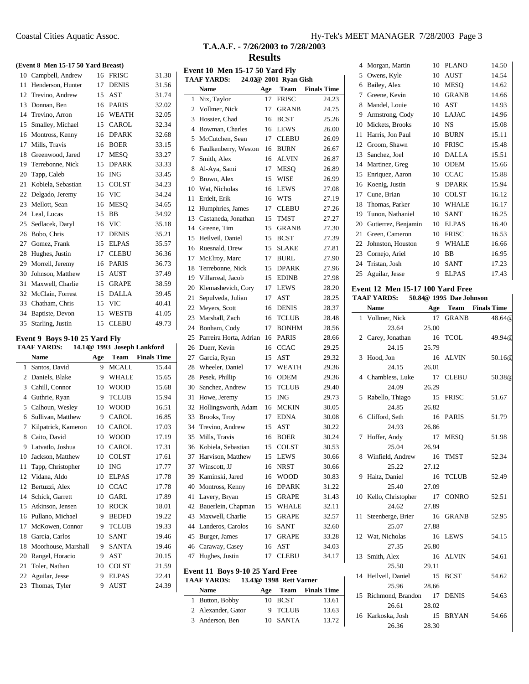# **T.A.A.F. - 7/26/2003 to 7/28/2003 Results**

|    |                               |     | (Event 8 Men 15-17 50 Yard Breast) |                             | E                        |
|----|-------------------------------|-----|------------------------------------|-----------------------------|--------------------------|
| 10 | Campbell, Andrew              | 16  | <b>FRISC</b>                       | 31.30                       | T                        |
| 11 | Henderson, Hunter             | 17  | <b>DENIS</b>                       | 31.56                       |                          |
| 12 | Trevino, Andrew               | 15  | <b>AST</b>                         | 31.74                       |                          |
| 13 | Donnan, Ben                   | 16  | PARIS                              | 32.02                       |                          |
| 14 | Trevino, Arron                | 16  | WEATH                              | 32.05                       |                          |
| 15 | Smalley, Michael              | 15  | CAROL                              | 32.34                       |                          |
| 16 | Montross, Kenny               | 16  | <b>DPARK</b>                       | 32.68                       |                          |
| 17 | Mills, Travis                 | 16  | <b>BOER</b>                        | 33.15                       |                          |
| 18 | Greenwood, Jared              | 17  | <b>MESQ</b>                        | 33.27                       |                          |
| 19 | Terrebonne, Nick              | 15  | <b>DPARK</b>                       | 33.33                       |                          |
| 20 | Tapp, Caleb                   | 16  | <b>ING</b>                         | 33.45                       |                          |
| 21 | Kobiela, Sebastian            | 15  | COLST                              | 34.23                       |                          |
| 22 | Delgado, Jeremy               | 16  | <b>VIC</b>                         | 34.24                       |                          |
| 23 | Mellott, Sean                 | 16  | MESQ                               | 34.65                       |                          |
| 24 | Leal, Lucas                   | 15  | BB                                 | 34.92                       |                          |
| 25 | Sedlacek, Daryl               | 16  | VIC                                | 35.18                       |                          |
| 26 | Bobo, Chris                   | 17  | <b>DENIS</b>                       | 35.21                       |                          |
| 27 | Gomez, Frank                  | 15  | <b>ELPAS</b>                       | 35.57                       |                          |
| 28 | Hughes, Justin                | 17  | <b>CLEBU</b>                       | 36.36                       |                          |
| 29 | Morrell, Jeremy               | 16  | PARIS                              | 36.73                       |                          |
| 30 | Johnson, Matthew              | 15  | AUST                               | 37.49                       |                          |
| 31 | Maxwell, Charlie              | 15  | <b>GRAPE</b>                       | 38.59                       |                          |
| 32 | McClain, Forrest              | 15  | <b>DALLA</b>                       | 39.45                       | $\tilde{ }$              |
| 33 | Chatham, Chris                | 15  | <b>VIC</b>                         | 40.41                       | 2                        |
| 34 | Baptiste, Devon               | 15  | WESTB                              | 41.05                       | 2                        |
| 35 | Starling, Justin              | 15  | CLEBU                              | 49.73                       | $\tilde{z}$              |
|    |                               |     |                                    |                             | $\overline{\phantom{a}}$ |
|    | Event 9 Boys 9-10 25 Yard Fly |     |                                    |                             | $\tilde{ }$              |
|    | <b>TAAF YARDS:</b>            |     |                                    | 14.14@ 1993 Joseph Lankford | $\tilde{ }$              |
|    | <b>Name</b>                   |     |                                    |                             |                          |
|    |                               | Age |                                    | <b>Team</b> Finals Time     | 2                        |
| 1  | Santos, David                 | 9   | <b>MCALL</b>                       | 15.44                       | 2                        |
| 2  | Daniels, Blake                | 9   | WHALE                              | 15.65                       | 2                        |
| 3  | Cahill, Connor                | 10  | <b>WOOD</b>                        | 15.68                       | Î                        |
| 4  | Guthrie, Ryan                 | 9   | <b>TCLUB</b>                       | 15.94                       | Î                        |
| 5  | Calhoun, Wesley               | 10  | <b>WOOD</b>                        | 16.51                       | Î                        |
| 6  | Sullivan, Matthew             | 9   | CAROL                              | 16.85                       | Î                        |
| 7  | Kilpatrick, Kameron           | 10  | CAROL                              | 17.03                       | $\ddot{\cdot}$           |
| 8  | Caito, David                  | 10  | <b>WOOD</b>                        | 17.19                       | î                        |
| 9  | Latvatlo, Joshua              | 10  | CAROL                              | 17.31                       | í                        |
| 10 | Jackson, Matthew              | 10  | <b>COLST</b>                       | 17.61                       | Ê                        |
| 11 | Tapp, Christopher             | 10  | ING                                | 17.77                       | Î                        |
| 12 | Vidana, Aldo                  | 10  | <b>ELPAS</b>                       | 17.78                       | Î                        |
| 12 | Bertuzzi, Alex                | 10  | <b>CCAC</b>                        | 17.78                       | $\overline{\phantom{a}}$ |
| 14 | Schick, Garrett               | 10  | GARL                               | 17.89                       | $\overline{\phantom{a}}$ |
| 15 | Atkinson, Jensen              | 10  | <b>ROCK</b>                        | 18.01                       | $\overline{\phantom{a}}$ |
| 16 | Pullano, Michael              | 9   | <b>BEDFD</b>                       | 19.22                       | $\overline{\phantom{a}}$ |
| 17 | McKowen, Connor               | 9   | <b>TCLUB</b>                       | 19.33                       | $\overline{\phantom{a}}$ |
| 18 | Garcia, Carlos                | 10  | SANT                               | 19.46                       | $\overline{\phantom{a}}$ |
| 18 | Moorhouse, Marshall           | 9   | SANTA                              | 19.46                       | $\overline{\phantom{a}}$ |
| 20 | Rangel, Horacio               | 9   | AST                                | 20.15                       | $\angle$                 |
| 21 | Toler, Nathan                 | 10  | COLST                              | 21.59                       |                          |
| 22 | Aguilar, Jesse                | 9   | ELPAS                              | 22.41                       | E                        |
| 23 | Thomas, Tyler                 | 9   | AUST                               | 24.39                       | T.                       |

| <b>Event 10 Men 15-17 50 Yard Fly</b><br>24.02@ 2001 Ryan Gish<br><b>TAAF YARDS:</b> |                                 |     |                         |                    |
|--------------------------------------------------------------------------------------|---------------------------------|-----|-------------------------|--------------------|
|                                                                                      | <b>Name</b>                     | Age | <b>Team</b>             | <b>Finals Time</b> |
| 1                                                                                    | Nix, Taylor                     | 17  | FRISC                   | 24.23              |
| 2                                                                                    | Vollmer, Nick                   | 17  | <b>GRANB</b>            | 24.75              |
| 3                                                                                    | Hossier, Chad                   | 16  | <b>BCST</b>             | 25.26              |
| 4                                                                                    | Bowman, Charles                 | 16  | <b>LEWS</b>             | 26.00              |
| 5                                                                                    | McCutchen, Sean                 | 17  | <b>CLEBU</b>            | 26.09              |
| 6                                                                                    | Faulkenberry, Weston            | 16  | <b>BURN</b>             | 26.67              |
| 7                                                                                    | Smith, Alex                     | 16  | <b>ALVIN</b>            | 26.87              |
| 8                                                                                    | Al-Aya, Sami                    | 17  | <b>MESO</b>             | 26.89              |
| 9                                                                                    | Brown, Alex                     | 15  | WISE                    | 26.99              |
| 10                                                                                   | Wat, Nicholas                   | 16  | <b>LEWS</b>             | 27.08              |
| 11                                                                                   | Erdelt, Erik                    | 16  | WTS                     | 27.19              |
| 12                                                                                   | Humphries, James                | 17  | <b>CLEBU</b>            | 27.26              |
| 13                                                                                   | Castaneda, Jonathan             | 15  | TMST                    | 27.27              |
| 14                                                                                   | Greene, Tim                     | 15  | <b>GRANB</b>            | 27.30              |
| 15                                                                                   | Heilveil, Daniel                | 15  | <b>BCST</b>             | 27.39              |
| 16                                                                                   | Ruesnald, Drew                  | 15  | SLAKE                   | 27.81              |
| 17                                                                                   | McElroy, Marc                   | 17  | <b>BURL</b>             | 27.90              |
| 18                                                                                   | Terrebonne, Nick                | 15  | <b>DPARK</b>            | 27.96              |
| 19                                                                                   | Villarreal, Jacob               | 15  | <b>EDINB</b>            | 27.98              |
| 20                                                                                   | Klemashevich, Cory              | 17  | <b>LEWS</b>             | 28.20              |
| 21                                                                                   | Sepulveda, Julian               | 17  | AST                     | 28.25              |
| 22                                                                                   |                                 |     | <b>DENIS</b>            |                    |
|                                                                                      | Meyers, Scott                   | 16  |                         | 28.37              |
| 23                                                                                   | Marshall, Zach                  | 16  | <b>TCLUB</b>            | 28.48              |
| 24                                                                                   | Bonham, Cody                    | 17  | <b>BONHM</b>            | 28.56              |
| 25                                                                                   | Parreira Horta, Adrian          | 16  | PARIS                   | 28.66              |
| 26                                                                                   | Duerr, Kevin                    | 16  | <b>CCAC</b>             | 29.25              |
| 27                                                                                   | Garcia, Ryan                    | 15  | AST                     | 29.32              |
| 28                                                                                   | Wheeler, Daniel                 | 17  | WEATH                   | 29.36              |
| 28                                                                                   | Pesek, Phillip                  | 16  | ODEM                    | 29.36              |
| 30                                                                                   | Sanchez, Andrew                 | 15  | <b>TCLUB</b>            | 29.40              |
| 31                                                                                   | Howe, Jeremy                    | 15  | <b>ING</b>              | 29.73              |
| 32                                                                                   | Hollingsworth, Adam             | 16  | <b>MCKIN</b>            | 30.05              |
| 33                                                                                   | Brooks, Troy                    | 17  | <b>EDNA</b>             | 30.08              |
| 34                                                                                   | Trevino, Andrew                 | 15  | AST                     | 30.22              |
| 35                                                                                   | Mills, Travis                   | 16  | <b>BOER</b>             | 30.24              |
| 36                                                                                   | Kobiela, Sebastian              | 15  | COLST                   | 30.53              |
| 37                                                                                   | Harvison, Matthew               | 15  | LEWS                    | 30.66              |
| 37                                                                                   | Winscott, JJ                    | 16  | NRST                    | 30.66              |
| 39                                                                                   | Kaminski, Jared                 | 16  | <b>WOOD</b>             | 30.83              |
| 40                                                                                   | Montross, Kenny                 | 16  | <b>DPARK</b>            | 31.22              |
| 41                                                                                   | Lavery, Bryan                   | 15  | <b>GRAPE</b>            | 31.43              |
| 42                                                                                   | Bauerlein, Chapman              | 15  | WHALE                   | 32.11              |
| 43                                                                                   | Maxwell, Charlie                | 15  | <b>GRAPE</b>            | 32.57              |
| 44                                                                                   | Landeros, Carolos               | 16  | SANT                    | 32.60              |
| 45                                                                                   | Burger, James                   | 17  | <b>GRAPE</b>            | 33.28              |
| 46                                                                                   | Caraway, Casey                  | 16  | AST                     | 34.03              |
| 47                                                                                   | Hughes, Justin                  | 17  | <b>CLEBU</b>            | 34.17              |
|                                                                                      | Event 11 Boys 9-10 25 Yard Free |     |                         |                    |
|                                                                                      | <b>TAAF YARDS:</b>              |     | 13.43@ 1998 Rett Varner |                    |
|                                                                                      | <b>Name</b>                     | Age | Team                    | <b>Finals Time</b> |
| 1                                                                                    | Button, Bobby                   | 10  | <b>BCST</b>             | 13.61              |
|                                                                                      | 2 Alexander, Gator              | 9   | TCLUB                   | 13.63              |
| 3                                                                                    | Anderson, Ben                   | 10  | SANTA                   | 13.72              |

| 4  | Morgan, Martin      | 10 | <b>PLANO</b> | 14.50 |
|----|---------------------|----|--------------|-------|
| 5  | Owens, Kyle         | 10 | <b>AUST</b>  | 14.54 |
| 6  | Bailey, Alex        | 10 | <b>MESQ</b>  | 14.62 |
| 7  | Greene, Kevin       | 10 | <b>GRANB</b> | 14.66 |
| 8  | Mandel, Louie       | 10 | <b>AST</b>   | 14.93 |
| 9  | Armstrong, Cody     | 10 | LAJAC        | 14.96 |
| 10 | Mickets, Brooks     | 10 | NS           | 15.08 |
| 11 | Harris, Jon Paul    | 10 | <b>BURN</b>  | 15.11 |
| 12 | Groom, Shawn        | 10 | <b>FRISC</b> | 15.48 |
| 13 | Sanchez, Joel       | 10 | DALLA        | 15.51 |
| 14 | Martinez, Greg      | 10 | ODEM         | 15.66 |
| 15 | Enriquez, Aaron     | 10 | <b>CCAC</b>  | 15.88 |
| 16 | Koenig, Justin      | 9  | <b>DPARK</b> | 15.94 |
| 17 | Cune, Brian         | 10 | <b>COLST</b> | 16.12 |
| 18 | Thomas, Parker      | 10 | WHALE        | 16.17 |
| 19 | Tunon, Nathaniel    | 10 | <b>SANT</b>  | 16.25 |
| 20 | Gutierrez, Benjamin | 10 | <b>ELPAS</b> | 16.40 |
| 21 | Green, Cameron      | 10 | <b>FRISC</b> | 16.53 |
| 22 | Johnston, Houston   | 9  | WHALE        | 16.66 |
| 23 | Cornejo, Ariel      | 10 | BB           | 16.95 |
| 24 | Tristan, Josh       | 10 | <b>SANT</b>  | 17.23 |
| 25 | Aguilar, Jesse      | 9  | <b>ELPAS</b> | 17.43 |

#### **Event 12 Men 15-17 100 Yard Free TAAF YARDS: 50.84@ 1995 Dae Johnson**

|    | <b>Name</b>          | Age   | <b>Team</b>  | <b>Finals Time</b> |
|----|----------------------|-------|--------------|--------------------|
|    | 1 Vollmer, Nick      | 17    | <b>GRANB</b> | 48.64@             |
|    | 23.64                | 25.00 |              |                    |
| 2  | Carey, Jonathan      | 16    | <b>TCOL</b>  | 49.94@             |
|    | 24.15                | 25.79 |              |                    |
| 3  | Hood, Jon            | 16    | ALVIN        | 50.16 <sup>@</sup> |
|    | 24.15                | 26.01 |              |                    |
|    | 4 Chambless, Luke    | 17    | <b>CLEBU</b> | 50.38@             |
|    | 24.09                | 26.29 |              |                    |
| 5  | Rabello, Thiago      | 15    | <b>FRISC</b> | 51.67              |
|    | 24.85                | 26.82 |              |                    |
| 6  | Clifford, Seth       | 16    | <b>PARIS</b> | 51.79              |
|    | 24.93                | 26.86 |              |                    |
| 7  | Hoffer, Andy         | 17    | <b>MESQ</b>  | 51.98              |
|    | 25.04                | 26.94 |              |                    |
| 8  | Winfield, Andrew     | 16    | <b>TMST</b>  | 52.34              |
|    | 25.22                | 27.12 |              |                    |
| 9  | Haitz, Daniel        | 16    | <b>TCLUB</b> | 52.49              |
|    | 25.40                | 27.09 |              |                    |
| 10 | Kello, Christopher   | 17    | <b>CONRO</b> | 52.51              |
|    | 24.62                | 27.89 |              |                    |
| 11 | Steenberge, Brier    | 16    | <b>GRANB</b> | 52.95              |
|    | 25.07                | 27.88 |              |                    |
| 12 | Wat, Nicholas        | 16    | <b>LEWS</b>  | 54.15              |
|    | 27.35                | 26.80 |              |                    |
| 13 | Smith, Alex          | 16    | <b>ALVIN</b> | 54.61              |
|    | 25.50                | 29.11 |              |                    |
| 14 | Heilveil, Daniel     | 15    | <b>BCST</b>  | 54.62              |
|    | 25.96                | 28.66 |              |                    |
|    | 15 Richmond, Brandon | 17    | <b>DENIS</b> | 54.63              |
|    | 26.61                | 28.02 |              |                    |
|    | 16 Karkoska, Josh    | 15    | <b>BRYAN</b> | 54.66              |
|    | 26.36                | 28.30 |              |                    |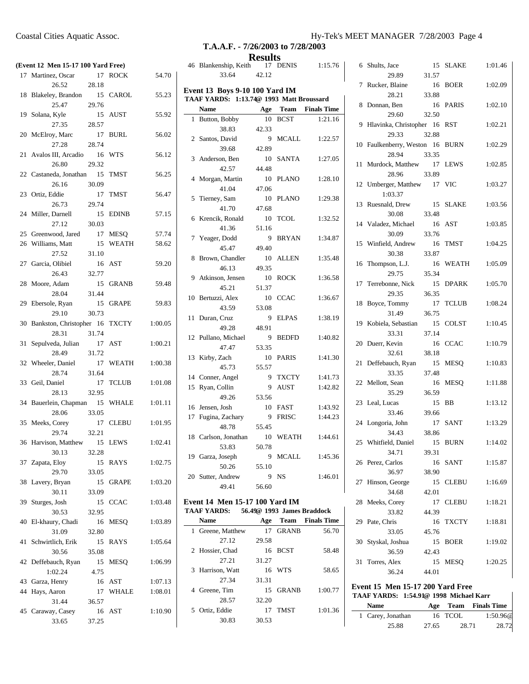|    | Coastal Cities Aquatic Assoc.      |       |             |       | T.A                         |
|----|------------------------------------|-------|-------------|-------|-----------------------------|
|    | (Event 12 Men 15-17 100 Yard Free) |       |             |       | 46 Blanke                   |
|    | 17 Martinez, Oscar                 | 17    | <b>ROCK</b> | 54.70 |                             |
|    | 26.52                              | 28.18 |             |       |                             |
|    | 18 Blakeley, Brandon               |       | 15 CAROL    | 55.23 | Event 13<br><b>TAAF YAI</b> |
|    | 25.47                              | 29.76 |             |       | <b>Name</b>                 |
| 19 | Solana, Kyle                       |       | 15 AUST     | 55.92 | <b>Button</b>               |
|    | 27.35                              | 28.57 |             |       |                             |
|    |                                    |       |             |       |                             |

|    | 25.47                       | 29.76 |              |         |
|----|-----------------------------|-------|--------------|---------|
|    | 19 Solana, Kyle             | 15    | AUST         | 55.92   |
|    | 27.35                       | 28.57 |              |         |
|    | 20 McElroy, Marc            | 17    | <b>BURL</b>  | 56.02   |
|    | 27.28                       | 28.74 |              |         |
|    | 21 Avalos III, Arcadio      |       | 16 WTS       | 56.12   |
|    | 26.80                       | 29.32 |              |         |
|    | 22 Castaneda, Jonathan 15   |       | <b>TMST</b>  | 56.25   |
|    | 26.16                       | 30.09 |              |         |
|    | 23 Ortiz, Eddie             | 17    | <b>TMST</b>  | 56.47   |
|    | 26.73                       | 29.74 |              |         |
|    | 24 Miller, Darnell          | 15    | <b>EDINB</b> | 57.15   |
|    | 27.12                       | 30.03 |              |         |
|    | 25 Greenwood, Jared         | 17    | <b>MESQ</b>  | 57.74   |
|    | 26 Williams, Matt           | 15    | WEATH        | 58.62   |
|    | 27.52                       | 31.10 |              |         |
|    | 27 Garcia, Olibiel          | 16    | AST          | 59.20   |
|    | 26.43                       | 32.77 |              |         |
|    | 28 Moore, Adam              | 15    | <b>GRANB</b> | 59.48   |
|    | 28.04                       | 31.44 |              |         |
|    | 29 Ebersole, Ryan           | 15    | <b>GRAPE</b> | 59.83   |
|    | 29.10                       | 30.73 |              |         |
|    | 30 Bankston, Christopher 16 |       | <b>TXCTY</b> | 1:00.05 |
|    | 28.31                       | 31.74 |              |         |
| 31 | Sepulveda, Julian           | 17    | AST          | 1:00.21 |
|    | 28.49                       | 31.72 |              |         |
|    | 32 Wheeler, Daniel          | 17    | <b>WEATH</b> | 1:00.38 |
|    | 28.74                       | 31.64 |              |         |
|    | 33 Geil, Daniel             | 17    | <b>TCLUB</b> | 1:01.08 |
|    | 28.13                       | 32.95 |              |         |
|    | 34 Bauerlein, Chapman 15    |       | <b>WHALE</b> | 1:01.11 |
|    | 28.06                       | 33.05 |              |         |
|    | 35 Meeks, Corey             | 17    | <b>CLEBU</b> | 1:01.95 |
|    | 29.74                       | 32.21 |              |         |
|    | 36 Harvison, Matthew        | 15    | <b>LEWS</b>  | 1:02.41 |
|    | 30.13                       | 32.28 |              |         |
| 37 | Zapata, Eloy                | 15    | <b>RAYS</b>  | 1:02.75 |
|    | 29.70                       | 33.05 |              |         |
|    | 38 Lavery, Bryan            |       | 15 GRAPE     | 1:03.20 |
|    | 30.11                       | 33.09 |              |         |
|    | 39 Sturges, Josh            | 15    | <b>CCAC</b>  | 1:03.48 |
|    | 30.53                       | 32.95 |              |         |
| 40 | El-khaury, Chadi            | 16    | <b>MESQ</b>  | 1:03.89 |
|    | 31.09                       | 32.80 |              |         |
|    | 41 Schwirtlich, Erik        | 15    | RAYS         | 1:05.64 |
|    | 30.56                       | 35.08 |              |         |
|    | 42 Deffebauch, Ryan         | 15    | MESQ         | 1:06.99 |
|    | 1:02.24                     | 4.75  |              |         |
|    | 43 Garza, Henry             |       | 16 AST       | 1:07.13 |
| 44 | Hays, Aaron                 | 17    | WHALE        | 1:08.01 |
|    | 31.44                       | 36.57 |              |         |
| 45 | Caraway, Casey              | 16    | AST          | 1:10.90 |
|    | 33.65                       | 37.25 |              |         |
|    |                             |       |              |         |

# Coastal Cities Aquatic Assoc. Hy-Tek's MEET MANAGER 7/28/2003 Page 4

6 Shults, Jace 15 SLAKE 1:01.46

29.89 31.57

# **T.A.A.F. - 7/26/2003 to 7/28/2003**

**Results**

| 46 | Blankenship, Keith                       | 17     | <b>DENIS</b>               | 1:15.76              |
|----|------------------------------------------|--------|----------------------------|----------------------|
|    | 33.64                                    | 42.12  |                            |                      |
|    | <b>Event 13 Boys 9-10 100 Yard IM</b>    |        |                            |                      |
|    | TAAF YARDS: 1:13.74@ 1993 Matt Broussard |        |                            |                      |
|    | <b>Name</b>                              | Age    | <b>Team</b>                | <b>Finals Time</b>   |
| 1  | Button, Bobby                            | 10     | <b>BCST</b>                | 1:21.16              |
|    | 38.83                                    | 42.33  |                            |                      |
|    | 2 Santos, David                          | 9      | <b>MCALL</b>               | 1:22.57              |
|    | 39.68                                    | 42.89  |                            |                      |
| 3  | Anderson, Ben                            | 10     | <b>SANTA</b>               | 1:27.05              |
|    | 42.57                                    | 44.48  |                            |                      |
| 4  | Morgan, Martin                           | 10     | <b>PLANO</b>               | 1:28.10              |
|    | 41.04                                    | 47.06  |                            |                      |
| 5  | Tierney, Sam                             | 10     | <b>PLANO</b>               | 1:29.38              |
|    | 41.70                                    | 47.68  |                            |                      |
| 6  | Krencik, Ronald                          | 10     | TCOL                       | 1:32.52              |
|    | 41.36                                    | 51.16  |                            |                      |
| 7  | Yeager, Dodd                             | 9      | <b>BRYAN</b>               | 1:34.87              |
|    | 45.47                                    | 49.40  |                            |                      |
| 8  | Brown, Chandler                          | 10     | <b>ALLEN</b>               | 1:35.48              |
|    | 46.13                                    | 49.35  |                            |                      |
|    | 9 Atkinson, Jensen                       | 10     | <b>ROCK</b>                | 1:36.58              |
|    | 45.21                                    | 51.37  |                            |                      |
| 10 | Bertuzzi, Alex                           | 10     | <b>CCAC</b>                | 1:36.67              |
|    | 43.59                                    | 53.08  |                            |                      |
| 11 | Duran, Cruz                              | 9      | <b>ELPAS</b>               | 1:38.19              |
|    | 49.28                                    | 48.91  |                            |                      |
| 12 | Pullano, Michael                         | 9      | <b>BEDFD</b>               | 1:40.82              |
|    | 47.47                                    | 53.35  |                            |                      |
| 13 | Kirby, Zach                              | 10     | <b>PARIS</b>               | 1:41.30              |
|    | 45.73                                    | 55.57  |                            |                      |
|    | 14 Conner, Angel                         | 9      | <b>TXCTY</b>               | 1:41.73              |
| 15 | Ryan, Collin                             | 9      | <b>AUST</b>                | 1:42.82              |
|    | 49.26                                    | 53.56  |                            |                      |
|    | 16 Jensen, Josh                          | $10\,$ | FAST                       | 1:43.92              |
| 17 | Fugina, Zachary                          | 9      | <b>FRISC</b>               | 1:44.23              |
|    | 48.78                                    | 55.45  |                            |                      |
| 18 | Carlson, Jonathan                        | 10     | <b>WEATH</b>               | 1:44.61              |
|    | 53.83                                    | 50.78  |                            |                      |
|    | 19 Garza, Joseph                         | 9      | <b>MCALL</b>               | 1:45.36              |
|    | 50.26                                    | 55.10  |                            |                      |
| 20 | Sutter, Andrew                           | 9      | NS                         | 1:46.01              |
|    | 49.41                                    | 56.60  |                            |                      |
|    | <b>Event 14 Men 15-17 100 Yard IM</b>    |        |                            |                      |
|    | <b>TAAF YARDS:</b>                       |        | 56.49@ 1993 James Braddock |                      |
|    | <b>Name</b>                              |        |                            | Age Team Finals Time |
| 1  | Greene, Matthew                          | 17     | <b>GRANB</b>               | 56.70                |
|    | 27.12                                    | 29.58  |                            |                      |
| 2  | Hossier, Chad                            | 16     | <b>BCST</b>                | 58.48                |
|    | 27.21                                    | 31.27  |                            |                      |
| 3  | Harrison, Watt                           | 16     | WTS                        | 58.65                |
|    | 27.34                                    | 31.31  |                            |                      |

4 Greene, Tim 15 GRANB 1:00.77

5 Ortiz, Eddie 17 TMST 1:01.36

28.57 32.20

30.83 30.53

|    | <i><u>_,.o,</u></i>            |       |             |              |         |
|----|--------------------------------|-------|-------------|--------------|---------|
| 7  | Rucker, Blaine                 |       | 16          | <b>BOER</b>  | 1:02.09 |
| 8  | 28.21<br>Donnan, Ben           | 33.88 | 16          | PARIS        | 1:02.10 |
|    | 29.60                          |       | 32.50       |              |         |
|    | 9 Hlavinka, Christopher 16 RST |       |             |              | 1:02.21 |
|    | 29.33                          | 32.88 |             |              |         |
|    | 10 Faulkenberry, Weston 16     |       |             | <b>BURN</b>  | 1:02.29 |
|    | 28.94<br>11 Murdock, Matthew   | 33.35 |             |              | 1:02.85 |
|    | 28.96                          |       | 17<br>33.89 | <b>LEWS</b>  |         |
|    | 12 Umberger, Matthew 17 VIC    |       |             |              | 1:03.27 |
|    | 1:03.37                        |       |             |              |         |
|    | 13 Ruesnald, Drew              |       | 15          | <b>SLAKE</b> | 1:03.56 |
|    | 30.08                          |       | 33.48       |              |         |
|    | 14 Valadez, Michael 16         |       |             | AST          | 1:03.85 |
|    | 30.09<br>15 Winfield, Andrew   | 33.76 | 16          | TMST         | 1:04.25 |
|    | 30.38                          | 33.87 |             |              |         |
|    | 16 Thompson, L.J.              |       | 16          | WEATH        | 1:05.09 |
|    | 29.75                          |       | 35.34       |              |         |
|    | 17 Terrebonne, Nick            |       | 15          | <b>DPARK</b> | 1:05.70 |
|    | 29.35                          |       | 36.35       |              |         |
| 18 | Boyce, Tommy                   |       | 17          | <b>TCLUB</b> | 1:08.24 |
|    | 31.49                          | 36.75 |             |              |         |
|    | 19 Kobiela, Sebastian<br>33.31 |       | 15<br>37.14 | <b>COLST</b> | 1:10.45 |
| 20 | Duerr, Kevin                   |       | 16          | <b>CCAC</b>  | 1:10.79 |
|    | 32.61                          |       | 38.18       |              |         |
|    | 21 Deffebauch, Ryan            |       | 15          | <b>MESQ</b>  | 1:10.83 |
|    | 33.35                          |       | 37.48       |              |         |
|    | 22 Mellott, Sean               |       | 16          | <b>MESQ</b>  | 1:11.88 |
|    | 35.29                          | 36.59 |             |              |         |
|    | 23 Leal, Lucas                 |       | 15          | BB           | 1:13.12 |
|    | 33.46<br>24 Longoria, John     |       | 39.66<br>17 | <b>SANT</b>  | 1:13.29 |
|    | 34.43                          |       | 38.86       |              |         |
|    | 25 Whitfield, Daniel           |       | 15          | <b>BURN</b>  | 1:14.02 |
|    | 34.71                          | 39.31 |             |              |         |
|    | 26 Perez, Carlos               |       |             | 16 SANT      | 1:15.87 |
|    | 36.97                          |       | 38.90       |              |         |
| 27 | Hinson, George                 |       | 15          | CLEBU        | 1:16.69 |
|    | 34.68                          | 42.01 |             |              |         |
| 28 | Meeks, Corey<br>33.82          | 44.39 | 17          | <b>CLEBU</b> | 1:18.21 |
| 29 | Pate, Chris                    |       | 16          | TXCTY        | 1:18.81 |
|    | 33.05                          |       | 45.76       |              |         |
|    | 30 Styskal, Joshua             |       | 15          | <b>BOER</b>  | 1:19.02 |
|    | 36.59                          | 42.43 |             |              |         |
| 31 | Torres, Alex                   |       | 15          | MESQ         | 1:20.25 |
|    | 36.24                          | 44.01 |             |              |         |

#### **Event 15 Men 15-17 200 Yard Free TAAF YARDS: 1:54.91@ 1998 Michael Karr**

| <b>Name</b>       |       |         | Age Team Finals Time |
|-------------------|-------|---------|----------------------|
| 1 Carey, Jonathan |       | 16 TCOL | 1:50.96@             |
| 25.88             | 27.65 | 28.71   | 28.72                |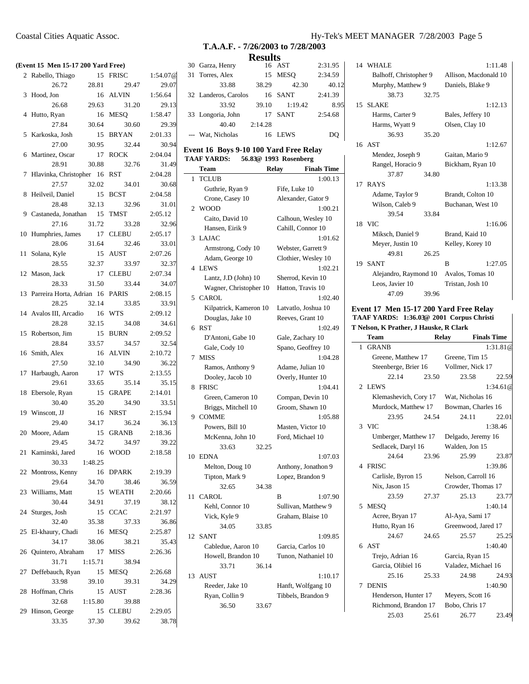| I Cities Aquatic Assoc. |  |  |
|-------------------------|--|--|
|                         |  |  |
|                         |  |  |

|    | (Event 15 Men 15-17 200 Yard Free) |         |              |          |
|----|------------------------------------|---------|--------------|----------|
|    | 2 Rabello, Thiago                  |         | 15 FRISC     | 1:54.07@ |
|    | 26.72                              | 28.81   | 29.47        | 29.07    |
| 3  | Hood, Jon                          | 16      | <b>ALVIN</b> | 1:56.64  |
|    | 26.68                              | 29.63   | 31.20        | 29.13    |
| 4  | Hutto, Ryan                        | 16      | <b>MESQ</b>  | 1:58.47  |
|    | 27.84                              | 30.64   | 30.60        | 29.39    |
|    | 5 Karkoska, Josh                   | 15      | <b>BRYAN</b> | 2:01.33  |
|    | 27.00                              | 30.95   | 32.44        | 30.94    |
|    | 6 Martinez, Oscar                  | 17      | <b>ROCK</b>  | 2:04.04  |
|    | 28.91                              | 30.88   | 32.76        | 31.49    |
| 7  | Hlavinka, Christopher 16           |         | <b>RST</b>   | 2:04.28  |
|    | 27.57                              | 32.02   | 34.01        | 30.68    |
| 8  | Heilveil, Daniel                   | 15      | <b>BCST</b>  | 2:04.58  |
|    | 28.48                              | 32.13   | 32.96        | 31.01    |
| 9  | Castaneda, Jonathan 15             |         | TMST         | 2:05.12  |
|    | 27.16                              | 31.72   | 33.28        | 32.96    |
| 10 | Humphries, James 17                |         | <b>CLEBU</b> | 2:05.17  |
|    | 28.06                              | 31.64   | 32.46        | 33.01    |
| 11 | Solana, Kyle                       | 15      | AUST         | 2:07.26  |
|    | 28.55                              | 32.37   | 33.97        | 32.37    |
|    | 12 Mason, Jack                     | 17      | CLEBU        | 2:07.34  |
|    | 28.33                              | 31.50   | 33.44        | 34.07    |
|    | 13 Parreira Horta, Adrian 16 PARIS |         |              | 2:08.15  |
|    | 28.25                              | 32.14   | 33.85        | 33.91    |
|    | 14 Avalos III, Arcadio             | 16      | WTS          | 2:09.12  |
|    | 28.28                              | 32.15   | 34.08        | 34.61    |
| 15 | Robertson, Jim                     | 15      | <b>BURN</b>  | 2:09.52  |
|    | 28.84                              | 33.57   | 34.57        | 32.54    |
| 16 | Smith, Alex                        | 16      | <b>ALVIN</b> | 2:10.72  |
|    | 27.50                              | 32.10   | 34.90        | 36.22    |
| 17 | Harbaugh, Aaron                    | 17      | <b>WTS</b>   | 2:13.55  |
|    | 29.61                              | 33.65   | 35.14        | 35.15    |
| 18 | Ebersole, Ryan                     | 15      | <b>GRAPE</b> | 2:14.01  |
|    | 30.40                              | 35.20   | 34.90        | 33.51    |
|    | 19 Winscott, JJ                    | 16      | <b>NRST</b>  | 2:15.94  |
|    | 29.40                              | 34.17   | 36.24        | 36.13    |
|    | 20 Moore, Adam                     |         | 15 GRANB     | 2:18.36  |
|    |                                    | 34.72   |              |          |
|    | 29.45                              |         | 34.97        | 39.22    |
| 21 | Kaminski, Jared                    |         | 16 WOOD      | 2:18.58  |
|    | 30.33                              | 1:48.25 |              |          |
|    | 22 Montross, Kenny                 |         | 16 DPARK     | 2:19.39  |
|    | 29.64                              | 34.70   | 38.46        | 36.59    |
|    | 23 Williams, Matt                  |         | 15 WEATH     | 2:20.66  |
|    |                                    | 34.91   | 37.19        | 38.12    |
|    | 30.44                              |         |              |          |
|    | 24 Sturges, Josh                   |         | 15 CCAC      | 2:21.97  |
|    | 32.40                              | 35.38   | 37.33        | 36.86    |
|    | 25 El-khaury, Chadi                | 16      | <b>MESQ</b>  | 2:25.87  |
|    | 34.17                              | 38.06   | 38.21        | 35.43    |
|    | 26 Quintero, Abraham 17            |         | MISS         | 2:26.36  |
|    | 31.71                              | 1:15.71 | 38.94        |          |
|    | 27 Deffebauch, Ryan 15 MESQ        |         |              | 2:26.68  |
|    | 33.98                              | 39.10   | 39.31        | 34.29    |

32.68 1:15.80 39.88 29 Hinson, George 15 CLEBU 2:29.05

33.35 37.30 39.62 38.78

# **T.A.A.F. - 7/26/2003 to 7/28/2003 Results**

| 30 Garza, Henry      |         | 16 AST  | 2:31.95 |
|----------------------|---------|---------|---------|
| 31 Torres, Alex      |         | 15 MESO | 2:34.59 |
| 33.88                | 38.29   | 42.30   | 40.12   |
| 32 Landeros, Carolos |         | 16 SANT | 2:41.39 |
| 33.92                | 39.10   | 1:19.42 | 8.95    |
| 33 Longoria, John    |         | 17 SANT | 2:54.68 |
| 40.40                | 2:14.28 |         |         |
| --- Wat, Nicholas    |         | 16 LEWS | DO      |

#### **Event 16 Boys 9-10 100 Yard Free Relay TAAF YARDS: 56.83@ 1993 Rosenberg**

|                | AAF IAKD3;             |       | 50.03 <sup>66</sup> 1993 Rosemberg |                     |
|----------------|------------------------|-------|------------------------------------|---------------------|
|                | Team                   |       | Relay                              | <b>Finals Time</b>  |
| 1              | <b>TCLUB</b>           |       |                                    | 1:00.13             |
|                | Guthrie, Ryan 9        |       | Fife, Luke 10                      |                     |
|                | Crone, Casey 10        |       | Alexander, Gator 9                 |                     |
| $\overline{2}$ | <b>WOOD</b>            |       |                                    | 1:00.21             |
|                | Caito, David 10        |       | Calhoun, Wesley 10                 |                     |
|                | Hansen, Eirik 9        |       | Cahill, Connor 10                  |                     |
| 3              | LAJAC                  |       |                                    | 1:01.62             |
|                | Armstrong, Cody 10     |       | Webster, Garrett 9                 |                     |
|                | Adam, George 10        |       | Clothier, Wesley 10                |                     |
| 4              | <b>LEWS</b>            |       |                                    | 1:02.21             |
|                | Lantz, J.D (John) 10   |       | Sherrod, Kevin 10                  |                     |
|                | Wagner, Christopher 10 |       | Hatton, Travis 10                  |                     |
| 5              | <b>CAROL</b>           |       |                                    | 1:02.40             |
|                | Kilpatrick, Kameron 10 |       | Latvatlo, Joshua 10                |                     |
|                | Douglas, Jake 10       |       | Reeves, Grant 10                   |                     |
| 6              | <b>RST</b>             |       |                                    | 1:02.49             |
|                | D'Antoni, Gabe 10      |       | Gale, Zachary 10                   |                     |
|                | Gale, Cody 10          |       | Spano, Geoffrey 10                 |                     |
| 7              | <b>MISS</b>            |       |                                    | 1:04.28             |
|                | Ramos, Anthony 9       |       | Adame, Julian 10                   |                     |
|                | Dooley, Jacob 10       |       | Overly, Hunter 10                  |                     |
| 8              | <b>FRISC</b>           |       |                                    | 1:04.41             |
|                | Green, Cameron 10      |       | Compan, Devin 10                   |                     |
|                | Briggs, Mitchell 10    |       | Groom, Shawn 10                    |                     |
| 9              | <b>COMME</b>           |       |                                    | 1:05.88             |
|                | Powers, Bill 10        |       | Masten, Victor 10                  |                     |
|                | McKenna, John 10       |       | Ford, Michael 10                   |                     |
|                | 33.63                  | 32.25 |                                    |                     |
| 10             | <b>EDNA</b>            |       |                                    | 1:07.03             |
|                | Melton, Doug 10        |       |                                    | Anthony, Jonathon 9 |
|                | Tipton, Mark 9         |       | Lopez, Brandon 9                   |                     |
|                | 32.65                  | 34.38 |                                    |                     |
| 11             | <b>CAROL</b>           |       | в                                  | 1:07.90             |
|                | Kehl, Connor 10        |       | Sullivan, Matthew 9                |                     |
|                | Vick, Kyle 9           |       | Graham, Blaise 10                  |                     |
|                | 34.05                  | 33.85 |                                    |                     |
| 12             | <b>SANT</b>            |       |                                    | 1:09.85             |
|                | Cabledue, Aaron 10     |       | Garcia, Carlos 10                  |                     |
|                | Howell, Brandon 10     |       |                                    | Tunon, Nathaniel 10 |
|                | 33.71                  | 36.14 |                                    |                     |
| 13             | AUST                   |       |                                    | 1:10.17             |
|                | Reeder, Jake 10        |       | Hanft, Wolfgang 10                 |                     |
|                | Ryan, Collin 9         |       | Tibbels, Brandon 9                 |                     |
|                | 36.50                  | 33.67 |                                    |                     |

# Coastal Cities Aquatic Assoc. Hy-Tek's MEET MANAGER 7/28/2003 Page 5

|    | 14 WHALE                                     |       |                    | 1:11.48            |
|----|----------------------------------------------|-------|--------------------|--------------------|
|    | Balhoff, Christopher 9 Allison, Macdonald 10 |       |                    |                    |
|    | Murphy, Matthew 9                            |       | Daniels, Blake 9   |                    |
|    | 38.73                                        | 32.75 |                    |                    |
| 15 | <b>SLAKE</b>                                 |       |                    | 1:12.13            |
|    | Harms, Carter 9                              |       | Bales, Jeffery 10  |                    |
|    | Harms, Wyatt 9                               |       | Olsen, Clay 10     |                    |
|    | 36.93                                        | 35.20 |                    |                    |
|    | 16 AST                                       |       |                    | 1:12.67            |
|    | Mendez, Joseph 9                             |       | Gaitan, Mario 9    |                    |
|    | Rangel, Horacio 9                            |       | Bickham, Ryan 10   |                    |
|    | 37.87                                        | 34.80 |                    |                    |
|    | 17 RAYS                                      |       |                    | 1:13.38            |
|    | Adame, Taylor 9                              |       | Brandt, Colton 10  |                    |
|    | Wilson, Caleb 9                              |       | Buchanan, West 10  |                    |
|    | 39.54                                        | 33.84 |                    |                    |
|    | 18 VIC                                       |       |                    | 1:16.06            |
|    | Miksch, Daniel 9                             |       | Brand, Kaid 10     |                    |
|    | Meyer, Justin 10                             |       | Kelley, Korey 10   |                    |
|    | 49.81                                        | 26.25 |                    |                    |
|    | 19 SANT                                      |       | B                  | 1:27.05            |
|    | Alejandro, Raymond 10                        |       | Avalos, Tomas 10   |                    |
|    |                                              |       |                    |                    |
|    | Leos, Javier 10                              |       | Tristan, Josh 10   |                    |
|    | 47.09                                        | 39.96 |                    |                    |
|    | Event 17 Men 15-17 200 Yard Free Relay       |       |                    |                    |
|    | TAAF YARDS: 1:36.03@ 2001 Corpus Christi     |       |                    |                    |
|    | T Nelson, K Prather, J Hauske, R Clark       |       |                    |                    |
|    | Team                                         |       | Relay              | <b>Finals Time</b> |
|    | 1 GRANB                                      |       |                    | 1:31.81@           |
|    | Greene, Matthew 17                           |       | Greene, Tim 15     |                    |
|    | Steenberge, Brier 16                         |       | Vollmer, Nick 17   |                    |
|    | 22.14                                        | 23.50 | 23.58              | 22.59              |
|    | 2 LEWS                                       |       |                    | 1:34.61@           |
|    | Klemashevich, Cory 17 Wat, Nicholas 16       |       |                    |                    |
|    | Murdock, Matthew 17 Bowman, Charles 16       |       |                    |                    |
|    | 23.95                                        | 24.54 | 24.11              | 22.01              |
|    | 3 VIC                                        |       |                    | 1:38.46            |
|    | Umberger, Matthew 17                         |       | Delgado, Jeremy 16 |                    |
|    | Sedlacek, Daryl 16                           |       | Walden, Jon 15     |                    |
|    | 24.64                                        | 23.96 | 25.99              | 23.87              |
| 4  | <b>FRISC</b>                                 |       |                    | 1:39.86            |
|    | Carlisle, Byron 15                           |       | Nelson, Carroll 16 |                    |
|    | Nix, Jason 15                                |       | Crowder, Thomas 17 |                    |
|    | 23.59                                        | 27.37 | 25.13              | 23.77              |
| 5  | <b>MESQ</b><br>Acree, Bryan 17               |       | Al-Aya, Sami 17    | 1:40.14            |

24.67 24.65 25.57 25.25

25.03 25.61 26.77 23.49

6 AST 1:40.40 Trejo, Adrian 16 Garcia, Ryan 15 Garcia, Olibiel 16 Valadez, Michael 16 25.16 25.33 24.98 24.93

7 DENIS 1:40.90 Henderson, Hunter 17 Meyers, Scott 16 Richmond, Brandon 17 Bobo, Chris 17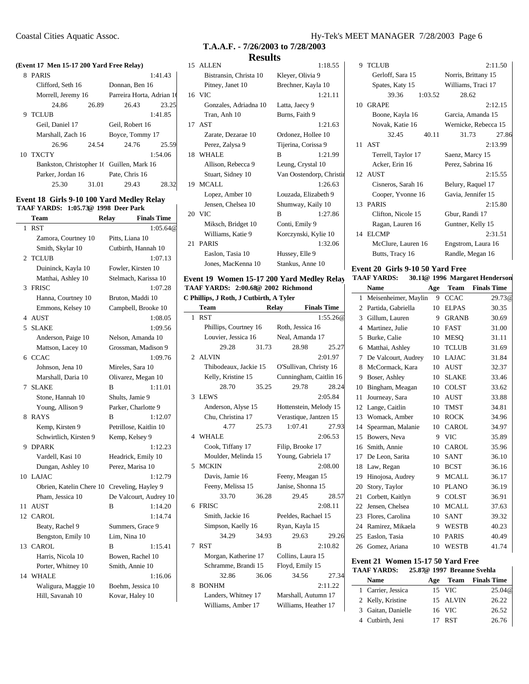## **(Event 17 Men 15-17 200 Yard Free Relay)** 8 PARIS 1:41.43

|    | Clifford, Seth 16  |       | Donnan, Ben 16                            |         |
|----|--------------------|-------|-------------------------------------------|---------|
|    | Morrell, Jeremy 16 |       | Parreira Horta, Adrian 1                  |         |
|    | 24.86              | 26.89 | 26.43                                     | 23.25   |
| 9  | <b>TCLUB</b>       |       |                                           | 1:41.85 |
|    | Geil, Daniel 17    |       | Geil, Robert 16                           |         |
|    | Marshall, Zach 16  |       | Boyce, Tommy 17                           |         |
|    | 26.96              | 24.54 | 24.76                                     | 25.59   |
| 10 | <b>TXCTY</b>       |       |                                           | 1:54.06 |
|    |                    |       | Bankston, Christopher 16 Guillen, Mark 16 |         |
|    | Parker, Jordan 16  |       | Pate, Chris 16                            |         |
|    | 25.30              | 31.01 | 29.43                                     | 28.     |

# **Event 18 Girls 9-10 100 Yard Medley Relay TAAF YARDS: 1:05.73@ 1998 Deer Park**

|                | Team                     | Relay | <b>Finals Time</b>     |
|----------------|--------------------------|-------|------------------------|
| $\mathbf{1}$   | <b>RST</b>               |       | 1:05.64@               |
|                | Zamora, Courtney 10      |       | Pitts, Liana 10        |
|                | Smith, Skylar 10         |       | Cutbirth, Hannah 10    |
| $\mathfrak{D}$ | <b>TCLUB</b>             |       | 1:07.13                |
|                | Duininck, Kayla 10       |       | Fowler, Kirsten 10     |
|                | Matthai, Ashley 10       |       | Stelmach, Karissa 10   |
| 3              | <b>FRISC</b>             |       | 1:07.28                |
|                | Hanna, Courtney 10       |       | Bruton, Maddi 10       |
|                | Emmons, Kelsey 10        |       | Campbell, Brooke 10    |
| 4              | <b>AUST</b>              |       | 1:08.05                |
| 5              | <b>SLAKE</b>             |       | 1:09.56                |
|                | Anderson, Paige 10       |       | Nelson, Amanda 10      |
|                | Mattson, Lacey 10        |       | Grossman, Madison 9    |
| 6              | <b>CCAC</b>              |       | 1:09.76                |
|                | Johnson, Jena 10         |       | Mireles, Sara 10       |
|                | Marshall, Daria 10       |       | Olivarez, Megan 10     |
| 7              | <b>SLAKE</b>             | в     | 1:11.01                |
|                | Stone, Hannah 10         |       | Shults, Jamie 9        |
|                | Young, Allison 9         |       | Parker, Charlotte 9    |
| 8              | <b>RAYS</b>              | B     | 1:12.07                |
|                | Kemp, Kirsten 9          |       | Petrillose, Kaitlin 10 |
|                | Schwirtlich, Kirsten 9   |       | Kemp, Kelsey 9         |
| 9              | <b>DPARK</b>             |       | 1:12.23                |
|                | Vardell, Kasi 10         |       | Headrick, Emily 10     |
|                | Dungan, Ashley 10        |       | Perez, Marisa 10       |
| 10             | <b>LAJAC</b>             |       | 1:12.79                |
|                | Obrien, Katelin Chere 10 |       | Creveling, Hayley 9    |
|                | Pham, Jessica 10         |       | De Valcourt, Audrey 10 |
| 11             | <b>AUST</b>              | B     | 1:14.20                |
| 12             | CAROL                    |       | 1:14.74                |
|                | Beaty, Rachel 9          |       | Summers, Grace 9       |
|                | Bengston, Emily 10       |       | Lim, Nina 10           |
| 13             | <b>CAROL</b>             | B     | 1:15.41                |
|                | Harris, Nicola 10        |       | Bowen, Rachel 10       |
|                | Porter, Whitney 10       |       | Smith, Annie 10        |
| 14             | WHALE                    |       | 1:16.06                |
|                | Waligura, Maggie 10      |       | Boehm, Jessica 10      |
|                | Hill, Savanah 10         |       | Kovar, Haley 10        |

# **T.A.A.F. - 7/26/2003 to 7/28/2003**

# **Results**

| 15 ALLEN               | 1:18.55                  |
|------------------------|--------------------------|
| Bistransin, Christa 10 | Kleyer, Olivia 9         |
| Pitney, Janet 10       | Brechner, Kayla 10       |
| 16 VIC                 | 1:21.11                  |
| Gonzales, Adriadna 10  | Latta, Jaecy 9           |
| Tran, Anh 10           | Burns, Faith 9           |
| 17 AST                 | 1:21.63                  |
| Zarate, Dezarae 10     | Ordonez, Hollee 10       |
| Perez, Zalysa 9        | Tijerina, Corissa 9      |
| 18 WHALE               | 1:21.99<br>B             |
| Allison, Rebecca 9     | Leung, Crystal 10        |
| Stuart, Sidney 10      | Van Oostendorp, Christii |
| 19 MCALL               | 1:26.63                  |
| Lopez, Amber 10        | Louzada, Elizabeth 9     |
| Jensen, Chelsea 10     | Shumway, Kaily 10        |
| 20 VIC                 | B<br>1:27.86             |
| Miksch, Bridget 10     | Conti, Emily 9           |
| Williams, Katie 9      | Korczynski, Kylie 10     |
| 21 PARIS               | 1:32.06                  |
| Easlon, Tasia 10       | Hussey, Elle 9           |
| Jones, MacKenna 10     | Stankus, Anne 10         |
|                        |                          |

#### **Event 19 Women 15-17 200 Yard Medley Relay TAAF YARDS: 2:00.68@ 2002 Richmond**

**C Phillips, J Roth, J Cutbirth, A Tyler** 

|              | С гишру, а кош, а силяни, а тујег<br><b>Team</b> |       | Relay                  | <b>Finals Time</b> |
|--------------|--------------------------------------------------|-------|------------------------|--------------------|
| $\mathbf{1}$ | <b>RST</b>                                       |       |                        | 1:55.26@           |
|              | Phillips, Courtney 16                            |       | Roth, Jessica 16       |                    |
|              | Louvier, Jessica 16                              |       | Neal, Amanda 17        |                    |
|              | 29.28                                            | 31.73 | 28.98                  | 25.27              |
|              | 2 ALVIN                                          |       |                        | 2:01.97            |
|              | Thibodeaux, Jackie 15                            |       | O'Sullivan, Christy 16 |                    |
|              | Kelly, Kristine 15                               |       | Cunningham, Caitlin 16 |                    |
|              | 28.70                                            | 35.25 | 29.78                  | 28.24              |
| 3            | <b>LEWS</b>                                      |       |                        | 2:05.84            |
|              | Anderson, Alyse 15                               |       | Hottenstein, Melody 15 |                    |
|              | Chu, Christina 17                                |       | Verastique, Jantzen 15 |                    |
|              | 4.77                                             | 25.73 | 1:07.41                | 27.93              |
|              | 4 WHALE                                          |       |                        | 2:06.53            |
|              | Cook, Tiffany 17                                 |       | Filip, Brooke 17       |                    |
|              | Moulder, Melinda 15                              |       | Young, Gabriela 17     |                    |
| 5            | <b>MCKIN</b>                                     |       |                        | 2:08.00            |
|              | Davis, Jamie 16                                  |       | Feeny, Meagan 15       |                    |
|              | Feeny, Melissa 15                                |       | Janise, Shonna 15      |                    |
|              | 33.70                                            | 36.28 | 29.45                  | 28.57              |
|              | 6 FRISC                                          |       |                        | 2:08.11            |
|              | Smith, Jackie 16                                 |       | Peeldes, Rachael 15    |                    |
|              | Simpson, Kaelly 16                               |       | Ryan, Kayla 15         |                    |
|              | 34.29                                            | 34.93 | 29.63                  | 29.26              |
| 7            | <b>RST</b>                                       |       | R                      | 2:10.82            |
|              | Morgan, Katherine 17                             |       | Collins, Laura 15      |                    |
|              | Schramme, Brandi 15                              |       | Floyd, Emily 15        |                    |
|              | 32.86                                            | 36.06 | 34.56                  | 27.34              |
| 8            | <b>BONHM</b>                                     |       |                        | 2:11.22            |
|              | Landers, Whitney 17                              |       | Marshall, Autumn 17    |                    |
|              | Williams, Amber 17                               |       | Williams, Heather 17   |                    |

# Coastal Cities Aquatic Assoc. Hy-Tek's MEET MANAGER 7/28/2003 Page 6

| 9 TCLUB            | 2:11.50              |  |
|--------------------|----------------------|--|
| Gerloff, Sara 15   | Norris, Brittany 15  |  |
| Spates, Katy 15    | Williams, Traci 17   |  |
| 39.36<br>1:03.52   | 28.62                |  |
| 10 GRAPE           | 2:12.15              |  |
| Boone, Kayla 16    | Garcia, Amanda 15    |  |
| Novak, Katie 16    | Wernicke, Rebecca 15 |  |
| 40.11<br>32.45     | 31.73<br>27.86       |  |
| 11 AST             | 2:13.99              |  |
| Terrell, Taylor 17 | Saenz, Marcy 15      |  |
| Acker, Erin 16     | Perez, Sabrina 16    |  |
| 12 AUST            | 2:15.55              |  |
| Cisneros, Sarah 16 | Belury, Raquel 17    |  |
| Cooper, Yvonne 16  | Gavia, Jennifer 15   |  |
| 13 PARIS           | 2:15.80              |  |
| Clifton, Nicole 15 | Gbur, Randi 17       |  |
| Ragan, Lauren 16   | Guntner, Kelly 15    |  |
| 14 ELCMP           | 2:31.51              |  |
| McClure, Lauren 16 | Engstrom, Laura 16   |  |
| Butts, Tracy 16    | Randle, Megan 16     |  |

# **Event 20 Girls 9-10 50 Yard Free**

| <b>TAAF YARDS:</b> |  | 30.11@ 1996 Margaret Henderson |  |
|--------------------|--|--------------------------------|--|
|                    |  |                                |  |

|                          | <b>Name</b>          | Age | Team         | <b>Finals Time</b> |
|--------------------------|----------------------|-----|--------------|--------------------|
| 1                        | Meisenheimer, Maylin | 9   | <b>CCAC</b>  | 29.73@             |
| 2                        | Partida, Gabriella   | 10  | <b>ELPAS</b> | 30.35              |
| 3                        | Gillum, Lauren       | 9   | <b>GRANB</b> | 30.69              |
| $\overline{\mathcal{L}}$ | Martinez. Julie      | 10  | <b>FAST</b>  | 31.00              |
| 5                        | Burke, Calie         | 10  | <b>MESO</b>  | 31.11              |
| 6                        | Matthai, Ashley      | 10  | <b>TCLUB</b> | 31.69              |
| 7                        | De Valcourt, Audrey  | 10  | LAJAC        | 31.84              |
| 8                        | McCormack, Kara      | 10  | <b>AUST</b>  | 32.37              |
| 9                        | Boser, Ashley        | 10  | <b>SLAKE</b> | 33.46              |
| 10                       | Bingham, Meagan      | 10  | <b>COLST</b> | 33.62              |
| 11                       | Journeay, Sara       | 10  | <b>AUST</b>  | 33.88              |
| 12                       | Lange, Caitlin       | 10  | <b>TMST</b>  | 34.81              |
| 13                       | Womack, Amber        | 10  | <b>ROCK</b>  | 34.96              |
| 14                       | Spearman, Malanie    | 10  | CAROL        | 34.97              |
| 15                       | Bowers, Neva         | 9   | <b>VIC</b>   | 35.89              |
| 16                       | Smith, Annie         | 10  | <b>CAROL</b> | 35.96              |
| 17                       | De Leon, Sarita      | 10  | <b>SANT</b>  | 36.10              |
| 18                       | Law, Regan           | 10  | <b>BCST</b>  | 36.16              |
| 19                       | Hinojosa, Audrey     | 9   | <b>MCALL</b> | 36.17              |
| 20                       | Story, Taylor        | 10  | <b>PLANO</b> | 36.19              |
| 21                       | Corbett, Kaitlyn     | 9   | <b>COLST</b> | 36.91              |
| 22                       | Jensen, Chelsea      | 10  | <b>MCALL</b> | 37.63              |
| 23                       | Flores, Carolina     | 10  | <b>SANT</b>  | 39.32              |
| 24                       | Ramirez, Mikaela     | 9   | WESTB        | 40.23              |
| 25                       | Easlon, Tasia        | 10  | <b>PARIS</b> | 40.49              |
| 26                       | Gomez, Ariana        | 10  | WESTB        | 41.74              |
|                          |                      |     |              |                    |

# **Event 21 Women 15-17 50 Yard Free**

| <b>TAAF YARDS:</b> |     |            | 25.87@ 1997 Breanne Svehla |
|--------------------|-----|------------|----------------------------|
| Name               | Age |            | <b>Team</b> Finals Time    |
| 1 Carrier, Jessica |     | 15 VIC     | 25.04@                     |
| 2 Kelly, Kristine  |     | 15 ALVIN   | 26.22                      |
| 3 Gaitan, Danielle |     | 16 VIC     | 26.52                      |
| 4 Cutbirth, Jeni   | 17  | <b>RST</b> | 26.76                      |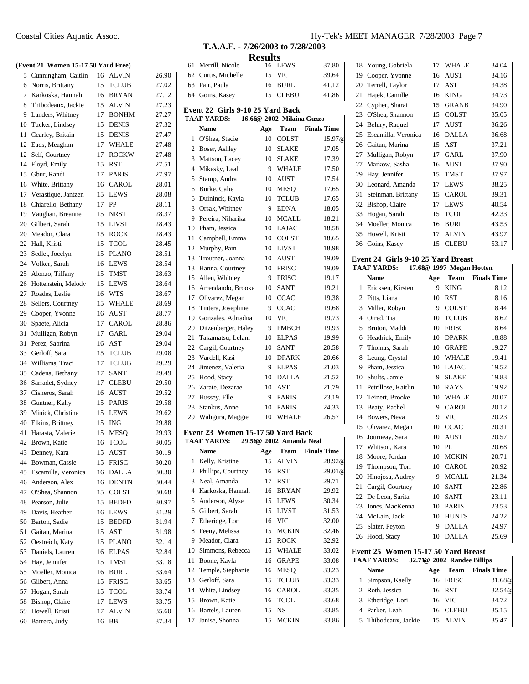# **(Event 21 Women 15-17 50 Yard Free)**

|    | елени 21 – отопнен 15-17 50-тага гтес <i>)</i> |    |                                       |       |
|----|------------------------------------------------|----|---------------------------------------|-------|
|    | 5 Cunningham, Caitlin                          |    | 16 ALVIN                              | 26.90 |
| 6  | Norris, Brittany                               | 15 | <b>TCLUB</b>                          | 27.02 |
| 7  | Karkoska, Hannah                               | 16 | <b>BRYAN</b>                          | 27.12 |
| 8  | Thibodeaux, Jackie                             | 15 | <b>ALVIN</b>                          | 27.23 |
| 9  | Landers, Whitney                               | 17 | <b>BONHM</b>                          | 27.27 |
| 10 | Tucker, Lindsey                                | 15 | <b>DENIS</b>                          | 27.32 |
| 11 | Cearley, Britain                               | 15 | <b>DENIS</b>                          | 27.47 |
| 12 | Eads, Meaghan                                  | 17 | <b>WHALE</b>                          | 27.48 |
| 12 | Self, Courtney                                 | 17 | <b>ROCKW</b>                          | 27.48 |
| 14 | Floyd, Emily                                   | 15 | <b>RST</b>                            | 27.51 |
|    |                                                |    | <b>PARIS</b>                          |       |
| 15 | Gbur, Randi                                    | 17 |                                       | 27.97 |
| 16 | White, Brittany                                | 16 | CAROL                                 | 28.01 |
| 17 | Verastique, Jantzen                            | 15 | <b>LEWS</b>                           | 28.08 |
| 18 | Chiarello, Bethany                             | 17 | PP                                    | 28.11 |
| 19 | Vaughan, Breanne                               | 15 | NRST                                  | 28.37 |
| 20 | Gilbert, Sarah                                 | 15 | <b>LIVST</b>                          | 28.43 |
| 20 | Meador, Clara                                  | 15 | <b>ROCK</b>                           | 28.43 |
| 22 | Hall, Kristi                                   | 15 | TCOL                                  | 28.45 |
| 23 | Sedlet, Jocelyn                                | 15 | <b>PLANO</b>                          | 28.51 |
| 24 | Volker, Sarah                                  | 16 | LEWS                                  | 28.54 |
| 25 | Alonzo, Tiffany                                | 15 | TMST                                  | 28.63 |
| 26 | Hottenstein, Melody                            | 15 | <b>LEWS</b>                           | 28.64 |
| 27 | Roades, Leslie                                 | 16 | <b>WTS</b>                            | 28.67 |
| 28 | Sellers, Courtney                              | 15 | <b>WHALE</b>                          | 28.69 |
|    | 29 Cooper, Yvonne                              | 16 | <b>AUST</b>                           | 28.77 |
| 30 | Spaete, Alicia                                 | 17 | CAROL                                 | 28.86 |
| 31 | Mulligan, Robyn                                | 17 | GARL                                  | 29.04 |
| 31 | Perez, Sabrina                                 | 16 | AST                                   | 29.04 |
| 33 | Gerloff, Sara                                  | 15 | <b>TCLUB</b>                          | 29.08 |
| 34 | Williams, Traci                                | 17 | <b>TCLUB</b>                          | 29.29 |
| 35 | Cadena, Bethany                                | 17 | <b>SANT</b>                           | 29.49 |
| 36 | Sarradet, Sydney                               | 17 | <b>CLEBU</b>                          | 29.50 |
| 37 | Cisneros, Sarah                                | 16 | AUST                                  | 29.52 |
| 38 | Guntner, Kelly                                 | 15 | <b>PARIS</b>                          | 29.58 |
| 39 | Minick, Christine                              | 15 | <b>LEWS</b>                           | 29.62 |
| 40 | Elkins, Brittney                               | 15 | <b>ING</b>                            | 29.88 |
| 41 | Harasta, Valerie                               | 15 | <b>MESQ</b>                           | 29.93 |
| 42 | Brown, Katie                                   | 16 | <b>TCOL</b>                           | 30.05 |
|    |                                                | 15 | $\boldsymbol{\mathrm{A}\mathrm{UST}}$ | 30.19 |
|    | 43 Denney, Kara                                |    |                                       |       |
| 44 | Bowman, Cassie                                 | 15 | <b>FRISC</b>                          | 30.20 |
| 45 | Escamilla, Veronica                            | 16 | <b>DALLA</b>                          | 30.30 |
| 46 | Anderson, Alex                                 | 16 | DENTN                                 | 30.44 |
|    | 47 O'Shea, Shannon                             | 15 | COLST                                 | 30.68 |
| 48 | Pearson, Julie                                 | 15 | <b>BEDFD</b>                          | 30.97 |
| 49 | Davis, Heather                                 | 16 | LEWS                                  | 31.29 |
| 50 | Barton, Sadie                                  | 15 | <b>BEDFD</b>                          | 31.94 |
| 51 | Gaitan, Marina                                 | 15 | AST                                   | 31.98 |
| 52 | Oestreich, Katy                                | 15 | <b>PLANO</b>                          | 32.14 |
| 53 | Daniels, Lauren                                | 16 | ELPAS                                 | 32.84 |
| 54 | Hay, Jennifer                                  | 15 | TMST                                  | 33.18 |
| 55 | Moeller, Monica                                | 16 | BURL                                  | 33.64 |
| 56 | Gilbert, Anna                                  | 15 | <b>FRISC</b>                          | 33.65 |
| 57 | Hogan, Sarah                                   | 15 | TCOL                                  | 33.74 |
| 58 | Bishop, Claire                                 | 17 | LEWS                                  | 33.75 |
| 59 | Howell, Kristi                                 | 17 | ALVIN                                 | 35.60 |
| 60 | Barrera, Judy                                  | 16 | ВB                                    | 37.34 |

# **T.A.A.F. - 7/26/2003 to 7/28/2003 Results**

|                |                                                 | ◡つ  |                         |                    |  |
|----------------|-------------------------------------------------|-----|-------------------------|--------------------|--|
| 61             | Merrill, Nicole                                 | 16  | LEWS                    | 37.80              |  |
| 62             | Curtis, Michelle                                | 15  | <b>VIC</b>              | 39.64              |  |
| 63             | Pair, Paula                                     | 16  | <b>BURL</b>             | 41.12              |  |
| 64             | Goins, Kasey                                    | 15  | <b>CLEBU</b>            | 41.86              |  |
|                | Event 22 Girls 9-10 25 Yard Back                |     |                         |                    |  |
|                | 16.66@ 2002 Milaina Guzzo<br><b>TAAF YARDS:</b> |     |                         |                    |  |
|                | <b>Name</b>                                     | Age | <b>Team</b>             | <b>Finals Time</b> |  |
| 1              | O'Shea, Stacie                                  | 10  | <b>COLST</b>            | 15.97@             |  |
| $\overline{c}$ | Boser, Ashley                                   | 10  | <b>SLAKE</b>            | 17.05              |  |
| 3              | Mattson, Lacey                                  | 10  | <b>SLAKE</b>            | 17.39              |  |
| $\overline{4}$ | Mikesky, Leah                                   | 9   | <b>WHALE</b>            | 17.50              |  |
| 5              | Stamp, Audra                                    | 10  | <b>AUST</b>             | 17.54              |  |
| 6              | Burke, Calie                                    | 10  | <b>MESO</b>             | 17.65              |  |
| 6              | Duininck, Kayla                                 | 10  | <b>TCLUB</b>            | 17.65              |  |
| 8              | Orsak, Whitney                                  | 9   | <b>EDNA</b>             | 18.05              |  |
| 9              | Pereira, Niharika                               | 10  | <b>MCALL</b>            | 18.21              |  |
| 10             | Pham, Jessica                                   | 10  | LAJAC                   | 18.58              |  |
| 11             | Campbell, Emma                                  | 10  | <b>COLST</b>            | 18.65              |  |
| 12             | Murphy, Pam                                     | 10  | <b>LIVST</b>            | 18.98              |  |
| 13             | Troutner, Joanna                                | 10  | <b>AUST</b>             | 19.09              |  |
| 13             | Hanna, Courtney                                 | 10  | <b>FRISC</b>            | 19.09              |  |
| 15             | Allen, Whitney                                  | 9   | <b>FRISC</b>            | 19.17              |  |
| 16             | Arrendando, Brooke                              | 10  | <b>SANT</b>             | 19.21              |  |
| 17             | Olivarez, Megan                                 | 10  | <b>CCAC</b>             | 19.38              |  |
| 18             | Tintera, Josephine                              | 9   | <b>CCAC</b>             | 19.68              |  |
| 19             | Gonzales, Adriadna                              | 10  | VIC                     | 19.73              |  |
| 20             | Ditzenberger, Haley                             | 9   | <b>FMBCH</b>            | 19.93              |  |
| 21             | Takamatsu, Lelani                               | 10  | <b>ELPAS</b>            | 19.99              |  |
| 22             | Cargil, Courtney                                | 10  | <b>SANT</b>             | 20.58              |  |
| 23             | Vardell, Kasi                                   | 10  | <b>DPARK</b>            | 20.66              |  |
| 24             | Jimenez, Valeria                                | 9   | <b>ELPAS</b>            | 21.03              |  |
| 25             | Hood, Stacy                                     | 10  | <b>DALLA</b>            | 21.52              |  |
| 26             | Zarate, Dezarae                                 | 10  | <b>AST</b>              | 21.79              |  |
| 27             | Hussey, Elle                                    | 9   | <b>PARIS</b>            | 23.19              |  |
| 28             | Stankus, Anne                                   | 10  | <b>PARIS</b>            | 24.33              |  |
| 29             | Waligura, Maggie                                | 10  | WHALE                   | 26.57              |  |
|                | Event 23 Women 15-17 50 Yard Back               |     |                         |                    |  |
|                | <b>TAAF YARDS:</b>                              |     | 29.56@ 2002 Amanda Neal |                    |  |
|                | <b>Name</b>                                     | Age | Team                    | <b>Finals Time</b> |  |
| 1              | Kelly, Kristine                                 | 15  | ALVIN                   | 28.92@             |  |
| $\overline{c}$ | Phillips, Courtney                              | 16  | <b>RST</b>              | 29.01@             |  |
|                |                                                 |     |                         |                    |  |

| 1  | Kelly, Kristine      | 15 | ALVIN        | 28.92 |
|----|----------------------|----|--------------|-------|
| 2  | Phillips, Courtney   | 16 | RST          | 29.01 |
| 3  | Neal, Amanda         | 17 | RST          | 29.71 |
| 4  | Karkoska, Hannah     | 16 | <b>BRYAN</b> | 29.92 |
| 5  | Anderson, Alyse      | 15 | <b>LEWS</b>  | 30.34 |
| 6  | Gilbert, Sarah       | 15 | <b>LIVST</b> | 31.53 |
| 7  | Etheridge, Lori      | 16 | VIC          | 32.00 |
| 8  | Feeny, Melissa       | 15 | <b>MCKIN</b> | 32.46 |
| 9  | Meador, Clara        | 15 | <b>ROCK</b>  | 32.92 |
| 10 | Simmons, Rebecca     | 15 | <b>WHALE</b> | 33.02 |
| 11 | Boone, Kayla         | 16 | <b>GRAPE</b> | 33.08 |
|    | 12 Temple, Stephanie | 16 | MESO         | 33.23 |
|    | 13 Gerloff, Sara     | 15 | <b>TCLUB</b> | 33.33 |
|    | 14 White, Lindsey    | 16 | <b>CAROL</b> | 33.35 |
| 15 | Brown, Katie         | 16 | <b>TCOL</b>  | 33.68 |
|    | 16 Bartels, Lauren   | 15 | NS           | 33.85 |
| 17 | Janise, Shonna       | 15 | <b>MCKIN</b> | 33.86 |

## Coastal Cities Aquatic Assoc. Hy-Tek's MEET MANAGER 7/28/2003 Page 7

|    | 18 Young, Gabriela  | 17 | WHALE        | 34.04 |
|----|---------------------|----|--------------|-------|
| 19 | Cooper, Yvonne      | 16 | <b>AUST</b>  | 34.16 |
| 20 | Terrell, Taylor     | 17 | AST          | 34.38 |
| 21 | Hajek, Camille      | 16 | <b>KING</b>  | 34.73 |
| 22 | Cypher, Sharai      | 15 | <b>GRANB</b> | 34.90 |
| 23 | O'Shea, Shannon     | 15 | <b>COLST</b> | 35.05 |
| 24 | Belury, Raquel      | 17 | AUST         | 36.26 |
| 25 | Escamilla, Veronica | 16 | <b>DALLA</b> | 36.68 |
| 26 | Gaitan, Marina      | 15 | AST          | 37.21 |
| 27 | Mulligan, Robyn     | 17 | GARL         | 37.90 |
| 27 | Markow, Sasha       | 16 | <b>AUST</b>  | 37.90 |
| 29 | Hay, Jennifer       | 15 | <b>TMST</b>  | 37.97 |
| 30 | Leonard, Amanda     | 17 | <b>LEWS</b>  | 38.25 |
| 31 | Steinman, Brittany  | 15 | <b>CAROL</b> | 39.31 |
| 32 | Bishop, Claire      | 17 | <b>LEWS</b>  | 40.54 |
| 33 | Hogan, Sarah        | 15 | <b>TCOL</b>  | 42.33 |
| 34 | Moeller, Monica     | 16 | <b>BURL</b>  | 43.53 |
| 35 | Howell, Kristi      | 17 | ALVIN        | 43.97 |
| 36 | Goins, Kasey        | 15 | CLEBU        | 53.17 |

#### **Event 24 Girls 9-10 25 Yard Breast TAAF YARDS: 17.68@ 1997 Megan Hotten**

|                | <b>Name</b>         | Age | Team         | <b>Finals Time</b> |
|----------------|---------------------|-----|--------------|--------------------|
| 1              | Ericksen, Kirsten   | 9   | <b>KING</b>  | 18.12              |
| 2              | Pitts, Liana        | 10  | <b>RST</b>   | 18.16              |
| 3              | Miller, Robyn       | 9   | <b>COLST</b> | 18.44              |
| $\overline{4}$ | Orred, Tia          | 10  | <b>TCLUB</b> | 18.62              |
| 5              | Bruton, Maddi       | 10  | <b>FRISC</b> | 18.64              |
| 6              | Headrick, Emily     | 10  | <b>DPARK</b> | 18.88              |
| 7              | Thomas, Sarah       | 10  | <b>GRAPE</b> | 19.27              |
| 8              | Leung, Crystal      | 10  | <b>WHALE</b> | 19.41              |
| 9              | Pham, Jessica       | 10  | <b>LAJAC</b> | 19.52              |
| 10             | Shults, Jamie       | 9   | <b>SLAKE</b> | 19.83              |
| 11             | Petrillose, Kaitlin | 10  | <b>RAYS</b>  | 19.92              |
| 12             | Teinert, Brooke     | 10  | <b>WHALE</b> | 20.07              |
| 13             | Beaty, Rachel       | 9   | <b>CAROL</b> | 20.12              |
| 14             | Bowers, Neva        | 9   | <b>VIC</b>   | 20.23              |
| 15             | Olivarez, Megan     | 10  | <b>CCAC</b>  | 20.31              |
| 16             | Journeay, Sara      | 10  | <b>AUST</b>  | 20.57              |
| 17             | Whitson, Kara       | 10  | PI.          | 20.68              |
| 18             | Moore, Jordan       | 10  | <b>MCKIN</b> | 20.71              |
| 19             | Thompson, Tori      | 10  | <b>CAROL</b> | 20.92              |
| 20             | Hinojosa, Audrey    | 9   | <b>MCALL</b> | 21.34              |
| 21             | Cargil, Courtney    | 10  | <b>SANT</b>  | 22.86              |
| 22             | De Leon, Sarita     | 10  | SANT         | 23.11              |
| 23             | Jones, MacKenna     | 10  | <b>PARIS</b> | 23.53              |
| 24             | McLain, Jacki       | 10  | <b>HUNTS</b> | 24.22              |
| 25             | Slater, Peyton      | 9   | <b>DALLA</b> | 24.97              |
| 26             | Hood, Stacy         | 10  | <b>DALLA</b> | 25.69              |

#### **Event 25 Women 15-17 50 Yard Breast TAAF YARDS: 32.71@ 2002 Randee Billips**

| Name                 | Age |              | <b>Team</b> Finals Time |
|----------------------|-----|--------------|-------------------------|
| 1 Simpson, Kaelly    |     | 16 FRISC     | 31.68 <sup>@</sup>      |
| 2 Roth, Jessica      |     | 16 RST       | 32.54@                  |
| 3 Etheridge, Lori    |     | 16 VIC       | 34.72                   |
| 4 Parker, Leah       |     | 16 CLEBU     | 35.15                   |
| 5 Thibodeaux, Jackie | 15  | <b>ALVIN</b> | 35.47                   |

 $\mathsf{l}$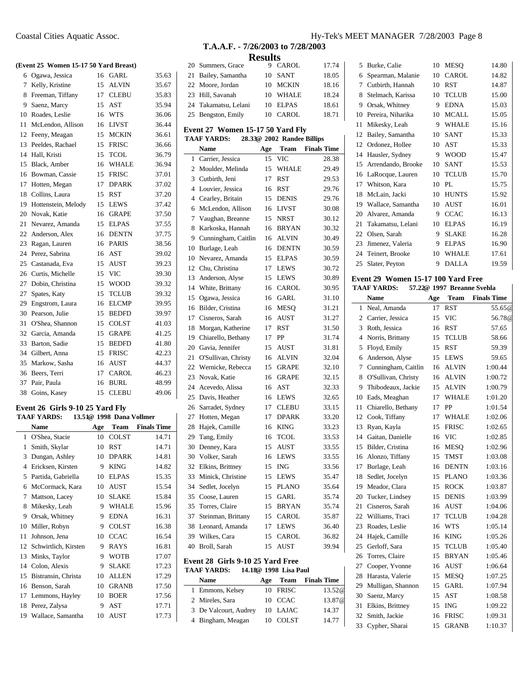### **(Event 25 Women 15-17 50 Yard Breast)**

| 6  | Ogawa, Jessica      | 16 | GARL         | 35.63 |
|----|---------------------|----|--------------|-------|
| 7  | Kelly, Kristine     | 15 | <b>ALVIN</b> | 35.67 |
| 8  | Freeman, Tiffany    | 17 | <b>CLEBU</b> | 35.83 |
| 9  | Saenz, Marcy        | 15 | <b>AST</b>   | 35.94 |
| 10 | Roades, Leslie      | 16 | <b>WTS</b>   | 36.06 |
| 11 | McLendon, Allison   | 16 | LIVST        | 36.44 |
| 12 | Feeny, Meagan       | 15 | <b>MCKIN</b> | 36.61 |
| 13 | Peeldes, Rachael    | 15 | <b>FRISC</b> | 36.66 |
| 14 | Hall, Kristi        | 15 | <b>TCOL</b>  | 36.79 |
| 15 | Black, Amber        | 16 | <b>WHALE</b> | 36.94 |
| 16 | Bowman, Cassie      | 15 | <b>FRISC</b> | 37.01 |
| 17 | Hotten, Megan       | 17 | <b>DPARK</b> | 37.02 |
| 18 | Collins, Laura      | 15 | RST          | 37.20 |
| 19 | Hottenstein, Melody | 15 | LEWS         | 37.42 |
| 20 | Novak, Katie        | 16 | <b>GRAPE</b> | 37.50 |
| 21 | Nevarez, Amanda     | 15 | <b>ELPAS</b> | 37.55 |
| 22 | Anderson, Alex      | 16 | <b>DENTN</b> | 37.75 |
| 23 | Ragan, Lauren       | 16 | <b>PARIS</b> | 38.56 |
| 24 | Perez, Sabrina      | 16 | <b>AST</b>   | 39.02 |
| 25 | Castanada, Eva      | 15 | <b>AUST</b>  | 39.23 |
| 26 | Curtis, Michelle    | 15 | <b>VIC</b>   | 39.30 |
| 27 | Dobin, Christina    | 15 | <b>WOOD</b>  | 39.32 |
| 27 | Spates, Katy        | 15 | <b>TCLUB</b> | 39.32 |
| 29 | Engstrom, Laura     | 16 | <b>ELCMP</b> | 39.95 |
| 30 | Pearson, Julie      | 15 | <b>BEDFD</b> | 39.97 |
| 31 | O'Shea, Shannon     | 15 | <b>COLST</b> | 41.03 |
| 32 | Garcia, Amanda      | 15 | <b>GRAPE</b> | 41.25 |
| 33 | Barton, Sadie       | 15 | <b>BEDFD</b> | 41.80 |
| 34 | Gilbert, Anna       | 15 | <b>FRISC</b> | 42.23 |
| 35 | Markow, Sasha       | 16 | AUST         | 44.37 |
| 36 | Beers, Terri        | 17 | CAROL        | 46.23 |
| 37 | Pair, Paula         | 16 | <b>BURL</b>  | 48.99 |
| 38 | Goins, Kasey        | 15 | <b>CLEBU</b> | 49.06 |

#### **Event 26 Girls 9-10 25 Yard Fly TAAF YARDS: 13.51@ 1998 Dana Vollmer**

|    | <b>Name</b>          | Age | Team         | <b>Finals Time</b> |
|----|----------------------|-----|--------------|--------------------|
| 1  | O'Shea, Stacie       | 10  | <b>COLST</b> | 14.71              |
| 1  | Smith, Skylar        | 10  | <b>RST</b>   | 14.71              |
| 3  | Dungan, Ashley       | 10  | <b>DPARK</b> | 14.81              |
| 4  | Ericksen, Kirsten    | 9   | <b>KING</b>  | 14.82              |
| 5  | Partida, Gabriella   | 10  | <b>ELPAS</b> | 15.35              |
| 6  | McCormack, Kara      | 10  | <b>AUST</b>  | 15.54              |
| 7  | Mattson, Lacey       | 10  | <b>SLAKE</b> | 15.84              |
| 8  | Mikesky, Leah        | 9   | WHALE        | 15.96              |
| 9  | Orsak, Whitney       | 9   | <b>EDNA</b>  | 16.31              |
| 10 | Miller, Robyn        | 9   | <b>COLST</b> | 16.38              |
| 11 | Johnson, Jena        | 10  | <b>CCAC</b>  | 16.54              |
| 12 | Schwirtlich, Kirsten | 9   | <b>RAYS</b>  | 16.81              |
| 13 | Minks, Taylor        | 9   | <b>WOTB</b>  | 17.07              |
| 14 | Colon, Alexis        | 9   | <b>SLAKE</b> | 17.23              |
| 15 | Bistransin, Christa  | 10  | <b>ALLEN</b> | 17.29              |
| 16 | Benson, Sarah        | 10  | <b>GRANB</b> | 17.50              |
| 17 | Lemmons, Hayley      | 10  | <b>BOER</b>  | 17.56              |
| 18 | Perez, Zalysa        | 9   | AST          | 17.71              |
| 19 | Wallace, Samantha    | 10  | AUST         | 17.73              |

## Coastal Cities Aquatic Assoc. Hy-Tek's MEET MANAGER 7/28/2003 Page 8

#### **T.A.A.F. - 7/26/2003 to 7/28/2003 Results**

|                                                  |                                       | results |                       |                    |
|--------------------------------------------------|---------------------------------------|---------|-----------------------|--------------------|
| 20                                               | Summers, Grace                        | 9       | CAROL                 | 17.74              |
| 21                                               | Bailey, Samantha                      | 10      | <b>SANT</b>           | 18.05              |
| 22                                               | Moore, Jordan                         | 10      | <b>MCKIN</b>          | 18.16              |
| 23                                               | Hill, Savanah                         | 10      | WHALE                 | 18.24              |
| 24                                               | Takamatsu, Lelani                     | 10      | <b>ELPAS</b>          | 18.61              |
| 25                                               | Bengston, Emily                       | 10      | <b>CAROL</b>          | 18.71              |
| Event 27 Women 15-17 50 Yard Fly                 |                                       |         |                       |                    |
| 28.33@ 2002 Randee Billips<br><b>TAAF YARDS:</b> |                                       |         |                       |                    |
|                                                  | <b>Name</b>                           | Age     | <b>Team</b>           | <b>Finals Time</b> |
| 1                                                | Carrier, Jessica                      | 15      | <b>VIC</b>            | 28.38              |
| 2                                                | Moulder, Melinda                      | 15      | <b>WHALE</b>          | 29.49              |
| 3                                                | Cutbirth, Jeni                        | 17      | <b>RST</b>            | 29.53              |
| 4                                                | Louvier, Jessica                      | 16      | RST                   | 29.76              |
| 4                                                | Cearley, Britain                      | 15      | <b>DENIS</b>          | 29.76              |
| 6                                                | McLendon, Allison                     | 16      | LIVST                 | 30.08              |
| 7                                                | Vaughan, Breanne                      | 15      | <b>NRST</b>           | 30.12              |
| 8                                                | Karkoska, Hannah                      | 16      | <b>BRYAN</b>          | 30.32              |
| 9                                                | Cunningham, Caitlin                   | 16      | <b>ALVIN</b>          | 30.49              |
| 10                                               | Burlage, Leah                         | 16      | <b>DENTN</b>          | 30.59              |
| 10                                               | Nevarez, Amanda                       | 15      | <b>ELPAS</b>          | 30.59              |
| 12                                               | Chu, Christina                        | 17      | <b>LEWS</b>           | 30.72              |
| 13                                               | Anderson, Alyse                       | 15      | <b>LEWS</b>           | 30.89              |
| 14                                               | White, Brittany                       | 16      | <b>CAROL</b>          | 30.95              |
| 15                                               | Ogawa, Jessica                        | 16      | <b>GARL</b>           | 31.10              |
| 16                                               | Bilder, Cristina                      | 16      | <b>MESQ</b>           | 31.21              |
| 17                                               |                                       |         |                       | 31.27              |
| 18                                               | Cisneros, Sarah                       | 16      | AUST                  |                    |
|                                                  | Morgan, Katherine                     | 17      | RST<br>PP             | 31.50              |
| 19<br>20                                         | Chiarello, Bethany<br>Gavia, Jennifer | 17      |                       | 31.74<br>31.81     |
|                                                  | O'Sullivan, Christy                   | 15      | AUST                  |                    |
| 21                                               |                                       | 16      | ALVIN                 | 32.04              |
| 22<br>23                                         | Wernicke, Rebecca<br>Novak, Katie     | 15      | <b>GRAPE</b>          | 32.10              |
| 24                                               |                                       | 16      | <b>GRAPE</b>          | 32.15              |
|                                                  | Acevedo, Alissa                       | 16      | AST                   | 32.33              |
| 25                                               | Davis, Heather                        | 16      | <b>LEWS</b>           | 32.65              |
| 26                                               | Sarradet, Sydney                      | 17      | <b>CLEBU</b>          | 33.15              |
| 27                                               | Hotten, Megan                         | 17      | <b>DPARK</b>          | 33.20              |
| 28                                               | Hajek, Camille                        | 16      | <b>KING</b>           | 33.23              |
| 29                                               | Tang, Emily                           | 16      | <b>TCOL</b>           | 33.53              |
| 30                                               | Denney, Kara                          | 15      | AUST                  | 33.55              |
| 30                                               | Volker, Sarah                         | 16      | <b>LEWS</b>           | 33.55              |
| 32                                               | Elkins, Brittney                      | 15      | ING                   | 33.56              |
| 33                                               | Minick, Christine                     | 15      | <b>LEWS</b>           | 35.47              |
| 34                                               | Sedlet, Jocelyn                       | 15      | <b>PLANO</b>          | 35.64              |
| 35                                               | Coose, Lauren                         |         | 15 GARL               | 35.74              |
| 35                                               | Torres, Claire                        | 15      | <b>BRYAN</b>          | 35.74              |
| 37                                               | Steinman, Brittany                    | 15      | CAROL                 | 35.87              |
| 38                                               | Leonard, Amanda                       | 17      | <b>LEWS</b>           | 36.40              |
| 39                                               | Wilkes, Cara                          | 15      | CAROL                 | 36.82              |
| 40                                               | Broll, Sarah                          | 15      | AUST                  | 39.94              |
|                                                  | Event 28 Girls 9-10 25 Yard Free      |         |                       |                    |
|                                                  | <b>TAAF YARDS:</b>                    |         | 14.18@ 1998 Lisa Paul |                    |
|                                                  | <b>Name</b>                           | Age     | Team                  | <b>Finals Time</b> |
| 1                                                | Emmons, Kelsey                        | 10      | <b>FRISC</b>          | 13.52@             |
| 2                                                | Mireles, Sara                         | 10      | <b>CCAC</b>           | 13.87@             |

3 De Valcourt, Audrey 10 LAJAC 14.37 4 Bingham, Meagan 10 COLST 14.77

 $\overline{a}$ 

| 5                                       | Burke, Calie       | 10 | <b>MESO</b>  | 14.80 |  |
|-----------------------------------------|--------------------|----|--------------|-------|--|
| 6                                       | Spearman, Malanie  | 10 | CAROL        | 14.82 |  |
| 7                                       | Cutbirth, Hannah   | 10 | RST          | 14.87 |  |
| 8                                       | Stelmach, Karissa  | 10 | <b>TCLUB</b> | 15.00 |  |
| 9                                       | Orsak, Whitney     | 9  | <b>EDNA</b>  | 15.03 |  |
| 10                                      | Pereira, Niharika  | 10 | MCALL        | 15.05 |  |
| 11                                      | Mikesky, Leah      | 9  | WHALE        | 15.16 |  |
| 12                                      | Bailey, Samantha   | 10 | <b>SANT</b>  | 15.33 |  |
| 12                                      | Ordonez, Hollee    | 10 | AST          | 15.33 |  |
| 14                                      | Hausler, Sydney    | 9  | <b>WOOD</b>  | 15.47 |  |
| 15                                      | Arrendando, Brooke | 10 | SANT         | 15.53 |  |
| 16                                      | LaRocque, Lauren   | 10 | <b>TCLUB</b> | 15.70 |  |
| 17                                      | Whitson, Kara      | 10 | PI.          | 15.75 |  |
| 18                                      | McLain, Jacki      | 10 | <b>HUNTS</b> | 15.92 |  |
| 19                                      | Wallace, Samantha  | 10 | AUST         | 16.01 |  |
| 20                                      | Alvarez, Amanda    | 9  | <b>CCAC</b>  | 16.13 |  |
| 21                                      | Takamatsu, Lelani  | 10 | <b>ELPAS</b> | 16.19 |  |
| 22                                      | Olsen, Sarah       | 9  | SLAKE        | 16.28 |  |
| 23                                      | Jimenez, Valeria   | 9  | ELPAS        | 16.90 |  |
| 24                                      | Teinert, Brooke    | 10 | <b>WHALE</b> | 17.61 |  |
| 25                                      | Slater, Peyton     | 9  | DALLA        | 19.59 |  |
| $From 4.20$ Woman $15.17.100$ Vand Free |                    |    |              |       |  |

#### **Event 29 Women 15-17 100 Yard Free TAAF YARDS: 57.22@ 1997 Breanne Svehla**

| . |  | $21.22 \div 1221$ Divance |  |
|---|--|---------------------------|--|
|   |  |                           |  |
|   |  | $-$                       |  |

|    | <b>Name</b>         | Age | Team         | <b>Finals Time</b> |
|----|---------------------|-----|--------------|--------------------|
| 1  | Neal, Amanda        | 17  | <b>RST</b>   | 55.65@             |
| 2  | Carrier, Jessica    | 15  | VIC          | 56.78@             |
| 3  | Roth, Jessica       | 16  | <b>RST</b>   | 57.65              |
| 4  | Norris, Brittany    | 15  | <b>TCLUB</b> | 58.66              |
| 5  | Floyd, Emily        | 15  | <b>RST</b>   | 59.39              |
| 6  | Anderson, Alyse     | 15  | <b>LEWS</b>  | 59.65              |
| 7  | Cunningham, Caitlin | 16  | <b>ALVIN</b> | 1:00.44            |
| 8  | O'Sullivan, Christy | 16  | <b>ALVIN</b> | 1:00.72            |
| 9  | Thibodeaux, Jackie  | 15  | <b>ALVIN</b> | 1:00.79            |
| 10 | Eads, Meaghan       | 17  | <b>WHALE</b> | 1:01.20            |
| 11 | Chiarello, Bethany  | 17  | PP           | 1:01.54            |
| 12 | Cook, Tiffany       | 17  | WHALE        | 1:02.06            |
| 13 | Ryan, Kayla         | 15  | <b>FRISC</b> | 1:02.65            |
| 14 | Gaitan, Danielle    | 16  | <b>VIC</b>   | 1:02.85            |
| 15 | Bilder, Cristina    | 16  | <b>MESO</b>  | 1:02.96            |
| 16 | Alonzo, Tiffany     | 15  | TMST         | 1:03.08            |
| 17 | Burlage, Leah       | 16  | <b>DENTN</b> | 1:03.16            |
| 18 | Sedlet, Jocelyn     | 15  | <b>PLANO</b> | 1:03.36            |
| 19 | Meador, Clara       | 15  | <b>ROCK</b>  | 1:03.87            |
| 20 | Tucker, Lindsey     | 15  | <b>DENIS</b> | 1:03.99            |
| 21 | Cisneros, Sarah     | 16  | <b>AUST</b>  | 1:04.06            |
| 22 | Williams, Traci     | 17  | <b>TCLUB</b> | 1:04.28            |
| 23 | Roades, Leslie      | 16  | <b>WTS</b>   | 1:05.14            |
| 24 | Hajek, Camille      | 16  | <b>KING</b>  | 1:05.26            |
| 25 | Gerloff, Sara       | 15  | <b>TCLUB</b> | 1:05.40            |
| 26 | Torres, Claire      | 15  | <b>BRYAN</b> | 1:05.46            |
| 27 | Cooper, Yvonne      | 16  | <b>AUST</b>  | 1:06.64            |
| 28 | Harasta, Valerie    | 15  | <b>MESO</b>  | 1:07.25            |
| 29 | Mulligan, Shannon   | 15  | <b>GARL</b>  | 1:07.94            |
| 30 | Saenz, Marcy        | 15  | AST          | 1:08.58            |
| 31 | Elkins, Brittney    | 15  | ING          | 1:09.22            |
| 32 | Smith, Jackie       | 16  | <b>FRISC</b> | 1:09.31            |
| 33 | Cypher, Sharai      | 15  | <b>GRANB</b> | 1:10.37            |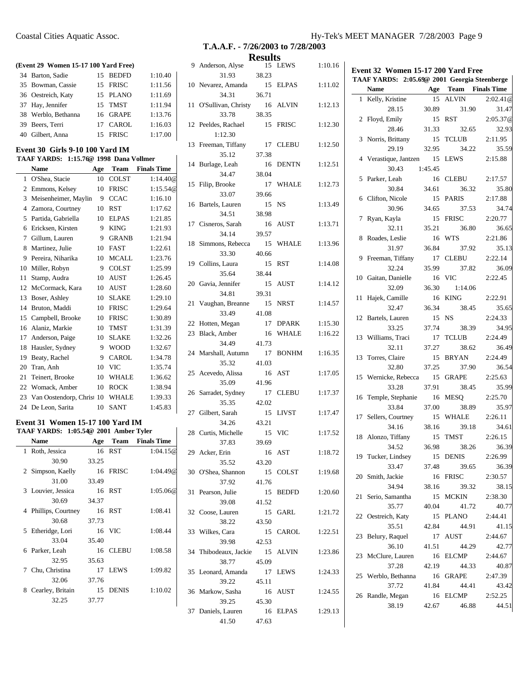#### **(Event 29 Women 15-17 100 Yard Free)**

| 34 Barton, Sadie    | 15 BEDFD | 1:10.40 |
|---------------------|----------|---------|
| 35 Bowman, Cassie   | 15 FRISC | 1:11.56 |
| 36 Oestreich, Katy  | 15 PLANO | 1:11.69 |
| 37 Hay, Jennifer    | 15 TMST  | 1:11.94 |
| 38 Werblo, Bethanna | 16 GRAPE | 1:13.76 |
| 39 Beers, Terri     | 17 CAROL | 1:16.03 |
| 40 Gilbert, Anna    | 15 FRISC | 1:17.00 |

#### **Event 30 Girls 9-10 100 Yard IM TAAF YARDS: 1:15.76@ 1998 Dana Vollmer**

# **Name Age Team Finals Time** 1 O'Shea, Stacie 10 COLST 1:14.40@

| 2  | Emmons, Kelsey         | 10 | <b>FRISC</b> | 1:15.54@ |
|----|------------------------|----|--------------|----------|
| 3  | Meisenheimer, Maylin   | 9  | <b>CCAC</b>  | 1:16.10  |
| 4  | Zamora, Courtney       | 10 | <b>RST</b>   | 1:17.62  |
| 5  | Partida, Gabriella     | 10 | <b>ELPAS</b> | 1:21.85  |
| 6  | Ericksen, Kirsten      | 9  | <b>KING</b>  | 1:21.93  |
| 7  | Gillum, Lauren         | 9  | <b>GRANB</b> | 1:21.94  |
| 8  | Martinez, Julie        | 10 | <b>FAST</b>  | 1:22.61  |
| 9  | Pereira, Niharika      | 10 | <b>MCALL</b> | 1:23.76  |
| 10 | Miller, Robyn          | 9  | <b>COLST</b> | 1:25.99  |
| 11 | Stamp, Audra           | 10 | <b>AUST</b>  | 1:26.45  |
| 12 | McCormack, Kara        | 10 | AUST         | 1:28.60  |
| 13 | Boser, Ashley          | 10 | <b>SLAKE</b> | 1:29.10  |
| 14 | Bruton, Maddi          | 10 | <b>FRISC</b> | 1:29.64  |
| 15 | Campbell, Brooke       | 10 | <b>FRISC</b> | 1:30.89  |
| 16 | Alaniz, Markie         | 10 | <b>TMST</b>  | 1:31.39  |
| 17 | Anderson, Paige        | 10 | <b>SLAKE</b> | 1:32.26  |
| 18 | Hausler, Sydney        | 9  | <b>WOOD</b>  | 1:32.67  |
| 19 | Beaty, Rachel          | 9  | CAROL        | 1:34.78  |
| 20 | Tran, Anh              | 10 | <b>VIC</b>   | 1:35.74  |
| 21 | Teinert, Brooke        | 10 | <b>WHALE</b> | 1:36.62  |
| 22 | Womack, Amber          | 10 | <b>ROCK</b>  | 1:38.94  |
| 23 | Van Oostendorp, Christ | 10 | <b>WHALE</b> | 1:39.33  |
| 24 | De Leon, Sarita        | 10 | <b>SANT</b>  | 1:45.83  |

#### **Event 31 Women 15-17 100 Yard IM TAAF YARDS: 1:05.54@ 2001 Amber Tyler**

l.

|   |                      |       | $1.000 \rightarrow 2001$ Alliott $1$ <i>jitt</i> |                    |
|---|----------------------|-------|--------------------------------------------------|--------------------|
|   | Name                 | Age   | Team                                             | <b>Finals Time</b> |
|   | 1 Roth, Jessica      |       | 16 RST                                           | 1:04.15@           |
|   | 30.90                | 33.25 |                                                  |                    |
|   | 2 Simpson, Kaelly    |       | 16 FRISC                                         | 1:04.49@           |
|   | 31.00                | 33.49 |                                                  |                    |
|   | 3 Louvier, Jessica   |       | 16 RST                                           | 1:05.06@           |
|   | 30.69                | 34.37 |                                                  |                    |
|   | 4 Phillips, Courtney |       | 16 RST                                           | 1:08.41            |
|   | 30.68                | 37.73 |                                                  |                    |
|   | 5 Etheridge, Lori    |       | 16 VIC                                           | 1:08.44            |
|   | 33.04                | 35.40 |                                                  |                    |
|   | 6 Parker, Leah       | 16    | <b>CLEBU</b>                                     | 1:08.58            |
|   | 32.95                | 35.63 |                                                  |                    |
|   | 7 Chu, Christina     | 17    | <b>LEWS</b>                                      | 1:09.82            |
|   | 32.06                | 37.76 |                                                  |                    |
| 8 | Cearley, Britain     |       | 15 DENIS                                         | 1:10.02            |
|   | 32.25                | 37.77 |                                                  |                    |
|   |                      |       |                                                  |                    |

 $\mathbf{I}$ 

# **T.A.A.F. - 7/26/2003 to 7/28/2003**

|    | <b>Results</b>                     |                      |              |         |  |
|----|------------------------------------|----------------------|--------------|---------|--|
|    | 9 Anderson, Alyse<br>31.93         | 15<br>38.23          | <b>LEWS</b>  | 1:10.16 |  |
| 10 | Nevarez, Amanda<br>34.31           | 15                   | ELPAS        | 1:11.02 |  |
| 11 | O'Sullivan, Christy                | 36.71<br>16          | ALVIN        | 1:12.13 |  |
| 12 | 33.78<br>Peeldes, Rachael          | 38.35<br>15          | <b>FRISC</b> | 1:12.30 |  |
| 13 | 1:12.30<br>Freeman, Tiffany        | 17                   | <b>CLEBU</b> | 1:12.50 |  |
| 14 | 35.12<br>Burlage, Leah             | 37.38<br>16          | <b>DENTN</b> | 1:12.51 |  |
|    | 34.47                              | 38.04                |              |         |  |
| 15 | Filip, Brooke<br>33.07             | 17<br>39.66          | <b>WHALE</b> | 1:12.73 |  |
| 16 | Bartels, Lauren<br>34.51           | 15<br>38.98          | NS           | 1:13.49 |  |
| 17 | Cisneros, Sarah<br>34.14           | 16<br>39.57          | AUST         | 1:13.71 |  |
| 18 | Simmons, Rebecca                   | 15                   | <b>WHALE</b> | 1:13.96 |  |
| 19 | 33.30<br>Collins, Laura            | 40.66<br>15          | <b>RST</b>   | 1:14.08 |  |
| 20 | 35.64<br>Gavia, Jennifer           | 38.44<br>15          | <b>AUST</b>  | 1:14.12 |  |
| 21 | 34.81<br>Vaughan, Breanne          | 39.31<br>15          | <b>NRST</b>  | 1:14.57 |  |
|    | 33.49<br>22 Hotten, Megan          | 41.08<br>17          | <b>DPARK</b> | 1:15.30 |  |
| 23 | Black, Amber                       | 16                   | <b>WHALE</b> | 1:16.22 |  |
| 24 | 34.49<br>Marshall, Autumn<br>35.32 | 41.73<br>17<br>41.03 | <b>BONHM</b> | 1:16.35 |  |
| 25 | Acevedo, Alissa                    | 16                   | AST          | 1:17.05 |  |
| 26 | 35.09<br>Sarradet, Sydney          | 41.96<br>17          | <b>CLEBU</b> | 1:17.37 |  |
| 27 | 35.35<br>Gilbert, Sarah<br>34.26   | 42.02<br>15<br>43.21 | <b>LIVST</b> | 1:17.47 |  |
| 28 | Curtis, Michelle<br>37.83          | 15<br>39.69          | VIC          | 1:17.52 |  |
|    | 29 Acker, Erin<br>35.52            | 16<br>43.20          | AST          | 1:18.72 |  |
|    | 30 O'Shea, Shannon<br>37.92        | 15<br>41.76          | COLST        | 1:19.68 |  |
|    | 31 Pearson, Julie<br>39.08         | 41.52                | 15 BEDFD     | 1:20.60 |  |
|    | 32 Coose, Lauren<br>38.22          | 43.50                | 15 GARL      | 1:21.72 |  |
| 33 | Wilkes, Cara<br>39.98              | 42.53                | 15 CAROL     | 1:22.51 |  |
| 34 | Thibodeaux, Jackie<br>38.77        | 15<br>45.09          | ALVIN        | 1:23.86 |  |
|    | 35 Leonard, Amanda<br>39.22        | 17<br>45.11          | LEWS         | 1:24.33 |  |
|    | 36 Markow, Sasha<br>39.25          | 16<br>45.30          | AUST         | 1:24.55 |  |
|    | 37 Daniels, Lauren<br>41.50        | 16<br>47.63          | ELPAS        | 1:29.13 |  |

|    | TAAF YARDS: 2:05.69@ 2001 Georgia Steenberge |         |                         |          |
|----|----------------------------------------------|---------|-------------------------|----------|
|    | $\overline{\phantom{a}}$ Age<br>Name         |         | <b>Team</b> Finals Time |          |
| 1  | Kelly, Kristine 15 ALVIN                     |         |                         | 2:02.41@ |
|    | 28.15                                        | 30.89   | 31.90                   | 31.47    |
|    | 2 Floyd, Emily                               | 15      | RST                     | 2:05.37@ |
|    | 28.46                                        | 31.33   | 32.65                   | 32.93    |
| 3  | Norris, Brittany                             | 15      | TCLUB                   | 2:11.95  |
|    | 29.19                                        | 32.95   | 34.22                   | 35.59    |
| 4  | Verastique, Jantzen 15                       |         | LEWS                    | 2:15.88  |
|    | 30.43                                        | 1:45.45 |                         |          |
| 5  | Parker, Leah                                 | 16      | <b>CLEBU</b>            | 2:17.57  |
|    | 30.84                                        | 34.61   | 36.32                   | 35.80    |
|    | 6 Clifton, Nicole                            | 15      | <b>PARIS</b>            | 2:17.88  |
|    | 30.96                                        | 34.65   | 37.53                   | 34.74    |
| 7  | Ryan, Kayla                                  | 15      | <b>FRISC</b>            | 2:20.77  |
|    | 32.11                                        | 35.21   | 36.80                   | 36.65    |
| 8  | Roades, Leslie                               | 16      | <b>WTS</b>              | 2:21.86  |
|    | 31.97                                        | 36.84   | 37.92                   | 35.13    |
| 9  | Freeman, Tiffany                             | 17      | <b>CLEBU</b>            | 2:22.14  |
|    | 32.24                                        | 35.99   | 37.82                   | 36.09    |
|    | 10 Gaitan, Danielle                          | - 16    | <b>VIC</b>              | 2:22.45  |
|    | 32.09                                        | 36.30   | 1:14.06                 |          |
| 11 | Hajek, Camille                               | 16      | <b>KING</b>             | 2:22.91  |
|    | 32.47                                        | 36.34   | 38.45                   | 35.65    |
|    |                                              | 15      | NS                      | 2:24.33  |
|    | 12 Bartels, Lauren                           |         |                         |          |
|    | 33.25                                        | 37.74   | 38.39                   | 34.95    |
|    | 13 Williams, Traci                           | 17      | <b>TCLUB</b>            | 2:24.49  |
|    | 32.11                                        | 37.27   | 38.62                   | 36.49    |
|    | 13 Torres, Claire                            | 15      | <b>BRYAN</b>            | 2:24.49  |
|    | 32.80                                        | 37.25   | 37.90                   | 36.54    |
| 15 | Wernicke, Rebecca 15                         |         | <b>GRAPE</b>            | 2:25.63  |
|    | 33.28                                        | 37.91   | 38.45                   | 35.99    |
|    | 16 Temple, Stephanie                         | 16      | MESQ                    | 2:25.70  |
|    | 33.84                                        | 37.00   | 38.89                   | 35.97    |
| 17 | Sellers, Courtney                            | 15      | <b>WHALE</b>            | 2:26.11  |
|    | 34.16                                        | 38.16   | 39.18                   | 34.61    |
|    | 18 Alonzo, Tiffany                           | 15      | TMST                    | 2:26.15  |
|    | 34.52                                        | 36.98   | 38.26                   | 36.39    |
| 19 | Tucker, Lindsey                              | 15      | <b>DENIS</b>            | 2:26.99  |
|    | 33.47                                        | 37.48   | 39.65                   | 36.39    |
|    | 20 Smith, Jackie                             | 16      | <b>FRISC</b>            | 2:30.57  |
|    | 34.94                                        | 38.16   | 39.32                   | 38.15    |
| 21 | Serio, Samantha                              | 15      | <b>MCKIN</b>            | 2:38.30  |
|    | 35.77                                        | 40.04   | 41.72                   | 40.77    |
|    | 22 Oestreich, Katy                           | 15      | <b>PLANO</b>            | 2:44.41  |
|    | 35.51                                        | 42.84   | 44.91                   | 41.15    |
| 23 | Belury, Raquel                               | 17      | AUST                    | 2:44.67  |
|    | 36.10                                        | 41.51   | 44.29                   | 42.77    |
| 23 | McClure, Lauren                              | 16      | <b>ELCMP</b>            | 2:44.67  |
|    | 37.28                                        | 42.19   | 44.33                   | 40.87    |
| 25 | Werblo, Bethanna                             | 16      | <b>GRAPE</b>            | 2:47.39  |
|    | 37.72                                        | 41.84   | 44.41                   | 43.42    |
| 26 | Randle, Megan                                | 16      | <b>ELCMP</b>            | 2:52.25  |
|    |                                              |         |                         |          |
|    | 38.19                                        | 42.67   | 46.88                   | 44.51    |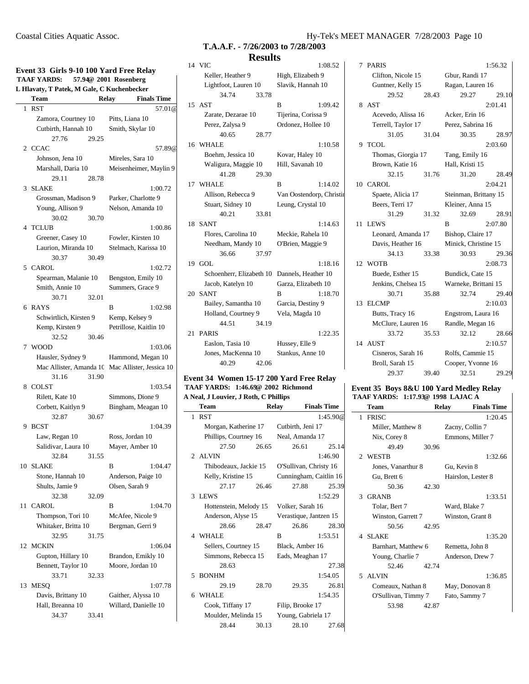| Event 33 Girls 9-10 100 Yard Free Relay |                                                                  |       |                                                  |  |
|-----------------------------------------|------------------------------------------------------------------|-------|--------------------------------------------------|--|
|                                         | <b>TAAF YARDS:</b><br>L Hlavaty, T Patek, M Gale, C Kuchenbecker |       | 57.94@ 2001 Rosenberg                            |  |
|                                         | Team                                                             |       | Relay<br><b>Finals Time</b>                      |  |
|                                         | 1 RST                                                            |       | 57.01@                                           |  |
|                                         | Zamora, Courtney 10                                              |       | Pitts, Liana 10                                  |  |
|                                         | Cutbirth, Hannah 10                                              |       | Smith, Skylar 10                                 |  |
|                                         | 27.76                                                            | 29.25 |                                                  |  |
|                                         | 2 CCAC                                                           |       | 57.89@                                           |  |
|                                         | Johnson, Jena 10                                                 |       | Mireles, Sara 10                                 |  |
|                                         | Marshall, Daria 10                                               |       | Meisenheimer, Maylin 9                           |  |
|                                         | 29.11                                                            | 28.78 |                                                  |  |
| 3                                       | <b>SLAKE</b>                                                     |       | 1:00.72                                          |  |
|                                         | Grossman, Madison 9                                              |       | Parker, Charlotte 9                              |  |
|                                         | Young, Allison 9                                                 |       | Nelson, Amanda 10                                |  |
|                                         | 30.02                                                            | 30.70 |                                                  |  |
|                                         | 4 TCLUB                                                          |       | 1:00.86                                          |  |
|                                         | Greener, Casey 10                                                |       | Fowler, Kirsten 10                               |  |
|                                         | Laurion, Miranda 10                                              |       | Stelmach, Karissa 10                             |  |
|                                         | 30.37                                                            | 30.49 |                                                  |  |
|                                         | 5 CAROL                                                          |       | 1:02.72                                          |  |
|                                         | Spearman, Malanie 10                                             |       | Bengston, Emily 10                               |  |
|                                         | Smith, Annie 10                                                  |       | Summers, Grace 9                                 |  |
|                                         | 30.71                                                            | 32.01 |                                                  |  |
|                                         | 6 RAYS                                                           |       | 1:02.98<br>В                                     |  |
|                                         | Schwirtlich, Kirsten 9                                           |       | Kemp, Kelsey 9                                   |  |
|                                         | Kemp, Kirsten 9                                                  |       | Petrillose, Kaitlin 10                           |  |
|                                         | 32.52                                                            | 30.46 |                                                  |  |
| $7^{\circ}$                             | <b>WOOD</b>                                                      |       | 1:03.06                                          |  |
|                                         | Hausler, Sydney 9                                                |       | Hammond, Megan 10                                |  |
|                                         |                                                                  |       | Mac Allister, Amanda 10 Mac Allister, Jessica 10 |  |
|                                         | 31.16                                                            | 31.90 |                                                  |  |
| 8                                       | <b>COLST</b>                                                     |       | 1:03.54                                          |  |
|                                         | Rilett, Kate 10                                                  |       | Simmons, Dione 9                                 |  |
|                                         | Corbett, Kaitlyn 9                                               |       | Bingham, Meagan 10                               |  |
|                                         | 32.87<br><b>BCST</b>                                             | 30.67 |                                                  |  |
| 9                                       |                                                                  |       | 1:04.39<br>Ross, Jordan 10                       |  |
|                                         | Law, Regan 10<br>Salidivar, Laura 10                             |       | Mayer, Amber 10                                  |  |
|                                         | 32.84                                                            | 31.55 |                                                  |  |
| 10                                      | <b>SLAKE</b>                                                     |       | 1:04.47<br>В                                     |  |
|                                         | Stone, Hannah 10                                                 |       | Anderson, Paige 10                               |  |
|                                         | Shults, Jamie 9                                                  |       | Olsen, Sarah 9                                   |  |
|                                         | 32.38                                                            | 32.09 |                                                  |  |
| 11                                      | CAROL                                                            |       | 1:04.70<br>B                                     |  |
|                                         | Thompson, Tori 10                                                |       | McAfee, Nicole 9                                 |  |
|                                         | Whitaker, Britta 10                                              |       | Bergman, Gerri 9                                 |  |
|                                         | 32.95                                                            | 31.75 |                                                  |  |
| 12                                      | <b>MCKIN</b>                                                     |       | 1:06.04                                          |  |
|                                         | Gupton, Hillary 10                                               |       | Brandon, Emikly 10                               |  |
|                                         | Bennett, Taylor 10                                               |       | Moore, Jordan 10                                 |  |
|                                         | 33.71                                                            | 32.33 |                                                  |  |
| 13                                      | <b>MESO</b>                                                      |       | 1:07.78                                          |  |
|                                         | Davis, Brittany 10                                               |       | Gaither, Alyssa 10                               |  |
|                                         | Hall, Breanna 10                                                 |       | Willard, Danielle 10                             |  |
|                                         | 34.37                                                            | 33.41 |                                                  |  |

# **T.A.A.F. - 7/26/2003 to 7/28/2003 Results**

|    | 14 VIC                                       |       |                          | 1:08.52 |  |
|----|----------------------------------------------|-------|--------------------------|---------|--|
|    | Keller, Heather 9                            |       | High, Elizabeth 9        |         |  |
|    | Lightfoot, Lauren 10                         |       | Slavik, Hannah 10        |         |  |
|    | 34.74                                        | 33.78 |                          |         |  |
|    | 15 AST                                       |       | B                        | 1:09.42 |  |
|    | Zarate, Dezarae 10                           |       | Tijerina, Corissa 9      |         |  |
|    | Perez, Zalysa 9                              |       | Ordonez, Hollee 10       |         |  |
|    | 40.65                                        | 28.77 |                          |         |  |
|    | 16 WHALE                                     |       |                          | 1:10.58 |  |
|    | Boehm, Jessica 10                            |       | Kovar, Haley 10          |         |  |
|    | Waligura, Maggie 10                          |       | Hill, Savanah 10         |         |  |
|    | 41.28                                        | 29.30 |                          |         |  |
|    | 17 WHALE                                     |       | B                        | 1:14.02 |  |
|    | Allison, Rebecca 9                           |       | Van Oostendorp, Christir |         |  |
|    | Stuart, Sidney 10                            |       | Leung, Crystal 10        |         |  |
|    | 40.21                                        | 33.81 |                          |         |  |
| 18 | <b>SANT</b>                                  |       |                          | 1:14.63 |  |
|    | Flores, Carolina 10                          |       | Meckie, Rahela 10        |         |  |
|    | Needham, Mandy 10                            |       | O'Brien, Maggie 9        |         |  |
|    | 36.66                                        | 37.97 |                          |         |  |
| 19 | GOL.                                         |       |                          | 1:18.16 |  |
|    | Schoenherr, Elizabeth 10 Dannels, Heather 10 |       |                          |         |  |
|    | Jacob, Katelyn 10                            |       | Garza, Elizabeth 10      |         |  |
|    | 20 SANT                                      |       | B                        | 1:18.70 |  |
|    | Bailey, Samantha 10                          |       | Garcia, Destiny 9        |         |  |
|    | Holland, Courtney 9                          |       | Vela, Magda 10           |         |  |
|    | 44.51                                        | 34.19 |                          |         |  |
| 21 | <b>PARIS</b>                                 |       |                          | 1:22.35 |  |
|    | Easlon, Tasia 10                             |       | Hussey, Elle 9           |         |  |
|    | Jones, MacKenna 10                           |       | Stankus, Anne 10         |         |  |
|    | 40.29                                        | 42.06 |                          |         |  |
|    |                                              |       |                          |         |  |

### **Event 34 Women 15-17 200 Yard Free Relay TAAF YARDS: 1:46.69@ 2002 Richmond**

**A Neal, J Louvier, J Roth, C Phillips Team Relay Finals Time** 1 RST 1:45.90@ Morgan, Katherine 17 Cutbirth, Jeni 17 Phillips, Courtney 16 Neal, Amanda 17 27.50 26.65 26.61 25.14 2 ALVIN 1:46.90 Thibodeaux, Jackie 15 O'Sullivan, Christy 16 Kelly, Kristine 15 Cunningham, Caitlin 16 27.17 26.46 27.88 25.39 3 LEWS 1:52.29 Hottenstein, Melody 15 Volker, Sarah 16 Anderson, Alyse 15 Verastique, Jantzen 15 28.66 28.47 26.86 28.30 4 WHALE B 1:53.51 Sellers, Courtney 15 Black, Amber 16 Simmons, Rebecca 15 Eads, Meaghan 17 28.63 27.38 5 BONHM 1:54.05 29.19 28.70 29.35 26.81 6 WHALE 1:54.35 Cook, Tiffany 17 Filip, Brooke 17 Moulder, Melinda 15 Young, Gabriela 17 28.44 30.13 28.10 27.68

| 7  | <b>PARIS</b>                  |       |                       | 1:56.32 |
|----|-------------------------------|-------|-----------------------|---------|
|    | Clifton, Nicole 15            |       | Gbur, Randi 17        |         |
|    | Guntner, Kelly 15             |       | Ragan, Lauren 16      |         |
|    | 29.52                         | 28.43 | 29.27                 | 29.10   |
|    | 8 AST                         |       |                       | 2:01.41 |
|    | Acevedo, Alissa 16            |       | Acker, Erin 16        |         |
|    | Terrell, Taylor 17            |       | Perez, Sabrina 16     |         |
|    | 31.05                         | 31.04 | 30.35                 | 28.97   |
|    | 9 TCOL                        |       |                       | 2:03.60 |
|    | Thomas, Giorgia 17            |       | Tang, Emily 16        |         |
|    | Brown, Katie 16               |       | Hall, Kristi 15       |         |
|    | 32.15                         | 31.76 | 31.20                 | 28.49   |
|    | 10 CAROL                      |       |                       | 2:04.21 |
|    | Spaete, Alicia 17             |       | Steinman, Brittany 15 |         |
|    | Beers, Terri 17               |       | Kleiner, Anna 15      |         |
|    | 31.29                         | 31.32 | 32.69                 | 28.91   |
| 11 | <b>LEWS</b>                   |       | B                     | 2:07.80 |
|    | Leonard, Amanda 17            |       | Bishop, Claire 17     |         |
|    | Davis, Heather 16             |       | Minick, Christine 15  |         |
|    | 34.13                         | 33.38 | 30.93                 | 29.36   |
|    | 12 WOTB                       |       |                       | 2:08.73 |
|    | Buede, Esther 15              |       | Bundick, Cate 15      |         |
|    | Jenkins, Chelsea 15           |       | Warneke, Brittani 15  |         |
|    | 30.71                         | 35.88 | 32.74                 | 29.40   |
| 13 | <b>ELCMP</b>                  |       |                       | 2:10.03 |
|    | Butts, Tracy 16               |       | Engstrom, Laura 16    |         |
|    | McClure, Lauren 16            |       | Randle, Megan 16      |         |
|    | 33.72                         | 35.53 | 32.12                 | 28.66   |
|    | 14 AUST<br>Cisneros, Sarah 16 |       | Rolfs, Cammie 15      | 2:10.57 |
|    | Broll, Sarah 15               |       | Cooper, Yvonne 16     |         |
|    | 29.37                         | 39.40 | 32.51                 | 29.29   |
|    |                               |       |                       |         |

#### **Event 35 Boys 8&U 100 Yard Medley Relay TAAF YARDS: 1:17.93@ 1998 LAJAC A**

| Team                |       | <b>Relay</b>       | <b>Finals Time</b> |
|---------------------|-------|--------------------|--------------------|
| 1 FRISC             |       |                    | 1:20.45            |
| Miller, Matthew 8   |       | Zacny, Collin 7    |                    |
| Nix, Corey 8        |       | Emmons, Miller 7   |                    |
| 49.49               | 30.96 |                    |                    |
| 2 WESTB             |       |                    | 1:32.66            |
| Jones, Vanarthur 8  |       | Gu, Kevin 8        |                    |
| Gu, Brett 6         |       | Hairslon, Lester 8 |                    |
| 50.36               | 42.30 |                    |                    |
| GRANB<br>3          |       |                    | 1:33.51            |
| Tolar, Bert 7       |       | Ward, Blake 7      |                    |
| Winston, Garrett 7  |       | Winston, Grant 8   |                    |
| 50.56               | 42.95 |                    |                    |
| 4 SLAKE             |       |                    | 1:35.20            |
| Barnhart, Matthew 6 |       | Remetta, John 8    |                    |
| Young, Charlie 7    |       | Anderson, Drew 7   |                    |
| 52.46               | 42.74 |                    |                    |
| AL VIN<br>5         |       |                    | 1:36.85            |
| Comeaux, Nathan 8   |       | May, Donovan 8     |                    |
| O'Sullivan, Timmy 7 |       | Fato, Sammy 7      |                    |
| 53.98               | 42.87 |                    |                    |
|                     |       |                    |                    |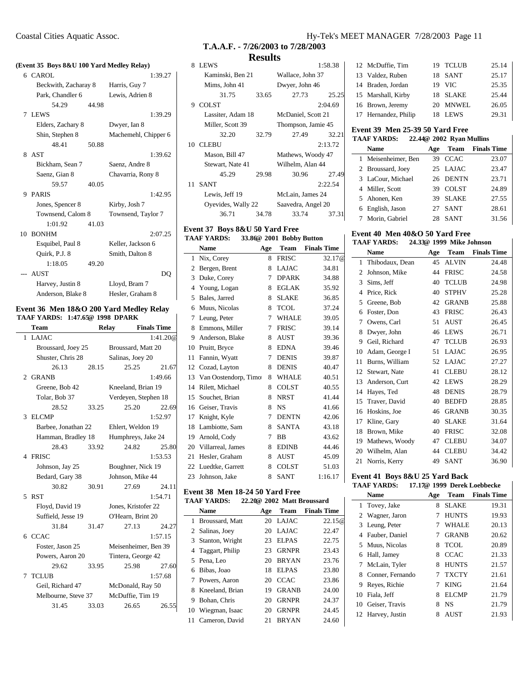# **(Event 35 Boys 8&U 100 Yard Medley Relay)**

| 6 CAROL              |       | 1:39.27              |
|----------------------|-------|----------------------|
| Beckwith, Zacharay 8 |       | Harris, Guy 7        |
| Park, Chandler 6     |       | Lewis, Adrien 8      |
| 54.29                | 44.98 |                      |
| 7 LEWS               |       | 1:39.29              |
| Elders, Zachary 8    |       | Dwyer, Ian 8         |
| Shin, Stephen 8      |       | Machemehl, Chipper 6 |
| 48.41                | 50.88 |                      |
| 8 AST                |       | 1:39.62              |
| Bickham, Sean 7      |       | Saenz, Andre 8       |
| Saenz, Gian 8        |       | Chavarria, Rony 8    |
| 59.57                | 40.05 |                      |
| 9 PARIS              |       | 1:42.95              |
| Jones, Spencer 8     |       | Kirby, Josh 7        |
| Townsend, Calom 8    |       | Townsend, Taylor 7   |
| 1:01.92              | 41.03 |                      |
| 10 BONHM             |       | 2:07.25              |
| Esquibel, Paul 8     |       | Keller, Jackson 6    |
| Ouirk, P.J. 8        |       | Smith, Dalton 8      |
| 1:18.05              | 49.20 |                      |
| --- AUST             |       | DO                   |
| Harvey, Justin 8     |       | Lloyd, Bram 7        |
| Anderson, Blake 8    |       | Hesler, Graham 8     |
|                      |       |                      |

#### **Event 36 Men 18&O 200 Yard Medley Relay TAAF YARDS: 1:47.65@ 1998 DPARK**

| Team                |       | Relay                | <b>Finals Time</b> |
|---------------------|-------|----------------------|--------------------|
| <b>LAJAC</b><br>1   |       |                      | 1:41.20@           |
| Broussard, Joey 25  |       | Broussard, Matt 20   |                    |
| Shuster, Chris 28   |       | Salinas, Joey 20     |                    |
| 26.13               | 28.15 | 25.25                | 21.67              |
| 2 GRANB             |       |                      | 1:49.66            |
| Greene, Bob 42      |       | Kneeland, Brian 19   |                    |
| Tolar, Bob 37       |       | Verdeyen, Stephen 18 |                    |
| 28.52               | 33.25 | 25.20                | 22.69              |
| <b>ELCMP</b><br>3   |       |                      | 1:52.97            |
| Barbee, Jonathan 22 |       | Ehlert, Weldon 19    |                    |
| Hamman, Bradley 18  |       | Humphreys, Jake 24   |                    |
| 28.43               | 33.92 | 24.82                | 25.80              |
| 4 FRISC             |       |                      | 1:53.53            |
| Johnson, Jay 25     |       | Boughner, Nick 19    |                    |
| Bedard, Gary 38     |       | Johnson, Mike 44     |                    |
| 30.82               | 30.91 | 27.69                | 24.11              |
| <b>RST</b><br>5.    |       |                      | 1:54.71            |
| Floyd, David 19     |       | Jones, Kristofer 22  |                    |
| Suffield, Jesse 19  |       | O'Hearn, Brint 20    |                    |
| 31.84               | 31.47 | 27.13                | 24.27              |
| 6 CCAC              |       |                      | 1:57.15            |
| Foster, Jason 25    |       | Meisenheimer, Ben 39 |                    |
| Powers, Aaron 20    |       | Tintera, George 42   |                    |
| 29.62               | 33.95 | 25.98                | 27.60              |
| <b>TCLUB</b><br>7   |       | 1:57.68              |                    |
| Geil, Richard 47    |       | McDonald, Ray 50     |                    |
| Melbourne, Steve 37 |       | McDuffie, Tim 19     |                    |
| 31.45               | 33.03 | 26.65                | 26.55              |
|                     |       |                      |                    |

# **T.A.A.F. - 7/26/2003 to 7/28/2003**

### **Results**

| 8  | <b>LEWS</b>        |       |                    | 1:58.38 |
|----|--------------------|-------|--------------------|---------|
|    | Kaminski, Ben 21   |       | Wallace, John 37   |         |
|    | Mims, John 41      |       | Dwyer, John 46     |         |
|    | 31.75              | 33.65 | 27.73              | 25.25   |
| Q  | <b>COLST</b>       |       |                    | 2:04.69 |
|    | Lassiter, Adam 18  |       | McDaniel, Scott 21 |         |
|    | Miller, Scott 39   |       | Thompson, Jamie 45 |         |
|    | 32.20              | 32.79 | 27.49              | 32.21   |
| 10 | <b>CLEBU</b>       |       |                    | 2:13.72 |
|    | Mason, Bill 47     |       | Mathews, Woody 47  |         |
|    | Stewart, Nate 41   |       | Wilhelm, Alan 44   |         |
|    | 45.29              | 29.98 | 30.96              | 27.49   |
| 11 | <b>SANT</b>        |       |                    | 2:22.54 |
|    | Lewis, Jeff 19     |       | McLain, James 24   |         |
|    | Oyevides, Wally 22 |       | Saavedra, Angel 20 |         |
|    | 36.71              | 34.78 | 33.74              | 37.31   |

#### **Event 37 Boys 8&U 50 Yard Free TAAF YARDS: 33.86@ 2001 Bobby Button**

|                | <b>Name</b>          | Age | <b>Team</b>  | <b>Finals Time</b> |
|----------------|----------------------|-----|--------------|--------------------|
| 1              | Nix, Corey           | 8   | <b>FRISC</b> | 32.17@             |
| $\overline{c}$ | Bergen, Brent        | 8   | <b>LAJAC</b> | 34.81              |
| 3              | Duke, Corey          | 7   | <b>DPARK</b> | 34.88              |
| 4              | Young, Logan         | 8   | <b>EGLAK</b> | 35.92              |
| 5              | Bales, Jarred        | 8   | <b>SLAKE</b> | 36.85              |
| 6              | Muus, Nicolas        | 8   | <b>TCOL</b>  | 37.24              |
| 7              | Leung, Peter         | 7   | <b>WHALE</b> | 39.05              |
| 8              | Emmons, Miller       | 7   | <b>FRISC</b> | 39.14              |
| 9              | Anderson, Blake      | 8   | <b>AUST</b>  | 39.36              |
| 10             | Pruitt, Bryce        | 8   | <b>EDNA</b>  | 39.46              |
| 11             | Fannin, Wyatt        | 7   | <b>DENIS</b> | 39.87              |
| 12             | Cozad, Layton        | 8   | <b>DENIS</b> | 40.47              |
| 13             | Van Oostendorp, Timo | 8   | <b>WHALE</b> | 40.51              |
| 14             | Rilett, Michael      | 8   | <b>COLST</b> | 40.55              |
| 15             | Souchet, Brian       | 8   | <b>NRST</b>  | 41.44              |
| 16             | Geiser, Travis       | 8   | <b>NS</b>    | 41.66              |
| 17             | Knight, Kyle         | 7   | <b>DENTN</b> | 42.06              |
| 18             | Lambiotte, Sam       | 8   | <b>SANTA</b> | 43.18              |
| 19             | Arnold, Cody         | 7   | <b>BB</b>    | 43.62              |
| 20             | Villarreal, James    | 8   | <b>EDINB</b> | 44.46              |
| 21             | Hesler, Graham       | 8   | <b>AUST</b>  | 45.09              |
| 22             | Luedtke, Garrett     | 8   | <b>COLST</b> | 51.03              |
| 23             | Johnson, Jake        | 8   | <b>SANT</b>  | 1:16.17            |

# **Event 38 Men 18-24 50 Yard Free**

|    | TAAF YARDS:       |     | 22.20@ 2002 Matt Broussard |                    |
|----|-------------------|-----|----------------------------|--------------------|
|    | <b>Name</b>       | Age | Team                       | <b>Finals Time</b> |
| 1  | Broussard, Matt   | 20  | LAJAC                      | 22.15@             |
|    | 2 Salinas, Joey   | 20  | <b>LAJAC</b>               | 22.47              |
|    | 3 Stanton, Wright | 23  | <b>ELPAS</b>               | 22.75              |
| 4  | Taggart, Philip   | 23  | <b>GRNPR</b>               | 23.43              |
|    | 5 Pena, Leo       | 20  | <b>BRYAN</b>               | 23.76              |
| 6  | Bibas, Joao       | 18  | <b>ELPAS</b>               | 23.80              |
|    | 7 Powers, Aaron   | 20  | <b>CCAC</b>                | 23.86              |
| 8  | Kneeland, Brian   | 19  | <b>GRANB</b>               | 24.00              |
| 9  | Bohan, Chris      | 20  | <b>GRNPR</b>               | 24.37              |
| 10 | Wiegman, Isaac    | 20  | <b>GRNPR</b>               | 24.45              |
| 11 | Cameron, David    | 21  | <b>BRYAN</b>               | 24.60              |

### Coastal Cities Aquatic Assoc. Hy-Tek's MEET MANAGER 7/28/2003 Page 11

| 12 McDuffie, Tim     | 19 TCLUB          | 25.14 |
|----------------------|-------------------|-------|
| 13 Valdez, Ruben     | 18 SANT           | 25.17 |
| 14 Braden, Jordan    | <b>VIC</b><br>19  | 25.35 |
| 15 Marshall, Kirby   | 18 SLAKE          | 25.44 |
| 16 Brown, Jeremy     | MNWEL<br>20.      | 26.05 |
| 17 Hernandez, Philip | <b>LEWS</b><br>18 | 29.31 |

#### **Event 39 Men 25-39 50 Yard Free**

# **TAAF YARDS: 22.44@ 2002 Ryan Mullins**

| <b>Name</b>         | Age |              | <b>Team</b> Finals Time |
|---------------------|-----|--------------|-------------------------|
| 1 Meisenheimer, Ben | 39. | <b>CCAC</b>  | 23.07                   |
| 2 Broussard, Joey   |     | 25 LAJAC     | 23.47                   |
| 3 LaCour, Michael   |     | 26 DENTN     | 23.71                   |
| 4 Miller, Scott     | 39. | <b>COLST</b> | 24.89                   |
| 5 Ahonen, Ken       |     | 39 SLAKE     | 27.55                   |
| 6 English, Jason    | 27  | <b>SANT</b>  | 28.61                   |
| 7 Morin, Gabriel    | 28  | <b>SANT</b>  | 31.56                   |
|                     |     |              |                         |

#### **Event 40 Men 40&O 50 Yard Free TAAF YARDS: 24.33@ 1999 Mike Johnson**

| ັັັ |                 |     |              |                    |
|-----|-----------------|-----|--------------|--------------------|
|     | <b>Name</b>     | Age | Team         | <b>Finals Time</b> |
| 1   | Thibodaux, Dean | 45  | <b>ALVIN</b> | 24.48              |
| 2   | Johnson, Mike   | 44  | <b>FRISC</b> | 24.58              |
| 3   | Sims, Jeff      | 40  | <b>TCLUB</b> | 24.98              |
| 4   | Price, Rick     | 40  | <b>STPHV</b> | 25.28              |
| 5   | Greene, Bob     | 42  | <b>GRANB</b> | 25.88              |
| 6   | Foster, Don     | 43  | <b>FRISC</b> | 26.43              |
| 7   | Owens, Carl     | 51  | <b>AUST</b>  | 26.45              |
| 8   | Dwyer, John     | 46  | LEWS         | 26.71              |
| 9   | Geil, Richard   | 47  | <b>TCLUB</b> | 26.93              |
| 10  | Adam, George I  | 51  | <b>LAJAC</b> | 26.95              |
| 11  | Burns, William  | 52  | <b>LAJAC</b> | 27.27              |
| 12  | Stewart, Nate   | 41  | <b>CLEBU</b> | 28.12              |
| 13  | Anderson, Curt  | 42  | <b>LEWS</b>  | 28.29              |
| 14  | Hayes, Ted      | 48  | <b>DENIS</b> | 28.79              |
| 15  | Traver, David   | 40  | <b>BEDFD</b> | 28.85              |
| 16  | Hoskins, Joe    | 46  | <b>GRANB</b> | 30.35              |
| 17  | Kline, Gary     | 40  | <b>SLAKE</b> | 31.64              |
| 18  | Brown, Mike     | 40  | <b>FRISC</b> | 32.08              |
| 19  | Mathews, Woody  | 47  | <b>CLEBU</b> | 34.07              |
| 20  | Wilhelm, Alan   | 44  | <b>CLEBU</b> | 34.42              |
| 21  | Norris, Kerry   | 49  | <b>SANT</b>  | 36.90              |
|     |                 |     |              |                    |

# **Event 41 Boys 8&U 25 Yard Back**

**TAAF YARDS: 17.17@ 1999 Derek Loebbecke**

|    | Name              | Age | Team         | <b>Finals Time</b> |
|----|-------------------|-----|--------------|--------------------|
|    | 1 Tovey, Jake     | 8   | <b>SLAKE</b> | 19.31              |
|    | 2 Wagner, Jaron   |     | <b>HUNTS</b> | 19.93              |
|    | 3 Leung, Peter    | 7   | <b>WHALE</b> | 20.13              |
| 4  | Fauber, Daniel    |     | <b>GRANB</b> | 20.62              |
|    | 5 Muus, Nicolas   | 8   | TCOL         | 20.89              |
|    | 6 Hall, Jamey     | 8   | <b>CCAC</b>  | 21.33              |
|    | 7 McLain, Tyler   | 8   | <b>HUNTS</b> | 21.57              |
| 8  | Conner, Fernando  |     | <b>TXCTY</b> | 21.61              |
| 9  | Reves, Richie     | 7   | <b>KING</b>  | 21.64              |
| 10 | Fiala, Jeff       | 8   | ELCMP        | 21.79              |
|    | 10 Geiser, Travis | 8   | <b>NS</b>    | 21.79              |
| 12 | Harvey, Justin    | 8   | <b>AUST</b>  | 21.93              |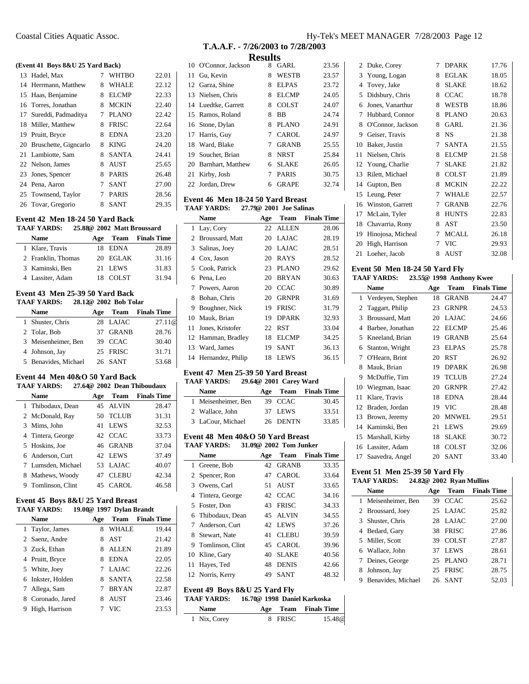#### **(Event 41 Boys 8&U 25 Yard Back)**

| 13 Hadel, Max            |   | <b>WHTBO</b> | 22.01 |
|--------------------------|---|--------------|-------|
| 14 Herrmann, Matthew     | 8 | <b>WHALE</b> | 22.12 |
| 15 Haas, Benjamine       | 8 | <b>ELCMP</b> | 22.33 |
| 16 Torres, Jonathan      | 8 | <b>MCKIN</b> | 22.40 |
| 17 Sureddi, Padmaditya   | 7 | <b>PLANO</b> | 22.42 |
| 18 Miller, Matthew       | 8 | <b>FRISC</b> | 22.64 |
| 19 Pruitt, Bryce         | 8 | <b>EDNA</b>  | 23.20 |
| 20 Bruschette, Gignearlo | 8 | <b>KING</b>  | 24.20 |
| 21 Lambiotte, Sam        | 8 | <b>SANTA</b> | 24.41 |
| 22 Nelson, James         | 8 | <b>AUST</b>  | 25.65 |
| 23 Jones, Spencer        | 8 | <b>PARIS</b> | 26.48 |
| 24 Pena, Aaron           | 7 | <b>SANT</b>  | 27.00 |
| 25 Townsend, Taylor      | 7 | <b>PARIS</b> | 28.56 |
| 26 Tovar, Gregorio       | 8 | <b>SANT</b>  | 29.35 |

#### **Event 42 Men 18-24 50 Yard Back**

| <b>TAAF YARDS:</b> |                    | 25.88@ 2002 Matt Broussard |          |                         |  |
|--------------------|--------------------|----------------------------|----------|-------------------------|--|
|                    | Name               | Age                        |          | <b>Team</b> Finals Time |  |
|                    | 1 Klare, Travis    |                            | 18 EDNA  | 28.89                   |  |
|                    | 2 Franklin, Thomas |                            | 20 EGLAK | 31.16                   |  |
|                    | 3 Kaminski, Ben    |                            | 21 LEWS  | 31.83                   |  |
|                    | 4 Lassiter, Adam   |                            | 18 COLST | 31.94                   |  |

# **Event 43 Men 25-39 50 Yard Back**

## **TAAF YARDS: 28.12@ 2002 Bob Tolar**

| Name                 | Age |              | <b>Team</b> Finals Time |
|----------------------|-----|--------------|-------------------------|
| 1 Shuster, Chris     |     | 28 LAJAC     | 27.11@                  |
| 2 Tolar, Bob         | 37  | <b>GRANB</b> | 28.76                   |
| 3 Meisenheimer, Ben  |     | 39 CCAC      | 30.40                   |
| 4 Johnson, Jay       |     | 25 FRISC     | 31.71                   |
| 5 Benavides, Michael |     | 26 SANT      | 53.68                   |

#### **Event 44 Men 40&O 50 Yard Back**

**TAAF YARDS: 27.64@ 2002 Dean Thiboudaux**

|   | Name               | Age | Team         | <b>Finals Time</b> |
|---|--------------------|-----|--------------|--------------------|
|   | 1 Thibodaux, Dean  |     | 45 ALVIN     | 28.47              |
|   | 2 McDonald, Ray    | 50  | <b>TCLUB</b> | 31.31              |
|   | 3 Mims, John       | 41  | <b>LEWS</b>  | 32.53              |
|   | 4 Tintera, George  |     | 42 CCAC      | 33.73              |
|   | 5 Hoskins, Joe     |     | 46 GRANB     | 37.04              |
|   | 6 Anderson, Curt   |     | 42 LEWS      | 37.49              |
|   | 7 Lumsden, Michael | 53  | <b>LAJAC</b> | 40.07              |
|   | 8 Mathews, Woody   | 47  | <b>CLEBU</b> | 42.34              |
| 9 | Tomlinson, Clint   | 45  | CAROL        | 46.58              |

#### **Event 45 Boys 8&U 25 Yard Breast TAAF YARDS: 19.00@ 1997 Dylan Brandt**

|   | <b>Name</b>       | Age |              | <b>Team</b> Finals Time |
|---|-------------------|-----|--------------|-------------------------|
|   | 1 Taylor, James   | 8   | <b>WHALE</b> | 19.44                   |
|   | 2 Saenz, Andre    | 8   | AST          | 21.42                   |
|   | 3 Zuck, Ethan     | 8.  | <b>ALLEN</b> | 21.89                   |
|   | 4 Pruitt, Bryce   | 8   | <b>EDNA</b>  | 22.05                   |
|   | 5 White, Joey     |     | 7 LAJAC      | 22.26                   |
|   | 6 Inkster, Holden | 8.  | <b>SANTA</b> | 22.58                   |
|   | 7 Allega, Sam     |     | <b>BRYAN</b> | 22.87                   |
|   | 8 Coronado, Jared | 8   | <b>AUST</b>  | 23.46                   |
| 9 | High, Harrison    |     | <b>VIC</b>   | 23.53                   |

| resuns |                      |   |              |       |  |  |
|--------|----------------------|---|--------------|-------|--|--|
|        | 10 O'Connor, Jackson | 8 | GARL         | 23.56 |  |  |
|        | 11 Gu, Kevin         | 8 | <b>WESTB</b> | 23.57 |  |  |
|        | 12 Garza, Shine      | 8 | <b>ELPAS</b> | 23.72 |  |  |
|        | 13 Nielsen, Chris    | 8 | ELCMP        | 24.05 |  |  |
|        | 14 Luedtke, Garrett  | 8 | COLST        | 24.07 |  |  |
|        | 15 Ramos, Roland     | 8 | BB           | 24.74 |  |  |
|        | 16 Stone, Dylan      | 8 | <b>PLANO</b> | 24.91 |  |  |
|        | 17 Harris, Guy       | 7 | CAROL        | 24.97 |  |  |
|        | 18 Ward, Blake       | 7 | <b>GRANB</b> | 25.55 |  |  |
|        | 19 Souchet, Brian    | 8 | <b>NRST</b>  | 25.84 |  |  |
|        | 20 Barnhart, Matthew | 6 | <b>SLAKE</b> | 26.05 |  |  |
| 21     | Kirby, Josh          | 7 | <b>PARIS</b> | 30.75 |  |  |
|        | 22 Jordan, Drew      | 6 | GRAPE        | 32.74 |  |  |
|        |                      |   |              |       |  |  |

#### **Event 46 Men 18-24 50 Yard Breast TAAF YARDS: 27.79@ 2001 Joe Salinas**

| елле тамбо.<br>$21.728$ 2001 JOC Bannas |                    |     |              |                    |
|-----------------------------------------|--------------------|-----|--------------|--------------------|
|                                         | Name               | Age | Team         | <b>Finals Time</b> |
| 1                                       | Lay, Cory          | 22  | ALLEN        | 28.06              |
| 2                                       | Broussard, Matt    | 20  | LAJAC        | 28.19              |
| 3.                                      | Salinas, Joey      | 20  | LAJAC        | 28.51              |
| 4                                       | Cox, Jason         | 20  | RAYS         | 28.52              |
|                                         | 5 Cook, Patrick    | 23  | <b>PLANO</b> | 29.62              |
| 6                                       | Pena, Leo          | 20  | <b>BRYAN</b> | 30.63              |
| 7                                       | Powers, Aaron      | 20  | <b>CCAC</b>  | 30.89              |
| 8                                       | Bohan, Chris       | 20  | <b>GRNPR</b> | 31.69              |
| 9                                       | Boughner, Nick     | 19  | <b>FRISC</b> | 31.79              |
| 10                                      | Mauk, Brian        | 19  | <b>DPARK</b> | 32.93              |
| 11                                      | Jones, Kristofer   | 22  | <b>RST</b>   | 33.04              |
|                                         | 12 Hamman, Bradley | 18  | <b>ELCMP</b> | 34.25              |
|                                         | 13 Ward, James     | 19  | <b>SANT</b>  | 36.13              |
| 14                                      | Hernandez, Philip  | 18  | LEWS         | 36.15              |

#### **Event 47 Men 25-39 50 Yard Breast TAAF YARDS: 29.64@ 2001 Carey Ward**

| <b>Name</b>         |          | Age Team Finals Time |
|---------------------|----------|----------------------|
| 1 Meisenheimer, Ben | 39 CCAC  | 30.45                |
| 2 Wallace, John     | 37 LEWS  | 33.51                |
| 3 LaCour, Michael   | 26 DENTN | 33.85                |

# **Event 48 Men 40&O 50 Yard Breast**

| <b>TAAF YARDS:</b><br>31.09@ 2002 Tom Junker |
|----------------------------------------------|
|----------------------------------------------|

|              | <b>Name</b>                   | Age | Team         | <b>Finals Time</b>          |
|--------------|-------------------------------|-----|--------------|-----------------------------|
| $\mathbf{1}$ | Greene, Bob                   | 42  | <b>GRANB</b> | 33.35                       |
|              | 2 Spencer, Ron                | 47  | CAROL        | 33.64                       |
|              | 3 Owens, Carl                 | 51  | <b>AUST</b>  | 33.65                       |
|              | 4 Tintera, George             |     | 42 CCAC      | 34.16                       |
|              | 5 Foster, Don                 |     | 43 FRISC     | 34.33                       |
|              | 6 Thibodaux, Dean             |     | 45 ALVIN     | 34.55                       |
| 7            | Anderson, Curt                |     | 42 LEWS      | 37.26                       |
|              | 8 Stewart, Nate               | 41  | <b>CLEBU</b> | 39.59                       |
|              | 9 Tomlinson, Clint            | 45  | <b>CAROL</b> | 39.96                       |
|              | 10 Kline, Gary                | 40  | <b>SLAKE</b> | 40.56                       |
| 11           | Hayes, Ted                    | 48  | <b>DENIS</b> | 42.66                       |
|              | 12 Norris, Kerry              | 49. | SANT         | 48.32                       |
|              | Event 49 Boys 8&U 25 Yard Fly |     |              |                             |
|              | <b>TAAF YARDS:</b>            |     |              | 16.70@ 1998 Daniel Karkoska |
|              |                               |     |              |                             |

| <b>Name</b>  |         | Age Team Finals Time |
|--------------|---------|----------------------|
| 1 Nix, Corey | 8 FRISC | 15.48@               |

| $2^{\circ}$ | Duke, Corey       | 7 | <b>DPARK</b> | 17.76 |
|-------------|-------------------|---|--------------|-------|
| 3           | Young, Logan      | 8 | <b>EGLAK</b> | 18.05 |
| 4           | Tovey, Jake       | 8 | SLAKE        | 18.62 |
| 5           | Didsbury, Chris   | 8 | <b>CCAC</b>  | 18.78 |
| 6           | Jones, Vanarthur  | 8 | WESTB        | 18.86 |
| 7           | Hubbard, Connor   | 8 | PLANO        | 20.63 |
| 8           | O'Connor, Jackson | 8 | GARL         | 21.36 |
| 9           | Geiser, Travis    | 8 | NS           | 21.38 |
| 10          | Baker, Justin     | 7 | <b>SANTA</b> | 21.55 |
| 11          | Nielsen, Chris    | 8 | <b>ELCMP</b> | 21.58 |
| 12          | Young, Charlie    | 7 | <b>SLAKE</b> | 21.82 |
| 13          | Rilett, Michael   | 8 | COLST        | 21.89 |
| 14          | Gupton, Ben       | 8 | <b>MCKIN</b> | 22.22 |
| 15          | Leung, Peter      | 7 | WHALE        | 22.57 |
| 16          | Winston, Garrett  | 7 | <b>GRANB</b> | 22.76 |
| 17          | McLain, Tyler     | 8 | <b>HUNTS</b> | 22.83 |
| 18          | Chavarria, Rony   | 8 | AST          | 23.50 |
| 19          | Hinojosa, Micheal | 7 | <b>MCALL</b> | 26.18 |
| 20          | High, Harrison    | 7 | VIC          | 29.93 |
| 21          | Loeher, Jacob     | 8 | AUST         | 32.08 |

#### **Event 50 Men 18-24 50 Yard Fly TAAF YARDS: 23.55@ 1998 Anthony Kwee**

|    | <b>Name</b>       | Age | Team         | <b>Finals Time</b> |
|----|-------------------|-----|--------------|--------------------|
| 1  | Verdeyen, Stephen | 18  | <b>GRANB</b> | 24.47              |
| 2  | Taggart, Philip   | 23  | <b>GRNPR</b> | 24.53              |
| 3  | Broussard, Matt   | 20  | <b>LAJAC</b> | 24.66              |
| 4  | Barbee, Jonathan  | 22  | <b>ELCMP</b> | 25.46              |
| 5  | Kneeland, Brian   | 19  | <b>GRANB</b> | 25.64              |
| 6  | Stanton, Wright   | 23  | <b>ELPAS</b> | 25.78              |
| 7  | O'Hearn, Brint    | 20  | <b>RST</b>   | 26.92              |
| 8  | Mauk, Brian       | 19  | <b>DPARK</b> | 26.98              |
| 9  | McDuffie, Tim     | 19  | <b>TCLUB</b> | 27.24              |
| 10 | Wiegman, Isaac    | 20  | <b>GRNPR</b> | 27.42              |
| 11 | Klare, Travis     | 18  | <b>EDNA</b>  | 28.44              |
| 12 | Braden, Jordan    | 19  | VIC          | 28.48              |
| 13 | Brown, Jeremy     | 20  | <b>MNWEL</b> | 29.51              |
| 14 | Kaminski, Ben     | 21  | <b>LEWS</b>  | 29.69              |
| 15 | Marshall, Kirby   | 18  | <b>SLAKE</b> | 30.72              |
| 16 | Lassiter, Adam    | 18  | <b>COLST</b> | 32.06              |
| 17 | Saavedra, Angel   | 20  | SANT         | 33.40              |

#### **Event 51 Men 25-39 50 Yard Fly TAAF YARDS: 24.82@ 2002 Ryan Mullins**

|   | іллі ілішэ.          |     | 44.04% 4004 Kyall Mullillis |                    |
|---|----------------------|-----|-----------------------------|--------------------|
|   | Name                 | Age | <b>Team</b>                 | <b>Finals Time</b> |
|   | 1 Meisenheimer, Ben  | 39  | <b>CCAC</b>                 | 25.62              |
|   | 2 Broussard, Joey    |     | 25 LAJAC                    | 25.82              |
|   | 3 Shuster, Chris     | 28  | LAJAC                       | 27.00              |
|   | 4 Bedard, Gary       | 38  | <b>FRISC</b>                | 27.86              |
|   | 5 Miller, Scott      | 39  | <b>COLST</b>                | 27.87              |
|   | 6 Wallace, John      | 37  | <b>LEWS</b>                 | 28.61              |
|   | 7 Deines, George     | 25. | <b>PLANO</b>                | 28.71              |
| 8 | Johnson, Jay         | 25  | <b>FRISC</b>                | 28.75              |
|   | 9 Benavides, Michael | 26  | <b>SANT</b>                 | 52.03              |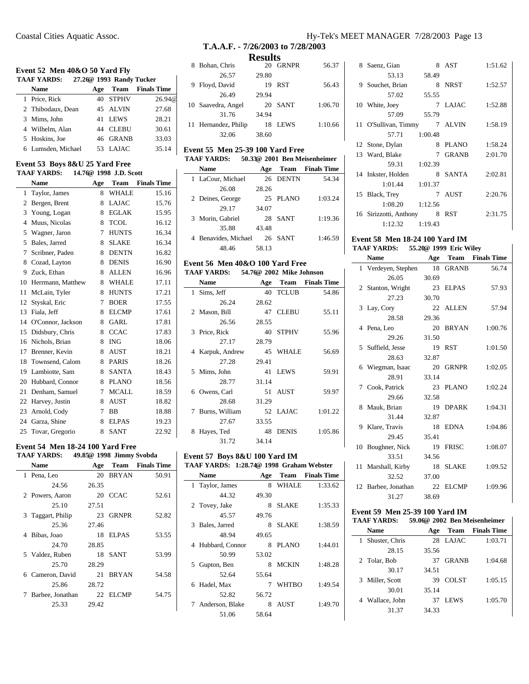#### **Event 52 Men 40&O 50 Yard Fly TAAF YARDS: 27.26@ 1993 Randy Tucker**

| TAAF TARDS:        |     | 27,200 1993 Kandy Tucker |                    |
|--------------------|-----|--------------------------|--------------------|
| <b>Name</b>        | Age | Team                     | <b>Finals Time</b> |
| 1 Price, Rick      | 40  | <b>STPHV</b>             | 26.94@             |
| 2 Thibodaux, Dean  |     | 45 ALVIN                 | 27.68              |
| 3 Mims, John       | 41  | <b>LEWS</b>              | 28.21              |
| 4 Wilhelm, Alan    | 44  | <b>CLEBU</b>             | 30.61              |
| 5 Hoskins, Joe     | 46  | <b>GRANB</b>             | 33.03              |
| 6 Lumsden, Michael | 53  | LAJAC                    | 35.14              |

#### **Event 53 Boys 8&U 25 Yard Free TAAF YARDS: 14.76@ 1998 J.D. Scott**

|    | <b>Name</b>          | Age | Team         | <b>Finals Time</b> |
|----|----------------------|-----|--------------|--------------------|
| 1  | Taylor, James        | 8   | <b>WHALE</b> | 15.16              |
| 2  | Bergen, Brent        | 8   | LAJAC        | 15.76              |
| 3  | Young, Logan         | 8   | EGLAK        | 15.95              |
| 4  | Muus, Nicolas        | 8   | <b>TCOL</b>  | 16.12              |
| 5  | Wagner, Jaron        | 7   | <b>HUNTS</b> | 16.34              |
| 5  | Bales, Jarred        | 8   | SLAKE        | 16.34              |
| 7  | Scribner, Paden      | 8   | <b>DENTN</b> | 16.82              |
| 8  | Cozad, Layton        | 8   | <b>DENIS</b> | 16.90              |
|    | 9 Zuck, Ethan        | 8   | ALLEN        | 16.96              |
| 10 | Herrmann, Matthew    | 8   | WHALE        | 17.11              |
| 11 | McLain, Tyler        | 8   | <b>HUNTS</b> | 17.21              |
| 12 | Styskal, Eric        | 7   | <b>BOER</b>  | 17.55              |
| 13 | Fiala, Jeff          | 8   | <b>ELCMP</b> | 17.61              |
|    | 14 O'Connor, Jackson | 8   | <b>GARL</b>  | 17.81              |
| 15 | Didsbury, Chris      | 8   | <b>CCAC</b>  | 17.83              |
| 16 | Nichols, Brian       | 8   | <b>ING</b>   | 18.06              |
| 17 | Brenner, Kevin       | 8   | AUST         | 18.21              |
|    | 18 Townsend, Calom   | 8   | PARIS        | 18.26              |
| 19 | Lambiotte, Sam       | 8   | <b>SANTA</b> | 18.43              |
|    | 20 Hubbard, Connor   | 8   | PLANO        | 18.56              |
| 21 | Denham, Samuel       | 7   | <b>MCALL</b> | 18.59              |
| 22 | Harvey, Justin       | 8   | <b>AUST</b>  | 18.82              |
| 23 | Arnold, Cody         | 7   | BB           | 18.88              |
| 24 | Garza, Shine         | 8   | <b>ELPAS</b> | 19.23              |
| 25 | Tovar, Gregorio      | 8   | <b>SANT</b>  | 22.92              |

#### **Event 54 Men 18-24 100 Yard Free**

| TAAF YARDS:        | 49.85@ 1998 Jimmy Svobda |              |                         |
|--------------------|--------------------------|--------------|-------------------------|
| <b>Name</b>        | Age                      |              | <b>Team</b> Finals Time |
| 1 Pena, Leo        |                          | 20 BRYAN     | 50.91                   |
| 24.56              | 26.35                    |              |                         |
| 2 Powers, Aaron    |                          | 20 CCAC      | 52.61                   |
| 25.10              | 27.51                    |              |                         |
| 3 Taggart, Philip  |                          | 23 GRNPR     | 52.82                   |
| 25.36              | 27.46                    |              |                         |
| 4 Bibas, Joao      |                          | 18 ELPAS     | 53.55                   |
| 24.70              | 28.85                    |              |                         |
| 5 Valdez, Ruben    |                          | 18 SANT      | 53.99                   |
| 25.70              | 28.29                    |              |                         |
| 6 Cameron, David   | 21                       | <b>BRYAN</b> | 54.58                   |
| 25.86              | 28.72                    |              |                         |
| 7 Barbee, Jonathan |                          | 22 ELCMP     | 54.75                   |
| 25.33              | 29.42                    |              |                         |

# Coastal Cities Aquatic Assoc. Hy-Tek's MEET MANAGER 7/28/2003 Page 13

# **T.A.A.F. - 7/26/2003 to 7/28/2003 Results**

| 8 Bohan, Chris       |       | 20 GRNPR    | 56.37   |
|----------------------|-------|-------------|---------|
| 26.57                | 29.80 |             |         |
| 9 Floyd, David       | 19    | <b>RST</b>  | 56.43   |
| 26.49                | 29.94 |             |         |
| 10 Saavedra, Angel   | 20    | SANT        | 1:06.70 |
| 31.76                | 34.94 |             |         |
| 11 Hernandez, Philip | 18    | <b>LEWS</b> | 1:10.66 |
| 32.06                | 38.60 |             |         |
|                      |       |             |         |

# **Event 55 Men 25-39 100 Yard Free**

| <b>TAAF YARDS:</b>   |       |             | 50.33@ 2001 Ben Meisenheimer |
|----------------------|-------|-------------|------------------------------|
| <b>Name</b>          | Age   | Team        | <b>Finals Time</b>           |
| 1 LaCour, Michael    |       | 26 DENTN    | 54.34                        |
| 26.08                | 28.26 |             |                              |
| 2 Deines, George     | 25    | PLANO       | 1:03.24                      |
| 29.17                | 34.07 |             |                              |
| 3 Morin, Gabriel     | 28    | <b>SANT</b> | 1:19.36                      |
| 35.88                | 43.48 |             |                              |
| 4 Benavides, Michael | 26    | <b>SANT</b> | 1:46.59                      |
| 48.46                | 58.13 |             |                              |

#### **Event 56 Men 40&O 100 Yard Free TAAF YARDS: 54.76@ 2002 Mike Johnson**

| TAAF YARDS: |                  | 54.76@ 2002 Mike Johnson |              |                    |
|-------------|------------------|--------------------------|--------------|--------------------|
|             | <b>Name</b>      | Age                      | Team         | <b>Finals Time</b> |
|             | 1 Sims, Jeff     | 40                       | <b>TCLUB</b> | 54.86              |
|             | 26.24            | 28.62                    |              |                    |
|             | 2 Mason, Bill    | 47                       | <b>CLEBU</b> | 55.11              |
|             | 26.56            | 28.55                    |              |                    |
| 3           | Price, Rick      | 40                       | <b>STPHV</b> | 55.96              |
|             | 27.17            | 28.79                    |              |                    |
|             | 4 Karpuk, Andrew | 45                       | <b>WHALE</b> | 56.69              |
|             | 27.28            | 29.41                    |              |                    |
|             | 5 Mims, John     | 41                       | <b>LEWS</b>  | 59.91              |
|             | 28.77            | 31.14                    |              |                    |
|             | 6 Owens, Carl    | 51                       | <b>AUST</b>  | 59.97              |
|             | 28.68            | 31.29                    |              |                    |
| 7           | Burns, William   |                          | 52 LAJAC     | 1:01.22            |
|             | 27.67            | 33.55                    |              |                    |
| 8           | Hayes, Ted       | 48                       | <b>DENIS</b> | 1:05.86            |
|             | 31.72            | 34.14                    |              |                    |

#### **Event 57 Boys 8&U 100 Yard IM TAAF YARDS: 1:28.74@ 1998 Graham Webster**

ш,

|   | <b>Name</b>       | Age   |              | <b>Team</b> Finals Time |
|---|-------------------|-------|--------------|-------------------------|
|   | 1 Taylor, James   | 8     | <b>WHALE</b> | 1:33.62                 |
|   | 44.32             | 49.30 |              |                         |
|   | 2 Tovey, Jake     | 8     | <b>SLAKE</b> | 1:35.33                 |
|   | 45.57             | 49.76 |              |                         |
| 3 | Bales, Jarred     | 8     | <b>SLAKE</b> | 1:38.59                 |
|   | 48.94             | 49.65 |              |                         |
|   | 4 Hubbard, Connor | 8     | PLANO        | 1:44.01                 |
|   | 50.99             | 53.02 |              |                         |
| 5 | Gupton, Ben       | 8     | <b>MCKIN</b> | 1:48.28                 |
|   | 52.64             | 55.64 |              |                         |
|   | 6 Hadel, Max      | 7     | <b>WHTBO</b> | 1:49.54                 |
|   | 52.82             | 56.72 |              |                         |
|   | 7 Anderson, Blake | 8     | <b>AUST</b>  | 1:49.70                 |
|   | 51.06             | 58.64 |              |                         |

| 8  | Saenz, Gian            | 8       | AST          | 1:51.62 |
|----|------------------------|---------|--------------|---------|
|    | 53.13                  | 58.49   |              |         |
| 9. | Souchet, Brian         | 8       | <b>NRST</b>  | 1:52.57 |
|    | 57.02                  | 55.55   |              |         |
|    | 10 White, Joey         |         | 7 LAJAC      | 1:52.88 |
|    | 57.09                  | 55.79   |              |         |
|    | 11 O'Sullivan, Timmy   |         | 7 ALVIN      | 1:58.19 |
|    | 57.71                  | 1:00.48 |              |         |
|    | 12 Stone, Dylan        | 8       | <b>PLANO</b> | 1:58.24 |
|    | 13 Ward, Blake         | 7       | <b>GRANB</b> | 2:01.70 |
|    | 59.31                  | 1:02.39 |              |         |
|    | 14 Inkster, Holden     | 8       | <b>SANTA</b> | 2:02.81 |
|    | 1:01.44                | 1:01.37 |              |         |
|    | 15 Black, Trey         | 7       | <b>AUST</b>  | 2:20.76 |
|    | 1:08.20                | 1:12.56 |              |         |
|    | 16 Sirizzotti, Anthony | 8       | RST          | 2:31.75 |
|    | 1:12.32                | 1:19.43 |              |         |

#### **Event 58 Men 18-24 100 Yard IM TAAF YARDS: 55.20@ 1999 Eric Wiley**

| іллі іліш». | $33.208$ $1777$ EIR WHEN |               |
|-------------|--------------------------|---------------|
| Name        |                          | Age Team Fina |

|    | <b>Name</b>         | Age   | <b>Team</b>  | <b>Finals Time</b> |
|----|---------------------|-------|--------------|--------------------|
|    | 1 Verdeyen, Stephen | 18    | <b>GRANB</b> | 56.74              |
|    | 26.05               | 30.69 |              |                    |
|    | 2 Stanton, Wright   | 23    | <b>ELPAS</b> | 57.93              |
|    | 27.23               | 30.70 |              |                    |
|    | 3 Lay, Cory         | 22.   | <b>ALLEN</b> | 57.94              |
|    | 28.58               | 29.36 |              |                    |
|    | 4 Pena, Leo         | 20    | <b>BRYAN</b> | 1:00.76            |
|    | 29.26               | 31.50 |              |                    |
|    | 5 Suffield, Jesse   | 19    | <b>RST</b>   | 1:01.50            |
|    | 28.63               | 32.87 |              |                    |
|    | 6 Wiegman, Isaac    | 20    | <b>GRNPR</b> | 1:02.05            |
|    | 28.91               | 33.14 |              |                    |
|    | 7 Cook, Patrick     | 23    | <b>PLANO</b> | 1:02.24            |
|    | 29.66               | 32.58 |              |                    |
|    | 8 Mauk, Brian       | 19    | <b>DPARK</b> | 1:04.31            |
|    | 31.44               | 32.87 |              |                    |
| 9. | Klare, Travis       | 18    | <b>EDNA</b>  | 1:04.86            |
|    | 29.45               | 35.41 |              |                    |
|    | 10 Boughner, Nick   | 19    | <b>FRISC</b> | 1:08.07            |
|    | 33.51               | 34.56 |              |                    |
| 11 | Marshall, Kirby     | 18    | <b>SLAKE</b> | 1:09.52            |
|    | 32.52               | 37.00 |              |                    |
|    | 12 Barbee, Jonathan | 22    | ELCMP        | 1:09.96            |
|    | 31.27               | 38.69 |              |                    |

### **Event 59 Men 25-39 100 Yard IM**

#### **TAAF YARDS: 59.06@ 2002 Ben Meisenheimer**

|   | <b>Name</b>     | Age   |              | <b>Team</b> Finals Time |
|---|-----------------|-------|--------------|-------------------------|
| 1 | Shuster, Chris  | 28    | <b>LAJAC</b> | 1:03.71                 |
|   | 28.15           | 35.56 |              |                         |
|   | 2 Tolar, Bob    | 37    | <b>GRANB</b> | 1:04.68                 |
|   | 30.17           | 34.51 |              |                         |
|   | 3 Miller, Scott | 39    | <b>COLST</b> | 1:05.15                 |
|   | 30.01           | 35.14 |              |                         |
|   | 4 Wallace, John | 37    | <b>LEWS</b>  | 1:05.70                 |
|   | 31.37           | 34.33 |              |                         |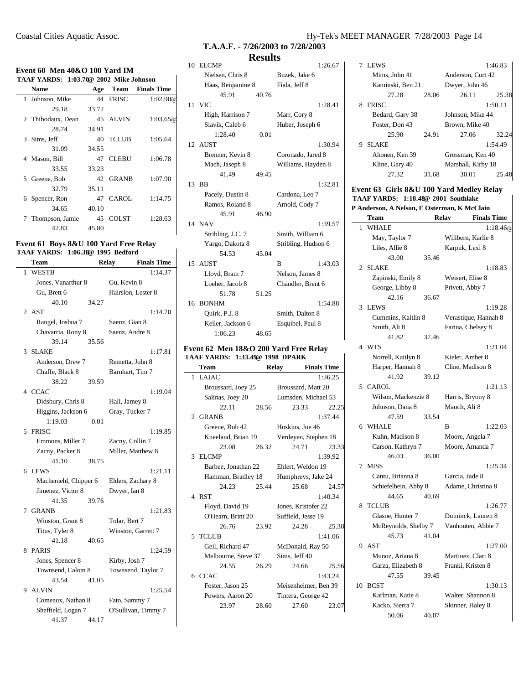# **Event 60 Men 40&O 100 Yard IM**

|   | TAAF YARDS: 1:03.70@ 2002 Mike Johnson |       |              |                         |
|---|----------------------------------------|-------|--------------|-------------------------|
|   | Name                                   | Age   |              | <b>Team</b> Finals Time |
|   | 1 Johnson, Mike                        |       | 44 FRISC     | 1:02.90@                |
|   | 29.18                                  | 33.72 |              |                         |
|   | 2 Thibodaux, Dean                      |       | 45 ALVIN     | 1:03.65@                |
|   | 28.74                                  | 34.91 |              |                         |
|   | 3 Sims, Jeff                           |       | 40 TCLUB     | 1:05.64                 |
|   | 31.09                                  | 34.55 |              |                         |
|   | 4 Mason, Bill                          | 47    | <b>CLEBU</b> | 1:06.78                 |
|   | 33.55                                  | 33.23 |              |                         |
|   | 5 Greene, Bob                          |       | 42 GRANB     | 1:07.90                 |
|   | 32.79                                  | 35.11 |              |                         |
| 6 | Spencer, Ron                           | 47    | CAROL        | 1:14.75                 |
|   | 34.65                                  | 40.10 |              |                         |
| 7 | Thompson, Jamie                        | 45    | <b>COLST</b> | 1:28.63                 |
|   | 42.83                                  | 45.80 |              |                         |

#### **Event 61 Boys 8&U 100 Yard Free Relay TAAF YARDS: 1:06.38@ 1995 Bedford**

|   | Team                 |       | Relay               | <b>Finals Time</b> |
|---|----------------------|-------|---------------------|--------------------|
| 1 | <b>WESTB</b>         |       |                     | 1:14.37            |
|   | Jones, Vanarthur 8   |       | Gu, Kevin 8         |                    |
|   | Gu, Brett 6          |       | Hairslon, Lester 8  |                    |
|   | 40.10                | 34.27 |                     |                    |
| 2 | AST                  |       |                     | 1:14.70            |
|   | Rangel, Joshua 7     |       | Saenz, Gian 8       |                    |
|   | Chavarria, Rony 8    |       | Saenz, Andre 8      |                    |
|   | 39.14                | 35.56 |                     |                    |
| 3 | <b>SLAKE</b>         |       |                     | 1:17.81            |
|   | Anderson, Drew 7     |       | Remetta, John 8     |                    |
|   | Chaffe, Black 8      |       | Barnhart, Tim 7     |                    |
|   | 38.22                | 39.59 |                     |                    |
|   | 4 CCAC               |       |                     | 1:19.04            |
|   | Didsbury, Chris 8    |       | Hall, Jamey 8       |                    |
|   | Higgins, Jackson 6   |       | Gray, Tucker 7      |                    |
|   | 1:19.03              | 0.01  |                     |                    |
|   | 5 FRISC              |       |                     | 1:19.85            |
|   | Emmons, Miller 7     |       | Zacny, Collin 7     |                    |
|   | Zacny, Packer 8      |       | Miller, Matthew 8   |                    |
|   | 41.10                | 38.75 |                     |                    |
| 6 | <b>LEWS</b>          |       |                     | 1:21.11            |
|   | Machemehl, Chipper 6 |       | Elders, Zachary 8   |                    |
|   | Jimenez, Victor 8    |       | Dwyer, Ian 8        |                    |
|   | 41.35                | 39.76 |                     |                    |
|   | 7 GRANB              |       |                     | 1:21.83            |
|   | Winston, Grant 8     |       | Tolar, Bert 7       |                    |
|   | Titus, Tyler 8       |       | Winston, Garrett 7  |                    |
|   | 41.18                | 40.65 |                     |                    |
| 8 | <b>PARIS</b>         |       |                     | 1:24.59            |
|   | Jones, Spencer 8     |       | Kirby, Josh 7       |                    |
|   | Townsend, Calom 8    |       | Townsend, Taylor 7  |                    |
|   | 43.54                | 41.05 |                     |                    |
|   | 9 ALVIN              |       |                     | 1:25.54            |
|   | Comeaux, Nathan 8    |       | Fato, Sammy 7       |                    |
|   | Sheffield, Logan 7   |       | O'Sullivan, Timmy 7 |                    |
|   | 41.37                | 44.17 |                     |                    |

# **T.A.A.F. - 7/26/2003 to 7/28/2003 Results**

 $\mathbf{r}$ 

 $\overline{\phantom{0}}$ 

|    |                   | wwww  |                     |         |
|----|-------------------|-------|---------------------|---------|
|    | 10 ELCMP          |       |                     | 1:26.67 |
|    | Nielsen, Chris 8  |       | Buzek, Jake 6       |         |
|    | Haas, Benjamine 8 |       | Fiala, Jeff 8       |         |
|    | 45.91             | 40.76 |                     |         |
| 11 | <b>VIC</b>        |       |                     | 1:28.41 |
|    | High, Harrison 7  |       | Marr, Cory 8        |         |
|    | Slavik, Caleb 6   |       | Huber, Joseph 6     |         |
|    | 1:28.40           | 0.01  |                     |         |
|    | 12 AUST           |       |                     | 1:30.94 |
|    | Brenner, Kevin 8  |       | Coronado, Jared 8   |         |
|    | Mach, Jaseph 8    |       | Williams, Hayden 8  |         |
|    | 41.49             | 49.45 |                     |         |
| 13 | BB                |       |                     | 1:32.81 |
|    | Pacely, Dustin 8  |       | Cardona, Leo 7      |         |
|    | Ramos, Roland 8   |       | Arnold, Cody 7      |         |
|    | 45.91             | 46.90 |                     |         |
|    | 14 NAV            |       |                     | 1:39.57 |
|    | Stribling, J.C. 7 |       | Smith, William 6    |         |
|    | Yargo, Dakota 8   |       | Stribling, Hudson 6 |         |
|    | 54.53             | 45.04 |                     |         |
|    | 15 AUST           |       | B                   | 1:43.03 |
|    | Lloyd, Bram 7     |       | Nelson, James 8     |         |
|    | Loeher, Jacob 8   |       | Chandler, Brent 6   |         |
|    | 51.78             | 51.25 |                     |         |
|    | 16 BONHM          |       |                     | 1:54.88 |
|    | Quirk, P.J. 8     |       | Smith, Dalton 8     |         |
|    | Keller, Jackson 6 |       | Esquibel, Paul 8    |         |
|    | 1:06.23           | 48.65 |                     |         |
|    |                   |       |                     |         |

#### **Event 62 Men 18&O 200 Yard Free Relay TAAF YARDS: 1:33.49@ 1998 DPARK**

|    | Team                |       | <b>Relay</b>         | <b>Finals Time</b> |
|----|---------------------|-------|----------------------|--------------------|
| 1  | <b>LAJAC</b>        |       |                      | 1:36.25            |
|    | Broussard, Joey 25  |       | Broussard, Matt 20   |                    |
|    | Salinas, Joey 20    |       | Lumsden, Michael 53  |                    |
|    | 22.11               | 28.56 | 23.33                | 22.25              |
|    | 2 GRANB             |       |                      | 1:37.44            |
|    | Greene, Bob 42      |       | Hoskins, Joe 46      |                    |
|    | Kneeland, Brian 19  |       | Verdeyen, Stephen 18 |                    |
|    | 23.08               | 26.32 | 24.71                | 23.33              |
| 3  | ELCMP               |       |                      | 1:39.92            |
|    | Barbee, Jonathan 22 |       | Ehlert, Weldon 19    |                    |
|    | Hamman, Bradley 18  |       | Humphreys, Jake 24   |                    |
|    | 24.23               | 25.44 | 25.68                | 24.57              |
|    | 4 RST               |       |                      | 1:40.34            |
|    | Floyd, David 19     |       | Jones, Kristofer 22  |                    |
|    | O'Hearn, Brint 20   |       | Suffield, Jesse 19   |                    |
|    | 26.76               | 23.92 | 24.28                | 25.38              |
| 5. | <b>TCLUB</b>        |       |                      | 1:41.06            |
|    | Geil, Richard 47    |       | McDonald, Ray 50     |                    |
|    | Melbourne, Steve 37 |       | Sims, Jeff 40        |                    |
|    | 24.55               | 26.29 | 24.66                | 25.56              |
|    | 6 CCAC              |       |                      | 1:43.24            |
|    | Foster, Jason 25    |       | Meisenheimer, Ben 39 |                    |
|    | Powers, Aaron 20    |       | Tintera, George 42   |                    |
|    | 23.97               | 28.60 | 27.60                | 23.07              |

|   | 7 LEWS           |       |                    | 1:46.83 |
|---|------------------|-------|--------------------|---------|
|   | Mims, John 41    |       | Anderson, Curt 42  |         |
|   | Kaminski, Ben 21 |       | Dwyer, John 46     |         |
|   | 27.28            | 28.06 | 26.11              | 25.38   |
|   | 8 FRISC          |       |                    | 1:50.11 |
|   | Bedard, Gary 38  |       | Johnson, Mike 44   |         |
|   | Foster, Don 43   |       | Brown, Mike 40     |         |
|   | 25.90            | 24.91 | 27.06              | 32.24   |
| 9 | <b>SLAKE</b>     |       |                    | 1:54.49 |
|   | Ahonen, Ken 39   |       | Grossman, Ken 40   |         |
|   | Kline, Gary 40   |       | Marshall, Kirby 18 |         |
|   | 27.32            | 31.68 | 30.01              | 25.48   |
|   |                  |       |                    |         |

#### **Event 63 Girls 8&U 100 Yard Medley Relay TAAF YARDS: 1:18.48@ 2001 Southlake P Anderson, A Nelson, E Osterman, K McClain**

 $\mathbb{R}$ 

 $\overline{\phantom{a}}$ 

|   | <b>Team</b>          |       | <b>Relay</b>       | <b>Finals Time</b>   |
|---|----------------------|-------|--------------------|----------------------|
| 1 | <b>WHALE</b>         |       |                    | 1:18.46@             |
|   | May, Taylor 7        |       | Willbern, Karlie 8 |                      |
|   | Liles, Allie 8       |       | Karpuk, Lexi 8     |                      |
|   | 43.00                | 35.46 |                    |                      |
|   | 2 SLAKE              |       |                    | 1:18.83              |
|   | Zapinski, Emily 8    |       | Weisert, Elise 8   |                      |
|   | George, Libby 8      |       | Privett, Abby 7    |                      |
|   | 42.16                | 36.67 |                    |                      |
|   | 3 LEWS               |       |                    | 1:19.28              |
|   | Cummins, Kaitlin 8   |       |                    | Verastique, Hannah 8 |
|   | Smith, Ali 8         |       | Farina, Chelsey 8  |                      |
|   | 41.82                | 37.46 |                    |                      |
|   | 4 WTS                |       |                    | 1:21.04              |
|   | Norrell, Kaitlyn 8   |       | Kieler, Amber 8    |                      |
|   | Harper, Hannah 8     |       | Cline, Madison 8   |                      |
|   | 41.92                | 39.12 |                    |                      |
|   | 5 CAROL              |       |                    | 1:21.13              |
|   | Wilson, Mackenzie 8  |       | Harris, Bryony 8   |                      |
|   | Johnson, Dana 8      |       | Mauch, Ali 8       |                      |
|   | 47.59                | 33.54 |                    |                      |
|   | 6 WHALE              |       | B                  | 1:22.03              |
|   | Kuhn, Madison 8      |       | Moore, Angela 7    |                      |
|   | Carson, Kathryn 7    |       | Moore, Amanda 7    |                      |
|   | 46.03                | 36.00 |                    |                      |
|   | 7 MISS               |       |                    | 1:25.34              |
|   | Cantu, Brianna 8     |       | Garcia, Jade 8     |                      |
|   | Schiefelbein, Abby 8 |       |                    | Adame, Christina 8   |
|   | 44.65                | 40.69 |                    |                      |
|   | 8 TCLUB              |       |                    | 1:26.77              |
|   | Glasoe, Hunter 7     |       |                    | Duininck, Lauren 8   |
|   | McReynolds, Shelby 7 |       |                    | Vanhouten, Abbie 7   |
|   | 45.73                | 41.04 |                    |                      |
|   | 9 AST                |       |                    | 1:27.00              |
|   | Munoz, Ariana 8      |       | Martinez, Clari 8  |                      |
|   | Garza, Elizabeth 8   |       | Franki, Kristen 8  |                      |
|   | 47.55                | 39.45 |                    |                      |
|   | 10 BCST              |       |                    | 1:30.13              |
|   | Karlman, Katie 8     |       |                    | Walter, Shannon 8    |
|   | Kacko, Sierra 7      |       | Skinner, Haley 8   |                      |
|   | 50.06                | 40.07 |                    |                      |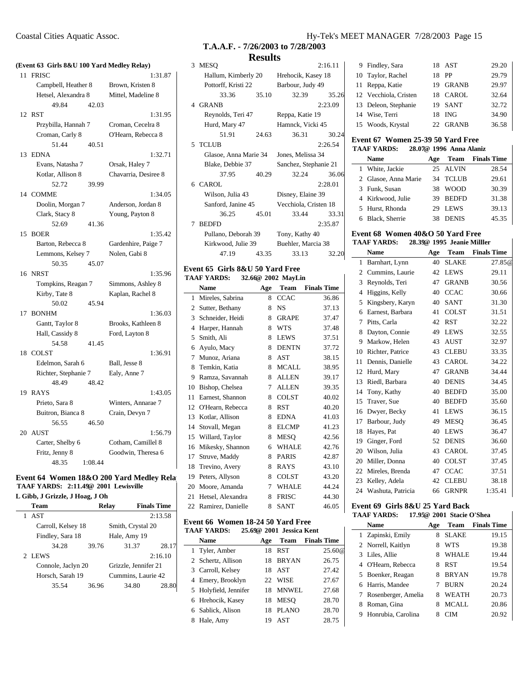| (Event 63 Girls 8&U 100 Yard Medley Relay) |                      |                      |  |  |
|--------------------------------------------|----------------------|----------------------|--|--|
| 11                                         | <b>FRISC</b>         | 1:31.87              |  |  |
|                                            | Campbell, Heather 8  | Brown, Kristen 8     |  |  |
|                                            | Hetsel, Alexandra 8  | Mittel, Madeline 8   |  |  |
|                                            | 49.84<br>42.03       |                      |  |  |
|                                            | 12 RST               | 1:31.95              |  |  |
|                                            | Przybilla, Hannah 7  | Croman, Cecelra 8    |  |  |
|                                            | Croman, Carly 8      | O'Hearn, Rebecca 8   |  |  |
|                                            | 40.51<br>51.44       |                      |  |  |
|                                            | 13 EDNA              | 1:32.71              |  |  |
|                                            | Evans, Natasha 7     | Orsak, Haley 7       |  |  |
|                                            | Kotlar, Allison 8    | Chavarria, Desiree 8 |  |  |
|                                            | 39.99<br>52.72       |                      |  |  |
|                                            | 14 COMME             | 1:34.05              |  |  |
|                                            | Doolin, Morgan 7     | Anderson, Jordan 8   |  |  |
|                                            | Clark, Stacy 8       | Young, Payton 8      |  |  |
|                                            | 52.69<br>41.36       |                      |  |  |
|                                            | 15 BOER              | 1:35.42              |  |  |
|                                            | Barton, Rebecca 8    | Gardenhire, Paige 7  |  |  |
|                                            | Lemmons, Kelsey 7    | Nolen. Gabi 8        |  |  |
|                                            | 50.35<br>45.07       |                      |  |  |
|                                            | 16 NRST              | 1:35.96              |  |  |
|                                            | Tompkins, Reagan 7   | Simmons, Ashley 8    |  |  |
|                                            | Kirby, Tate 8        | Kaplan, Rachel 8     |  |  |
|                                            | 50.02<br>45.94       |                      |  |  |
|                                            | 17 BONHM             | 1:36.03              |  |  |
|                                            | Gantt, Taylor 8      | Brooks, Kathleen 8   |  |  |
|                                            | Hall, Cassidy 8      | Ford, Layton 8       |  |  |
|                                            | 54.58<br>41.45       |                      |  |  |
|                                            | 18 COLST             | 1:36.91              |  |  |
|                                            | Edelmon, Sarah 6     | Ball, Jesse 8        |  |  |
|                                            | Richter, Stephanie 7 | Ealy, Anne 7         |  |  |
|                                            | 48.49<br>48.42       |                      |  |  |
|                                            | 19 RAYS              | 1:43.05              |  |  |
|                                            | Prieto, Sara 8       | Winters, Annarae 7   |  |  |
|                                            | Buitron, Bianca 8    | Crain, Devyn 7       |  |  |
|                                            | 56.55<br>46.50       |                      |  |  |
|                                            | 20 AUST              | 1:56.79              |  |  |
|                                            | Carter, Shelby 6     | Cotham, Camillel 8   |  |  |
|                                            | Fritz, Jenny 8       | Goodwin, Theresa 6   |  |  |
|                                            | 48.35<br>1:08.44     |                      |  |  |

# **Event 64 Women 18&O 200 Yard Medley Relay TAAF YARDS: 2:11.49@ 2001 Lewisville**

| L Gibb, J Grizzle, J Hoag, J Oh |                    |       |                      |                    |
|---------------------------------|--------------------|-------|----------------------|--------------------|
|                                 | <b>Team</b>        |       | Relay                | <b>Finals Time</b> |
|                                 | <b>AST</b>         |       |                      | 2:13.58            |
|                                 | Carroll, Kelsey 18 |       | Smith, Crystal 20    |                    |
|                                 | Findley, Sara 18   |       | Hale, Amy 19         |                    |
|                                 | 34.28              | 39.76 | 31.37                | 28.17              |
|                                 | 2 LEWS             |       |                      | 2:16.10            |
|                                 | Connole, Jaclyn 20 |       | Grizzle, Jennifer 21 |                    |
|                                 | Horsch, Sarah 19   |       | Cummins, Laurie 42   |                    |
|                                 | 35.54              | 36.96 | 34.80                | 28.80              |

# **T.A.A.F. - 7/26/2003 to 7/28/2003 Results**

|   |                       | wwww  |                       |         |
|---|-----------------------|-------|-----------------------|---------|
| 3 | <b>MESQ</b>           |       |                       | 2:16.11 |
|   | Hallum, Kimberly 20   |       | Hrehocik, Kasey 18    |         |
|   | Pottorff, Kristi 22   |       | Barbour, Judy 49      |         |
|   | 33.36                 | 35.10 | 32.39                 | 35.26   |
|   | 4 GRANB               |       |                       | 2:23.09 |
|   | Reynolds, Teri 47     |       | Reppa, Katie 19       |         |
|   | Hurd, Mary 47         |       | Hamnck, Vicki 45      |         |
|   | 51.91                 | 24.63 | 36.31                 | 30.24   |
|   | 5 TCLUB               |       |                       | 2:26.54 |
|   | Glasoe, Anna Marie 34 |       | Jones, Melissa 34     |         |
|   | Blake, Debbie 37      |       | Sanchez, Stephanie 21 |         |
|   | 37.95                 | 40.29 | 32.24                 | 36.06   |
|   | 6 CAROL               |       |                       | 2:28.01 |
|   | Wilson, Julia 43      |       | Disney, Elaine 39     |         |
|   | Sanford, Janine 45    |       | Vecchiola, Cristen 18 |         |
|   | 36.25                 | 45.01 | 33.44                 | 33.31   |
| 7 | <b>BEDFD</b>          |       |                       | 2:35.87 |
|   | Pullano, Deborah 39   |       | Tony, Kathy 40        |         |
|   | Kirkwood, Julie 39    |       | Buehler, Marcia 38    |         |
|   | 47.19                 | 43.35 | 33.13                 | 32.20   |
|   |                       |       |                       |         |

#### **Event 65 Girls 8&U 50 Yard Free TAAF YARDS: 32.66@ 2002 MayLin**

|    | <b>Name</b>       | Age | <b>Team</b>  | <b>Finals Time</b> |
|----|-------------------|-----|--------------|--------------------|
| 1  | Mireles, Sabrina  | 8   | <b>CCAC</b>  | 36.86              |
| 2  | Sutter, Bethany   | 8   | NS           | 37.13              |
| 3  | Schneider, Heidi  | 8   | <b>GRAPE</b> | 37.47              |
| 4  | Harper, Hannah    | 8   | <b>WTS</b>   | 37.48              |
| 5  | Smith, Ali        | 8   | LEWS         | 37.51              |
| 6  | Ayulo, Macy       | 8   | <b>DENTN</b> | 37.72              |
| 7  | Munoz, Ariana     | 8   | AST          | 38.15              |
| 8  | Temkin, Katia     | 8   | <b>MCALL</b> | 38.95              |
| 9  | Ramza, Savannah   | 8   | <b>ALLEN</b> | 39.17              |
| 10 | Bishop, Chelsea   | 7   | <b>ALLEN</b> | 39.35              |
| 11 | Earnest, Shannon  | 8   | <b>COLST</b> | 40.02              |
| 12 | O'Hearn, Rebecca  | 8   | <b>RST</b>   | 40.20              |
| 13 | Kotlar, Allison   | 8   | <b>EDNA</b>  | 41.03              |
| 14 | Stovall, Megan    | 8   | <b>ELCMP</b> | 41.23              |
| 15 | Willard, Taylor   | 8   | <b>MESO</b>  | 42.56              |
| 16 | Mikesky, Shannon  | 6   | <b>WHALE</b> | 42.76              |
| 17 | Struve, Maddy     | 8   | <b>PARIS</b> | 42.87              |
| 18 | Trevino, Avery    | 8   | <b>RAYS</b>  | 43.10              |
| 19 | Peters, Allyson   | 8   | <b>COLST</b> | 43.20              |
| 20 | Moore, Amanda     | 7   | <b>WHALE</b> | 44.24              |
| 21 | Hetsel, Alexandra | 8   | <b>FRISC</b> | 44.30              |
| 22 | Ramirez, Danielle | 8   | <b>SANT</b>  | 46.05              |

# **Event 66 Women 18-24 50 Yard Free**<br>TAAE VAPDS: 25.60<sup>2</sup> 2001, Jossice Key

 $\mathbf{r}$ 

|   | <b>TAAF YARDS:</b>    |     | 25.69@ 2001 Jessica Kent |                    |
|---|-----------------------|-----|--------------------------|--------------------|
|   | <b>Name</b>           | Age | Team                     | <b>Finals Time</b> |
|   | 1 Tyler, Amber        | 18  | <b>RST</b>               | 25.60@             |
|   | 2 Schertz, Allison    | 18  | <b>BRYAN</b>             | 26.75              |
|   | 3 Carroll, Kelsey     | 18  | AST                      | 27.42              |
|   | 4 Emery, Brooklyn     |     | 22 WISE                  | 27.67              |
|   | 5 Holyfield, Jennifer |     | 18 MNWEL                 | 27.68              |
|   | 6 Hrehocik, Kasey     | 18  | <b>MESO</b>              | 28.70              |
|   | 6 Sablick, Alison     | 18  | <b>PLANO</b>             | 28.70              |
| 8 | Hale, Amy             | 19  | AST                      | 28.75              |

# Coastal Cities Aquatic Assoc. Hy-Tek's MEET MANAGER 7/28/2003 Page 15

| 9 Findley, Sara       |       | 18 AST       | 29.20 |
|-----------------------|-------|--------------|-------|
| 10 Taylor, Rachel     | 18    | PP           | 29.79 |
| 11 Reppa, Katie       | 19    | <b>GRANB</b> | 29.97 |
| 12 Vecchiola, Cristen |       | 18 CAROL     | 32.64 |
| 13 Deleon, Stephanie  |       | 19 SANT      | 32.72 |
| 14 Wise, Terri        | 18    | ING          | 34.90 |
| 15 Woods, Krystal     | $22-$ | <b>GRANB</b> | 36.58 |

#### **Event 67 Women 25-39 50 Yard Free TAAF YARDS: 28.07@ 1996 Anna Alaniz**

| $20.978$ 1779 Anna Aiding |                      |     |              |                    |
|---------------------------|----------------------|-----|--------------|--------------------|
|                           | <b>Name</b>          | Age | Team         | <b>Finals Time</b> |
|                           | 1 White, Jackie      | 25. | ALVIN        | 28.54              |
|                           | 2 Glasoe, Anna Marie |     | 34 TCLUB     | 29.61              |
|                           | 3 Funk, Susan        | 38  | <b>WOOD</b>  | 30.39              |
|                           | 4 Kirkwood, Julie    | 39  | <b>BEDFD</b> | 31.38              |
|                           | 5 Hurst, Rhonda      | 29  | <b>LEWS</b>  | 39.13              |
|                           | 6 Black, Sherrie     | 38  | <b>DENIS</b> | 45.35              |
|                           |                      |     |              |                    |

 $\mathbf{I}$ 

 $\mathsf{l}$ 

#### **Event 68 Women 40&O 50 Yard Free TAAF YARDS: 28.39@ 1995 Jeanie Milller**

|    | <b>Name</b>       | Age | Team         | <b>Finals Time</b> |
|----|-------------------|-----|--------------|--------------------|
| 1  | Barnhart, Lynn    | 40  | <b>SLAKE</b> | 27.85@             |
| 2  | Cummins, Laurie   | 42  | <b>LEWS</b>  | 29.11              |
| 3  | Reynolds, Teri    | 47  | <b>GRANB</b> | 30.56              |
| 4  | Higgins, Kelly    | 40  | <b>CCAC</b>  | 30.66              |
| 5  | Kingsbery, Karyn  | 40  | <b>SANT</b>  | 31.30              |
| 6  | Earnest, Barbara  | 41  | <b>COLST</b> | 31.51              |
| 7  | Pitts, Carla      | 42  | <b>RST</b>   | 32.22              |
| 8  | Dayton, Connie    | 49  | LEWS         | 32.55              |
| 9  | Markow, Helen     | 43  | AUST         | 32.97              |
| 10 | Richter, Patrice  | 43  | CLEBU        | 33.35              |
| 11 | Dennis, Danielle  | 43  | <b>CAROL</b> | 34.22              |
| 12 | Hurd, Mary        | 47  | <b>GRANB</b> | 34.44              |
| 13 | Riedl, Barbara    | 40  | <b>DENIS</b> | 34.45              |
| 14 | Tony, Kathy       | 40  | <b>BEDFD</b> | 35.00              |
| 15 | Traver, Sue       | 40  | <b>BEDFD</b> | 35.60              |
| 16 | Dwyer, Becky      | 41  | <b>LEWS</b>  | 36.15              |
| 17 | Barbour, Judy     | 49  | <b>MESO</b>  | 36.45              |
| 18 | Hayes, Pat        | 40  | <b>LEWS</b>  | 36.47              |
| 19 | Ginger, Ford      | 52  | <b>DENIS</b> | 36.60              |
| 20 | Wilson, Julia     | 43  | CAROL        | 37.45              |
| 20 | Miller, Donna     | 40  | COLST        | 37.45              |
| 22 | Mireles, Brenda   | 47  | <b>CCAC</b>  | 37.51              |
| 23 | Kelley, Adela     | 42  | CLEBU        | 38.18              |
| 24 | Washuta, Patricia | 66  | <b>GRNPR</b> | 1:35.41            |

#### **Event 69 Girls 8&U 25 Yard Back TAAF YARDS: 17.95@ 2001 Stacie O'Shea**

|   | <b>Name</b>           | Age | Team         | <b>Finals Time</b> |
|---|-----------------------|-----|--------------|--------------------|
|   | 1 Zapinski, Emily     | 8   | <b>SLAKE</b> | 19.15              |
|   | 2 Norrell, Kaitlyn    | 8   | WTS          | 19.38              |
|   | 3 Liles, Allie        | 8   | <b>WHALE</b> | 19.44              |
|   | 4 O'Hearn, Rebecca    | 8   | <b>RST</b>   | 19.54              |
|   | 5 Boenker, Reagan     | 8   | <b>BRYAN</b> | 19.78              |
|   | 6 Harris, Mandee      |     | <b>BURN</b>  | 20.24              |
|   | 7 Rosenberger, Amelia | 8   | <b>WEATH</b> | 20.73              |
| 8 | Roman, Gina           | 8   | MCALL        | 20.86              |
|   | 9 Honrubia, Carolina  | 8   |              | 20.92              |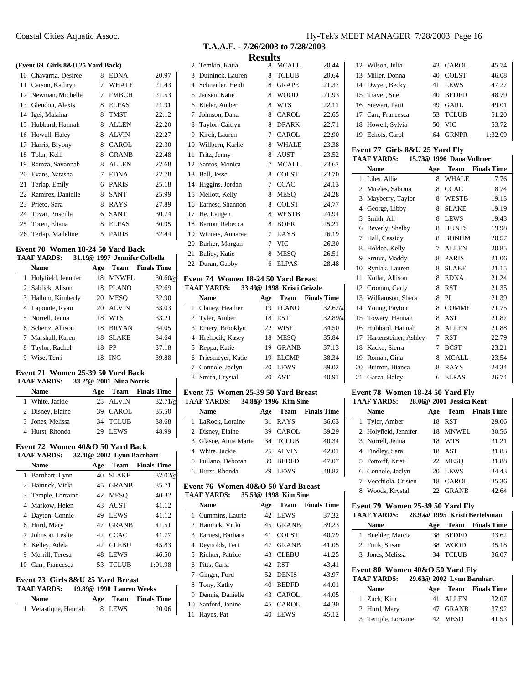#### **(Event 69 Girls 8&U 25 Yard Back)**

|    | 10 Chavarria, Desiree | 8 | <b>EDNA</b>  | 20.97 |
|----|-----------------------|---|--------------|-------|
| 11 | Carson, Kathryn       | 7 | <b>WHALE</b> | 21.43 |
|    | 12 Newman, Michelle   | 7 | <b>FMBCH</b> | 21.53 |
| 13 | Glendon, Alexis       | 8 | <b>ELPAS</b> | 21.91 |
| 14 | Igei, Malaina         | 8 | TMST         | 22.12 |
| 15 | Hubbard, Hannah       | 8 | <b>ALLEN</b> | 22.20 |
| 16 | Howell, Haley         | 8 | <b>ALVIN</b> | 22.27 |
| 17 | Harris, Bryony        | 8 | <b>CAROL</b> | 22.30 |
| 18 | Tolar, Kelli          | 8 | <b>GRANB</b> | 22.48 |
| 19 | Ramza, Savannah       | 8 | <b>ALLEN</b> | 22.68 |
| 20 | Evans, Natasha        | 7 | <b>EDNA</b>  | 22.78 |
| 21 | Terlap, Emily         | 6 | <b>PARIS</b> | 25.18 |
|    | 22 Ramirez, Danielle  | 8 | <b>SANT</b>  | 25.99 |
| 23 | Prieto, Sara          | 8 | RAYS         | 27.89 |
|    | 24 Tovar, Priscilla   | 6 | <b>SANT</b>  | 30.74 |
|    | 25 Toren, Eliana      | 8 | <b>ELPAS</b> | 30.95 |
|    | 26 Terlap, Madeline   | 5 | <b>PARIS</b> | 32.44 |

#### **Event 70 Women 18-24 50 Yard Back**

|   | TAAF YARDS:           |     |              | 31.19@ 1997 Jennifer Colbella |
|---|-----------------------|-----|--------------|-------------------------------|
|   | Name                  | Age | Team         | <b>Finals Time</b>            |
|   | 1 Holyfield, Jennifer | 18  | <b>MNWEL</b> | 30.60@                        |
|   | 2 Sablick, Alison     | 18  | PLANO        | 32.69                         |
|   | 3 Hallum, Kimberly    | 20  | <b>MESO</b>  | 32.90                         |
|   | 4 Lapointe, Ryan      | 20  | <b>ALVIN</b> | 33.03                         |
|   | 5 Norrell, Jenna      | 18  | <b>WTS</b>   | 33.21                         |
|   | 6 Schertz, Allison    | 18  | <b>BRYAN</b> | 34.05                         |
|   | 7 Marshall, Karen     | 18  | <b>SLAKE</b> | 34.64                         |
| 8 | Taylor, Rachel        | 18  | PP           | 37.18                         |
| 9 | Wise, Terri           | 18  | ING          | 39.88                         |

# **Event 71 Women 25-39 50 Yard Back**

L.

| <b>TAAF YARDS:</b> | 33.25@ 2001 Nina Norris |             |                         |
|--------------------|-------------------------|-------------|-------------------------|
| <b>Name</b>        | Age                     |             | <b>Team</b> Finals Time |
| 1 White, Jackie    |                         | 25 ALVIN    | 32.71 @                 |
| 2 Disney, Elaine   |                         | 39 CAROL    | 35.50                   |
| 3 Jones, Melissa   |                         | 34 TCLUB    | 38.68                   |
| 4 Hurst, Rhonda    | 29                      | <b>LEWS</b> | 48.99                   |

#### **Event 72 Women 40&O 50 Yard Back**

|    | 32.40@ 2002 Lynn Barnhart<br><b>TAAF YARDS:</b> |     |              |                    |  |
|----|-------------------------------------------------|-----|--------------|--------------------|--|
|    | Name                                            | Age | Team         | <b>Finals Time</b> |  |
|    | 1 Barnhart, Lynn                                | 40  | <b>SLAKE</b> | 32.02@             |  |
|    | 2 Hamnck, Vicki                                 | 45  | <b>GRANB</b> | 35.71              |  |
|    | 3 Temple, Lorraine                              |     | 42 MESO      | 40.32              |  |
|    | 4 Markow, Helen                                 | 43  | <b>AUST</b>  | 41.12              |  |
| 4  | Dayton, Connie                                  | 49  | <b>LEWS</b>  | 41.12              |  |
|    | 6 Hurd, Mary                                    | 47  | <b>GRANB</b> | 41.51              |  |
|    | Johnson, Leslie                                 |     | 42 CCAC      | 41.77              |  |
| 8  | Kelley, Adela                                   | 42  | <b>CLEBU</b> | 45.83              |  |
| 9  | Merrill, Teresa                                 | 48  | <b>LEWS</b>  | 46.50              |  |
| 10 | Carr, Francesca                                 | 53  | <b>TCLUB</b> | 1:01.98            |  |
|    |                                                 |     |              |                    |  |

### **Event 73 Girls 8&U 25 Yard Breast**

# **TAAF YARDS: 19.89@ 1998 Lauren Weeks**

| <b>Name</b>          |        | Age Team Finals Time |
|----------------------|--------|----------------------|
| 1 Verastique, Hannah | 8 LEWS | 20.06                |

|                | results             |   |              |       |  |  |  |
|----------------|---------------------|---|--------------|-------|--|--|--|
|                | 2 Temkin, Katia     | 8 | <b>MCALL</b> | 20.44 |  |  |  |
| 3              | Duininck, Lauren    | 8 | <b>TCLUB</b> | 20.64 |  |  |  |
| $\overline{4}$ | Schneider, Heidi    | 8 | <b>GRAPE</b> | 21.37 |  |  |  |
| 5              | Jensen, Katie       | 8 | <b>WOOD</b>  | 21.93 |  |  |  |
| 6              | Kieler, Amber       | 8 | <b>WTS</b>   | 22.11 |  |  |  |
| 7              | Johnson, Dana       | 8 | <b>CAROL</b> | 22.65 |  |  |  |
| 8              | Taylor, Caitlyn     | 8 | <b>DPARK</b> | 22.71 |  |  |  |
| 9              | Kirch, Lauren       | 7 | CAROL        | 22.90 |  |  |  |
|                | 10 Willbern, Karlie | 8 | <b>WHALE</b> | 23.38 |  |  |  |
| 11             | Fritz, Jenny        | 8 | AUST         | 23.52 |  |  |  |
| 12             | Santos, Monica      | 7 | <b>MCALL</b> | 23.62 |  |  |  |
| 13             | Ball, Jesse         | 8 | COLST        | 23.70 |  |  |  |
| 14             | Higgins, Jordan     | 7 | <b>CCAC</b>  | 24.13 |  |  |  |
| 15             | Mellott, Kelly      | 8 | <b>MESQ</b>  | 24.28 |  |  |  |
| 16             | Earnest, Shannon    | 8 | COLST        | 24.77 |  |  |  |
| 17             | He, Laugen          | 8 | WESTB        | 24.94 |  |  |  |
| 18             | Barton, Rebecca     | 8 | <b>BOER</b>  | 25.21 |  |  |  |
|                | 19 Winters, Annarae | 7 | RAYS         | 26.19 |  |  |  |
| 20             | Barker, Morgan      | 7 | VIC          | 26.30 |  |  |  |
| 21             | Baliey, Katie       | 8 | MESO         | 26.51 |  |  |  |
| 22             | Duran, Gabby        | 6 | <b>ELPAS</b> | 28.48 |  |  |  |
|                |                     |   |              |       |  |  |  |

#### **Event 74 Women 18-24 50 Yard Breast TAAF YARDS: 33.49@ 1998 Kristi Grizzle**

| <b>Name</b>         | Age | Team         | <b>Finals Time</b> |
|---------------------|-----|--------------|--------------------|
| 1 Claney, Heather   | 19  | <b>PLANO</b> | 32.62@             |
| 2 Tyler, Amber      | 18  | <b>RST</b>   | 32.89@             |
| 3 Emery, Brooklyn   | 22  | <b>WISE</b>  | 34.50              |
| 4 Hrehocik, Kasey   | 18  | <b>MESO</b>  | 35.84              |
| 5 Reppa, Katie      | 19  | <b>GRANB</b> | 37.13              |
| 6 Priesmeyer, Katie | 19  | <b>ELCMP</b> | 38.34              |
| 7 Connole, Jaclyn   | 20  | <b>LEWS</b>  | 39.02              |
| 8 Smith, Crystal    | 20  | <b>AST</b>   | 40.91              |

#### **Event 75 Women 25-39 50 Yard Breast TAAF YARDS: 34.88@ 1996 Kim Sine**

| IAAF IANDJ.<br>34.00% 1990 IMIII MIR |                      |     |              |                         |
|--------------------------------------|----------------------|-----|--------------|-------------------------|
|                                      | <b>Name</b>          | Age |              | <b>Team</b> Finals Time |
|                                      | 1 LaRock, Loraine    |     | 31 RAYS      | 36.63                   |
|                                      | 2 Disney, Elaine     | 39. | <b>CAROL</b> | 39.29                   |
|                                      | 3 Glasoe, Anna Marie |     | 34 TCLUB     | 40.34                   |
|                                      | 4 White, Jackie      |     | 25 ALVIN     | 42.01                   |
|                                      | 5 Pullano, Deborah   | 39  | <b>BEDFD</b> | 47.07                   |
|                                      | 6 Hurst, Rhonda      | 29  | <b>LEWS</b>  | 48.82                   |

#### **Event 76 Women 40&O 50 Yard Breast TAAF YARDS: 35.53@ 1998 Kim Sine**

|    | Name               | Age | Team         | <b>Finals Time</b> |
|----|--------------------|-----|--------------|--------------------|
|    | 1 Cummins, Laurie  |     | 42 LEWS      | 37.32              |
|    | 2 Hamnck, Vicki    | 45. | <b>GRANB</b> | 39.23              |
|    | 3 Earnest, Barbara | 41  | <b>COLST</b> | 40.79              |
|    | 4 Reynolds, Teri   | 47  | <b>GRANB</b> | 41.05              |
|    | 5 Richter, Patrice | 43  | <b>CLEBU</b> | 41.25              |
|    | 6 Pitts, Carla     | 42. | <b>RST</b>   | 43.41              |
|    | 7 Ginger, Ford     | 52. | <b>DENIS</b> | 43.97              |
| 8  | Tony, Kathy        | 40  | <b>BEDFD</b> | 44.01              |
| 9  | Dennis, Danielle   | 43. | CAROL        | 44.05              |
|    | 10 Sanford, Janine | 45. | CAROL        | 44.30              |
| 11 | Hayes, Pat         | 40  | <b>LEWS</b>  | 45.12              |

#### Coastal Cities Aquatic Assoc. Hy-Tek's MEET MANAGER 7/28/2003 Page 16

| 12 Wilson, Julia    | 43 CAROL           | 45.74   |
|---------------------|--------------------|---------|
| 13 Miller, Donna    | <b>COLST</b><br>40 | 46.08   |
| 14 Dwyer, Becky     | <b>LEWS</b><br>41  | 47.27   |
| 15 Traver, Sue      | <b>BEDFD</b><br>40 | 48.79   |
| 16 Stewart, Patti   | GARL<br>49         | 49.01   |
| 17 Carr, Francesca  | TCLUB<br>53.       | 51.20   |
| 18 Howell, Sylvia   | VIC<br>50          | 53.72   |
| Echols, Carol<br>19 | <b>GRNPR</b><br>64 | 1:32.09 |

### **Event 77 Girls 8&U 25 Yard Fly**

| <b>TAAF YARDS:</b> |                       |     | 15.73@ 1996 Dana Vollmer |                    |
|--------------------|-----------------------|-----|--------------------------|--------------------|
|                    | Name                  | Age | Team                     | <b>Finals Time</b> |
| 1                  | Liles, Allie          | 8   | WHALE                    | 17.76              |
| 2                  | Mireles, Sabrina      | 8   | <b>CCAC</b>              | 18.74              |
| 3                  | Mayberry, Taylor      | 8   | WESTB                    | 19.13              |
| 4                  | George, Libby         | 8   | <b>SLAKE</b>             | 19.19              |
| 5                  | Smith, Ali            | 8   | <b>LEWS</b>              | 19.43              |
| 6                  | Beverly, Shelby       | 8   | <b>HUNTS</b>             | 19.98              |
| 7                  | Hall, Cassidy         | 8   | <b>BONHM</b>             | 20.57              |
| 8                  | Holden, Kelly         | 7   | <b>ALLEN</b>             | 20.85              |
| 9                  | Struve, Maddy         | 8   | <b>PARIS</b>             | 21.06              |
| 10                 | Ryniak, Lauren        | 8   | SLAKE                    | 21.15              |
| 11                 | Kotlar, Allison       | 8   | <b>EDNA</b>              | 21.24              |
| 12                 | Croman, Carly         | 8   | <b>RST</b>               | 21.35              |
| 13                 | Williamson, Shera     | 8   | PL                       | 21.39              |
| 14                 | Young, Payton         | 8   | COMME                    | 21.75              |
| 15                 | Towery, Hannah        | 8   | AST                      | 21.87              |
| 16                 | Hubbard, Hannah       | 8   | ALLEN                    | 21.88              |
| 17                 | Hartensteiner, Ashley | 7   | RST                      | 22.79              |
| 18                 | Kacko, Sierra         | 7   | BCST                     | 23.21              |
| 19                 | Roman, Gina           | 8   | <b>MCALL</b>             | 23.54              |
| 20                 | Buitron, Bianca       | 8   | <b>RAYS</b>              | 24.34              |

#### **Event 78 Women 18-24 50 Yard Fly TAAF YARDS: 28.06@ 2001 Jessica Kent**

| <b>Name</b>           | Age |              | <b>Team</b> Finals Time |
|-----------------------|-----|--------------|-------------------------|
| 1 Tyler, Amber        | 18  | <b>RST</b>   | 29.06                   |
| 2 Holyfield, Jennifer | 18  | <b>MNWEL</b> | 30.56                   |
| 3 Norrell, Jenna      | 18  | <b>WTS</b>   | 31.21                   |
| 4 Findley, Sara       |     | 18 AST       | 31.83                   |
| 5 Pottorff, Kristi    |     | 22 MESO      | 31.88                   |
| 6 Connole, Jaclyn     | 20  | <b>LEWS</b>  | 34.43                   |
| 7 Vecchiola, Cristen  | 18. | CAROL        | 35.36                   |
| 8 Woods, Krystal      | 22. | <b>GRANB</b> | 42.64                   |

21 Garza, Haley 6 ELPAS 26.74

#### **Event 79 Women 25-39 50 Yard Fly**

| <b>TAAF YARDS:</b> | 28.97@ 1995 Kristi Bertelsman |          |                      |  |
|--------------------|-------------------------------|----------|----------------------|--|
| <b>Name</b>        |                               |          | Age Team Finals Time |  |
| 1 Buehler, Marcia  |                               | 38 BEDFD | 33.62                |  |
| 2 Funk, Susan      |                               | 38 WOOD  | 35.18                |  |
| 3 Jones, Melissa   |                               | 34 TCLUB | 36.07                |  |

# **Event 80 Women 40&O 50 Yard Fly**

| <b>TAAF YARDS:</b> |                    | 29.63@ 2002 Lynn Barnhart |                      |
|--------------------|--------------------|---------------------------|----------------------|
| <b>Name</b>        |                    |                           | Age Team Finals Time |
|                    | 1 Zuck, Kim        | 41 ALLEN                  | 32.07                |
|                    | 2 Hurd, Mary       | 47 GRANB                  | 37.92                |
|                    | 3 Temple, Lorraine | 42 MESO                   | 41.53                |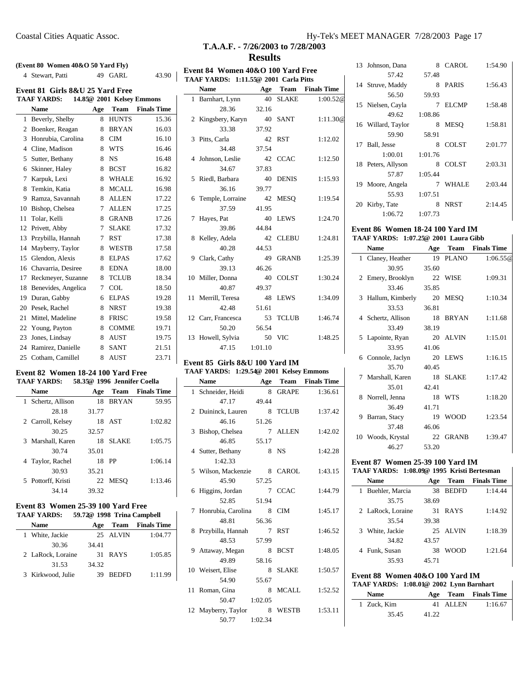#### **(Event 80 Women 40&O 50 Yard Fly)**

| (Event 80 Women $40\&O 50$ Yard Fly) |                                                                               |        |              |       |  |  |  |
|--------------------------------------|-------------------------------------------------------------------------------|--------|--------------|-------|--|--|--|
|                                      | 4 Stewart, Patti                                                              |        | 49 GARL      | 43.90 |  |  |  |
|                                      | Event 81 Girls 8&U 25 Yard Free                                               |        |              |       |  |  |  |
|                                      | <b>TAAF YARDS:</b>                                                            |        |              |       |  |  |  |
|                                      | 14.85@ 2001 Kelsey Emmons<br><b>Finals Time</b><br>Team<br><b>Name</b><br>Age |        |              |       |  |  |  |
| 1                                    | Beverly, Shelby                                                               | 8      | <b>HUNTS</b> | 15.36 |  |  |  |
| 2                                    | Boenker, Reagan                                                               | 8      | <b>BRYAN</b> | 16.03 |  |  |  |
| 3                                    | Honrubia, Carolina                                                            | 8      | <b>CIM</b>   | 16.10 |  |  |  |
| $\overline{4}$                       | Cline, Madison                                                                | 8      | <b>WTS</b>   | 16.46 |  |  |  |
|                                      |                                                                               |        |              |       |  |  |  |
| 5                                    | Sutter, Bethany                                                               | 8      | <b>NS</b>    | 16.48 |  |  |  |
| 6                                    | Skinner, Haley                                                                | 8      | <b>BCST</b>  | 16.82 |  |  |  |
| 7                                    | Karpuk, Lexi                                                                  | 8      | WHALE        | 16.92 |  |  |  |
| 8                                    | Temkin, Katia                                                                 | 8      | <b>MCALL</b> | 16.98 |  |  |  |
| 9                                    | Ramza, Savannah                                                               | 8      | <b>ALLEN</b> | 17.22 |  |  |  |
| 10                                   | Bishop, Chelsea                                                               | $\tau$ | <b>ALLEN</b> | 17.25 |  |  |  |
| 11                                   | Tolar, Kelli                                                                  | 8      | <b>GRANB</b> | 17.26 |  |  |  |
| 12                                   | Privett, Abby                                                                 | 7      | <b>SLAKE</b> | 17.32 |  |  |  |
| 13                                   | Przybilla, Hannah                                                             | 7      | <b>RST</b>   | 17.38 |  |  |  |
| 14                                   | Mayberry, Taylor                                                              | 8      | <b>WESTB</b> | 17.58 |  |  |  |
| 15                                   | Glendon, Alexis                                                               | 8      | <b>ELPAS</b> | 17.62 |  |  |  |
| 16                                   | Chavarria, Desiree                                                            | 8      | <b>EDNA</b>  | 18.00 |  |  |  |
| 17                                   | Reckmeyer, Suzanne                                                            | 8      | <b>TCLUB</b> | 18.34 |  |  |  |
| 18                                   | Benevides, Angelica                                                           | 7      | <b>COL</b>   | 18.50 |  |  |  |
| 19                                   | Duran, Gabby                                                                  | 6      | <b>ELPAS</b> | 19.28 |  |  |  |
| 20                                   | Pesek, Rachel                                                                 | 8      | NRST         | 19.38 |  |  |  |
| 21                                   | Mittel, Madeline                                                              | 8      | <b>FRISC</b> | 19.58 |  |  |  |
|                                      | 22 Young, Payton                                                              | 8      | <b>COMME</b> | 19.71 |  |  |  |
| 23                                   | Jones, Lindsay                                                                | 8      | AUST         | 19.75 |  |  |  |
| 24                                   | Ramirez, Danielle                                                             | 8      | <b>SANT</b>  | 21.51 |  |  |  |
| 25                                   | Cotham, Camillel                                                              | 8      | <b>AUST</b>  | 23.71 |  |  |  |

#### **Event 82 Women 18-24 100 Yard Free TAAF YARDS: 58.35@ 1996 Jennifer Coella**

à.

| LAAF LANDS         |       | 50.35& 1990 Jemmei Coena |                    |
|--------------------|-------|--------------------------|--------------------|
| <b>Name</b>        | Age   | Team                     | <b>Finals Time</b> |
| 1 Schertz, Allison | 18    | <b>BRYAN</b>             | 59.95              |
| 28.18              | 31.77 |                          |                    |
| 2 Carroll, Kelsey  |       | 18 AST                   | 1:02.82            |
| 30.25              | 32.57 |                          |                    |
| 3 Marshall, Karen  | 18    | <b>SLAKE</b>             | 1:05.75            |
| 30.74              | 35.01 |                          |                    |
| 4 Taylor, Rachel   |       | 18 PP                    | 1:06.14            |
| 30.93              | 35.21 |                          |                    |
| 5 Pottorff, Kristi |       | 22 MESO                  | 1:13.46            |
| 34.14              | 39.32 |                          |                    |
|                    |       |                          |                    |

### **Event 83 Women 25-39 100 Yard Free**

| TAAF YARDS: | 59.72@ 1998 Trina Campbell |  |  |
|-------------|----------------------------|--|--|
|-------------|----------------------------|--|--|

| Name              | Age   |              | <b>Team</b> Finals Time |
|-------------------|-------|--------------|-------------------------|
| 1 White, Jackie   |       | 25 ALVIN     | 1:04.77                 |
| 30.36             | 34.41 |              |                         |
| 2 LaRock, Loraine |       | 31 RAYS      | 1:05.85                 |
| 31.53             | 34.32 |              |                         |
| 3 Kirkwood, Julie | 39    | <b>BEDFD</b> | 1:11.99                 |

# **T.A.A.F. - 7/26/2003 to 7/28/2003**

# **Results Event 84 Women 40&O 100 Yard Free**

# **TAAF YARDS: 1:11.55@ 2001 Carla Pitts**

|             | <b>Name</b>        | Age     | <b>Team</b>  | <b>Finals Time</b> |
|-------------|--------------------|---------|--------------|--------------------|
|             | 1 Barnhart, Lynn   |         | 40 SLAKE     | 1:00.52@           |
|             | 28.36              | 32.16   |              |                    |
| 2           | Kingsbery, Karyn   | 40      | <b>SANT</b>  | 1:11.30@           |
|             | 33.38              | 37.92   |              |                    |
|             | 3 Pitts, Carla     | 42      | <b>RST</b>   | 1:12.02            |
|             | 34.48              | 37.54   |              |                    |
|             | 4 Johnson, Leslie  | 42      | <b>CCAC</b>  | 1:12.50            |
|             | 34.67              | 37.83   |              |                    |
| $5^{\circ}$ | Riedl, Barbara     | 40      | <b>DENIS</b> | 1:15.93            |
|             | 36.16              | 39.77   |              |                    |
|             | 6 Temple, Lorraine | 42      | <b>MESO</b>  | 1:19.54            |
|             | 37.59              | 41.95   |              |                    |
| 7           | Hayes, Pat         | 40      | <b>LEWS</b>  | 1:24.70            |
|             | 39.86              | 44.84   |              |                    |
| 8           | Kelley, Adela      |         | 42 CLEBU     | 1:24.81            |
|             | 40.28              | 44.53   |              |                    |
| 9           | Clark, Cathy       | 49      | <b>GRANB</b> | 1:25.39            |
|             | 39.13              | 46.26   |              |                    |
|             | 10 Miller, Donna   | 40      | <b>COLST</b> | 1:30.24            |
|             | 40.87              | 49.37   |              |                    |
| 11          | Merrill, Teresa    | 48      | <b>LEWS</b>  | 1:34.09            |
|             | 42.48              | 51.61   |              |                    |
|             | 12 Carr, Francesca | 53      | <b>TCLUB</b> | 1:46.74            |
|             | 50.20              | 56.54   |              |                    |
| 13          | Howell, Sylvia     | 50      | <b>VIC</b>   | 1:48.25            |
|             | 47.15              | 1:01.10 |              |                    |

# **Event 85 Girls 8&U 100 Yard IM TAAF YARDS: 1:29.54@ 2001 Kelsey Emmons**

L.

| <b>Name</b>          | Age     |              | <b>Team</b> Finals Time |
|----------------------|---------|--------------|-------------------------|
| 1 Schneider, Heidi   | 8       | GRAPE        | 1:36.61                 |
| 47.17                | 49.44   |              |                         |
| 2 Duininck, Lauren   | 8       | <b>TCLUB</b> | 1:37.42                 |
| 46.16                | 51.26   |              |                         |
| 3 Bishop, Chelsea    |         | 7 ALLEN      | 1:42.02                 |
| 46.85                | 55.17   |              |                         |
| 4 Sutter, Bethany    |         | 8 NS         | 1:42.28                 |
| 1:42.33              |         |              |                         |
| 5 Wilson, Mackenzie  | 8       | <b>CAROL</b> | 1:43.15                 |
| 45.90                | 57.25   |              |                         |
| 6 Higgins, Jordan    |         | 7 CCAC       | 1:44.79                 |
| 52.85                | 51.94   |              |                         |
| 7 Honrubia, Carolina | 8       | <b>CIM</b>   | 1:45.17                 |
| 48.81                | 56.36   |              |                         |
| 8 Przybilla, Hannah  | $\tau$  | <b>RST</b>   | 1:46.52                 |
| 48.53                | 57.99   |              |                         |
| 9 Attaway, Megan     | 8       | <b>BCST</b>  | 1:48.05                 |
| 49.89                | 58.16   |              |                         |
| 10 Weisert, Elise    | 8       | <b>SLAKE</b> | 1:50.57                 |
| 54.90                | 55.67   |              |                         |
| 11 Roman, Gina       | 8       | <b>MCALL</b> | 1:52.52                 |
| 50.47                | 1:02.05 |              |                         |
| 12 Mayberry, Taylor  | 8       | <b>WESTB</b> | 1:53.11                 |
| 50.77                | 1:02.34 |              |                         |

# 13 Johnson, Dana 8 CAROL 1:54.90 57.42 57.48 14 Struve, Maddy 8 PARIS 1:56.43  $56.50$

|    | .36.30             | 59.95   |              |         |
|----|--------------------|---------|--------------|---------|
|    | 15 Nielsen, Cayla  | 7       | ELCMP        | 1:58.48 |
|    | 49.62              | 1:08.86 |              |         |
|    | 16 Willard, Taylor | 8       | <b>MESO</b>  | 1:58.81 |
|    | 59.90              | 58.91   |              |         |
| 17 | Ball, Jesse        | 8       | <b>COLST</b> | 2:01.77 |
|    | 1:00.01            | 1:01.76 |              |         |
|    | 18 Peters, Allyson | 8       | <b>COLST</b> | 2:03.31 |
|    | 57.87              | 1:05.44 |              |         |
| 19 | Moore, Angela      | 7       | <b>WHALE</b> | 2:03.44 |
|    | 55.93              | 1:07.51 |              |         |
| 20 | Kirby, Tate        | 8       | <b>NRST</b>  | 2:14.45 |
|    | 1:06.72            | 1:07.73 |              |         |

#### **Event 86 Women 18-24 100 Yard IM TAAF YARDS: 1:07.25@ 2001 Laura Gibb**

|    | <b>Name</b>        | Age   | Team         | <b>Finals Time</b> |
|----|--------------------|-------|--------------|--------------------|
|    | 1 Claney, Heather  | 19    | <b>PLANO</b> | 1:06.55@           |
|    | 30.95              | 35.60 |              |                    |
|    | 2 Emery, Brooklyn  |       | 22 WISE      | 1:09.31            |
|    | 33.46              | 35.85 |              |                    |
|    | 3 Hallum, Kimberly | 20    | <b>MESO</b>  | 1:10.34            |
|    | 33.53              | 36.81 |              |                    |
|    | 4 Schertz, Allison | 18    | <b>BRYAN</b> | 1:11.68            |
|    | 33.49              | 38.19 |              |                    |
|    | 5 Lapointe, Ryan   |       | 20 ALVIN     | 1:15.01            |
|    | 33.95              | 41.06 |              |                    |
|    | 6 Connole, Jaclyn  | 20    | <b>LEWS</b>  | 1:16.15            |
|    | 35.70              | 40.45 |              |                    |
|    | 7 Marshall, Karen  |       | 18 SLAKE     | 1:17.42            |
|    | 35.01              | 42.41 |              |                    |
|    | 8 Norrell, Jenna   | 18    | <b>WTS</b>   | 1:18.20            |
|    | 36.49              | 41.71 |              |                    |
| 9  | Barran, Stacy      | 19    | <b>WOOD</b>  | 1:23.54            |
|    | 37.48              | 46.06 |              |                    |
| 10 | Woods, Krystal     | 22    | <b>GRANB</b> | 1:39.47            |
|    | 46.27              | 53.20 |              |                    |

## **Event 87 Women 25-39 100 Yard IM**

## **TAAF YARDS: 1:08.09@ 1995 Kristi Bertesman**

|   | Name              | Age   | Team         | <b>Finals Time</b> |
|---|-------------------|-------|--------------|--------------------|
| 1 | Buehler, Marcia   | 38    | <b>BEDFD</b> | 1:14.44            |
|   | 35.75             | 38.69 |              |                    |
|   | 2 LaRock, Loraine | 31    | <b>RAYS</b>  | 1:14.92            |
|   | 35.54             | 39.38 |              |                    |
|   | 3 White, Jackie   |       | 25 ALVIN     | 1:18.39            |
|   | 34.82             | 43.57 |              |                    |
|   | 4 Funk, Susan     | 38    | WOOD         | 1:21.64            |
|   | 35.93             | 45.71 |              |                    |
|   |                   |       |              |                    |

# **Event 88 Women 40&O 100 Yard IM**

| TAAF YARDS: 1:08.01@ 2002 Lynn Barnhart |       |          |                      |
|-----------------------------------------|-------|----------|----------------------|
| <b>Name</b>                             |       |          | Age Team Finals Time |
| 1 Zuck, Kim                             |       | 41 ALLEN | 1:16.67              |
| 35.45                                   | 41.22 |          |                      |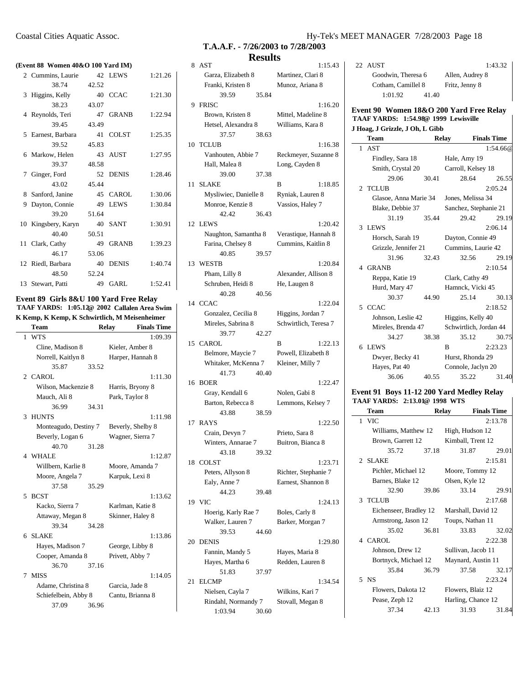| (Event 88 Women 40&O 100 Yard IM) |  |  |  |
|-----------------------------------|--|--|--|
|                                   |  |  |  |

|    | event 88 - Women 40x0 100-1 ard 1M) |       |              |         |
|----|-------------------------------------|-------|--------------|---------|
|    | 2 Cummins, Laurie                   |       | 42 LEWS      | 1:21.26 |
|    | 38.74                               | 42.52 |              |         |
| 3  | Higgins, Kelly                      | 40    | <b>CCAC</b>  | 1:21.30 |
|    | 38.23                               | 43.07 |              |         |
|    | 4 Reynolds, Teri                    | 47    | <b>GRANB</b> | 1:22.94 |
|    | 39.45                               | 43.49 |              |         |
|    | 5 Earnest, Barbara                  | 41    | <b>COLST</b> | 1:25.35 |
|    | 39.52                               | 45.83 |              |         |
|    | 6 Markow, Helen                     | 43    | AUST         | 1:27.95 |
|    | 39.37                               | 48.58 |              |         |
|    | 7 Ginger, Ford                      |       | 52 DENIS     | 1:28.46 |
|    | 43.02                               | 45.44 |              |         |
|    | 8 Sanford, Janine                   | 45    | CAROL        | 1:30.06 |
| 9  | Dayton, Connie                      | 49    | <b>LEWS</b>  | 1:30.84 |
|    | 39.20                               | 51.64 |              |         |
|    | 10 Kingsbery, Karyn                 | 40    | <b>SANT</b>  | 1:30.91 |
|    | 40.40                               | 50.51 |              |         |
| 11 | Clark, Cathy                        | 49    | <b>GRANB</b> | 1:39.23 |
|    | 46.17                               | 53.06 |              |         |
|    | 12 Riedl, Barbara                   | 40    | <b>DENIS</b> | 1:40.74 |
|    | 48.50                               | 52.24 |              |         |
|    | 13 Stewart, Patti                   | 49    | GARL         | 1:52.41 |

#### **Event 89 Girls 8&U 100 Yard Free Relay TAAF YARDS: 1:05.12@ 2002 Callalen Area Swim** K Kemp, K Kemp, K Schwirtlich, M Meisenheimer

|    | Team                  |       | <b>Relay</b>      | <b>Finals Time</b> |
|----|-----------------------|-------|-------------------|--------------------|
| 1. | <b>WTS</b>            |       |                   | 1:09.39            |
|    | Cline, Madison 8      |       | Kieler, Amber 8   |                    |
|    | Norrell, Kaitlyn 8    |       | Harper, Hannah 8  |                    |
|    | 35.87                 | 33.52 |                   |                    |
|    | 2 CAROL               |       |                   | 1:11.30            |
|    | Wilson, Mackenzie 8   |       | Harris, Bryony 8  |                    |
|    | Mauch, Ali 8          |       | Park, Taylor 8    |                    |
|    | 36.99                 | 34.31 |                   |                    |
| 3  | <b>HUNTS</b>          |       |                   | 1:11.98            |
|    | Monteagudo, Destiny 7 |       | Beverly, Shelby 8 |                    |
|    | Beverly, Logan 6      |       | Wagner, Sierra 7  |                    |
|    | 40.70                 | 31.28 |                   |                    |
|    | 4 WHALE               |       |                   | 1:12.87            |
|    | Willbern, Karlie 8    |       | Moore, Amanda 7   |                    |
|    | Moore, Angela 7       |       | Karpuk, Lexi 8    |                    |
|    | 37.58                 | 35.29 |                   |                    |
| 5  | <b>BCST</b>           |       |                   | 1:13.62            |
|    | Kacko, Sierra 7       |       | Karlman, Katie 8  |                    |
|    | Attaway, Megan 8      |       | Skinner, Haley 8  |                    |
|    | 39.34                 | 34.28 |                   |                    |
| 6. | <b>SLAKE</b>          |       |                   | 1:13.86            |
|    | Hayes, Madison 7      |       | George, Libby 8   |                    |
|    | Cooper, Amanda 8      |       | Privett, Abby 7   |                    |
|    | 36.70                 | 37.16 |                   |                    |
| 7  | <b>MISS</b>           |       |                   | 1:14.05            |
|    | Adame, Christina 8    |       | Garcia, Jade 8    |                    |
|    | Schiefelbein, Abby 8  |       | Cantu, Brianna 8  |                    |
|    | 37.09                 | 36.96 |                   |                    |

### Coastal Cities Aquatic Assoc. Hy-Tek's MEET MANAGER 7/28/2003 Page 18

**T.A.A.F. - 7/26/2003 to 7/28/2003 Results**

| 8  | AST                                     | 1:15.43               |
|----|-----------------------------------------|-----------------------|
|    | Garza, Elizabeth 8                      | Martinez, Clari 8     |
|    | Franki, Kristen 8                       | Munoz, Ariana 8       |
|    | 39.59<br>35.84                          |                       |
| 9  | FRISC                                   | 1:16.20               |
|    | Brown, Kristen 8                        | Mittel, Madeline 8    |
|    | Hetsel, Alexandra 8                     | Williams, Kara 8      |
|    | 37.57<br>38.63                          |                       |
|    | 10 TCLUB                                | 1:16.38               |
|    | Vanhouten, Abbie 7                      | Reckmeyer, Suzanne 8  |
|    | Hall, Malea 8                           | Long, Cayden 8        |
|    | 39.00<br>37.38                          |                       |
|    | 11 SLAKE                                | B<br>1:18.85          |
|    | Mysliwiec, Danielle 8                   | Ryniak, Lauren 8      |
|    | Monroe, Kenzie 8                        | Vassios, Haley 7      |
|    | 42.42<br>36.43                          |                       |
|    |                                         |                       |
|    | 12 LEWS                                 | 1:20.42               |
|    | Naughton, Samantha 8                    | Verastique, Hannah 8  |
|    | Farina, Chelsey 8                       | Cummins, Kaitlin 8    |
|    | 40.85<br>39.57                          |                       |
|    | 13 WESTB                                | 1:20.84               |
|    | Pham, Lilly 8                           | Alexander, Allison 8  |
|    | Schruben, Heidi 8                       | He, Laugen 8          |
|    | 40.28<br>40.56                          |                       |
|    | 14 CCAC                                 | 1:22.04               |
|    | Gonzalez, Cecilia 8                     | Higgins, Jordan 7     |
|    | Mireles, Sabrina 8                      | Schwirtlich, Teresa 7 |
|    | 39.77<br>42.27                          |                       |
|    |                                         |                       |
|    | 15 CAROL                                | B<br>1:22.13          |
|    | Belmore, Maycie 7                       | Powell, Elizabeth 8   |
|    | Whitaker, McKenna 7                     | Kleiner, Milly 7      |
|    | 41.73<br>40.40                          |                       |
|    | 16 BOER                                 | 1:22.47               |
|    | Gray, Kendall 6                         | Nolen, Gabi 8         |
|    | Barton, Rebecca 8                       | Lemmons, Kelsey 7     |
|    | 43.88<br>38.59                          |                       |
|    | 17 RAYS                                 | 1:22.50               |
|    | Crain, Devyn 7                          | Prieto, Sara 8        |
|    | Winters, Annarae 7                      | Buitron, Bianca 8     |
|    | 43.18<br>39.32                          |                       |
|    | 18 COLST                                | 1:23.71               |
|    | Peters, Allyson 8                       | Richter, Stephanie 7  |
|    | Ealy, Anne 7                            | Earnest, Shannon 8    |
|    | 44.23<br>39.48                          |                       |
| 19 | VIC                                     | 1:24.13               |
|    | Hoerig, Karly Rae 7                     | Boles, Carly 8        |
|    | Walker, Lauren 7                        | Barker, Morgan 7      |
|    | 39.53<br>44.60                          |                       |
|    | 20 DENIS                                | 1:29.80               |
|    | Fannin, Mandy 5                         | Hayes, Maria 8        |
|    | Hayes, Martha 6                         | Redden, Lauren 8      |
|    | 51.83<br>37.97                          |                       |
| 21 | <b>ELCMP</b>                            | 1:34.54               |
|    | Nielsen, Cayla 7                        | Wilkins, Kari 7       |
|    | Rindahl, Normandy 7<br>1:03.94<br>30.60 | Stovall, Megan 8      |

22 AUST 1:43.32 Goodwin, Theresa 6 Allen, Audrey 8 Cotham, Camillel 8 Fritz, Jenny 8 1:01.92 41.40

#### **Event 90 Women 18&O 200 Yard Free Relay TAAF YARDS: 1:54.98@ 1999 Lewisville J Hoag, J Grizzle, J Oh, L Gibb**

| <b>Team</b>           |       | Relay                  | <b>Finals Time</b> |
|-----------------------|-------|------------------------|--------------------|
| 1 AST                 |       |                        | 1:54.66@           |
| Findley, Sara 18      |       | Hale, Amy 19           |                    |
| Smith, Crystal 20     |       | Carroll, Kelsey 18     |                    |
| 29.06                 | 30.41 | 28.64                  | 26.55              |
| 2 TCLUB               |       |                        | 2:05.24            |
| Glasoe, Anna Marie 34 |       | Jones, Melissa 34      |                    |
| Blake, Debbie 37      |       | Sanchez, Stephanie 21  |                    |
| 31.19                 | 35.44 | 29.42                  | 29.19              |
| 3 LEWS                |       |                        | 2:06.14            |
| Horsch, Sarah 19      |       | Dayton, Connie 49      |                    |
| Grizzle, Jennifer 21  |       | Cummins, Laurie 42     |                    |
| 31.96                 | 32.43 | 32.56                  | 29.19              |
| 4 GRANB               |       |                        | 2:10.54            |
| Reppa, Katie 19       |       | Clark, Cathy 49        |                    |
| Hurd, Mary 47         |       | Hamnck, Vicki 45       |                    |
| 30.37                 | 44.90 | 25.14                  | 30.13              |
| 5 CCAC                |       |                        | 2:18.52            |
| Johnson, Leslie 42    |       | Higgins, Kelly 40      |                    |
| Mireles, Brenda 47    |       | Schwirtlich, Jordan 44 |                    |
| 34.27                 | 38.38 | 35.12                  | 30.75              |
| 6 LEWS                |       | B                      | 2:23.23            |
| Dwyer, Becky 41       |       | Hurst, Rhonda 29       |                    |
| Hayes, Pat 40         |       | Connole, Jaclyn 20     |                    |
| 36.06                 | 40.55 | 35.22                  | 31.40              |

#### **Event 91 Boys 11-12 200 Yard Medley Relay TAAF YARDS: 2:13.01@ 1998 WTS**

| AAF YARDS:  2:13.01@ 1998  WTS |                      |       |                 |                    |
|--------------------------------|----------------------|-------|-----------------|--------------------|
| Team                           |                      | Relay |                 | <b>Finals Time</b> |
| 1 VIC                          |                      |       |                 | 2:13.78            |
|                                | Williams, Matthew 12 |       | High, Hudson 12 |                    |

| Williams, Matthew 12   |       | Hign, Hudson 12    |         |
|------------------------|-------|--------------------|---------|
| Brown, Garrett 12      |       | Kimball, Trent 12  |         |
| 35.72                  | 37.18 | 31.87              | 29.01   |
| 2 SLAKE                |       |                    | 2:15.81 |
| Pichler, Michael 12    |       | Moore, Tommy 12    |         |
| Barnes, Blake 12       |       | Olsen, Kyle 12     |         |
| 32.90                  | 39.86 | 33.14              | 29.91   |
| 3 TCLUB                |       |                    | 2:17.68 |
| Eichenseer, Bradley 12 |       | Marshall, David 12 |         |
| Armstrong, Jason 12    |       | Toups, Nathan 11   |         |
| 35.02 36.81            |       | 33.83              | 32.02   |
| 4 CAROL                |       |                    | 2:22.38 |
| Johnson, Drew 12       |       | Sullivan, Jacob 11 |         |
| Bortnyck, Michael 12   |       | Maynard, Austin 11 |         |
| 35.84                  | 36.79 | 37.58              | 32.17   |
| 5 NS                   |       |                    | 2:23.24 |
| Flowers, Dakota 12     |       | Flowers, Blaiz 12  |         |
| Pease, Zeph 12         |       | Harling, Chance 12 |         |
| 37.34                  | 42.13 | 31.93              | 31.84   |
|                        |       |                    |         |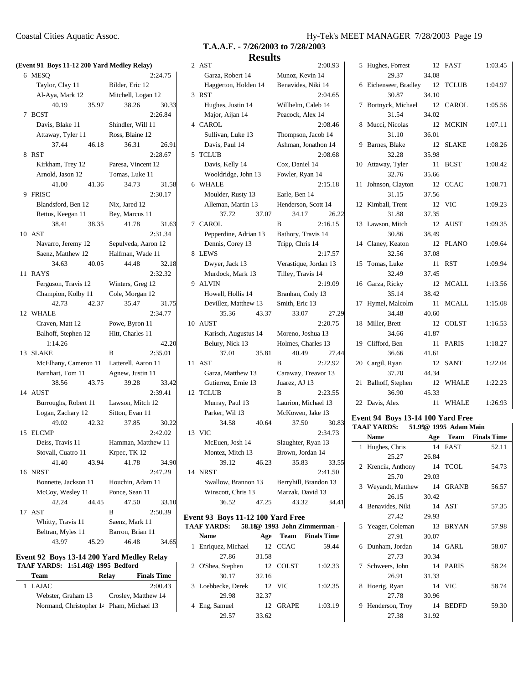|    | (Event 91 Boys 11-12 200 Yard Medley Relay) |       |                    |         |
|----|---------------------------------------------|-------|--------------------|---------|
|    | 6 MESQ                                      |       |                    | 2:24.75 |
|    | Taylor, Clay 11                             |       | Bilder, Eric 12    |         |
|    | Al-Aya, Mark 12                             |       | Mitchell, Logan 12 |         |
|    | 40.19                                       | 35.97 | 38.26              | 30.33   |
|    | 7 BCST                                      |       |                    | 2:26.84 |
|    | Davis, Blake 11                             |       | Shindler, Will 11  |         |
|    | Attaway, Tyler 11                           |       | Ross, Blaine 12    |         |
|    | 37.44                                       | 46.18 | 36.31              | 26.91   |
| 8  | <b>RST</b>                                  |       |                    | 2:28.67 |
|    | Kirkham, Trey 12                            |       | Paresa, Vincent 12 |         |
|    | Arnold, Jason 12                            |       | Tomas, Luke 11     |         |
|    | 41.00                                       | 41.36 | 34.73              | 31.58   |
|    | 9 FRISC                                     |       |                    | 2:30.17 |
|    | Blandsford, Ben 12                          |       | Nix, Jared 12      |         |
|    | Rettus, Keegan 11                           |       | Bey, Marcus 11     |         |
|    | 38.41                                       | 38.35 | 41.78              | 31.63   |
|    | 10 AST                                      |       |                    | 2:31.34 |
|    | Navarro, Jeremy 12 Sepulveda, Aaron 12      |       |                    |         |
|    | Saenz, Matthew 12 Halfman, Wade 11          |       |                    |         |
|    | 34.63                                       | 40.05 | 44.48              | 32.18   |
|    | 11 RAYS                                     |       |                    | 2:32.32 |
|    | Ferguson, Travis 12 Winters, Greg 12        |       |                    |         |
|    | Champion, Kolby 11 Cole, Morgan 12          |       |                    |         |
|    | 42.73                                       | 42.37 | 35.47              | 31.75   |
|    | 12 WHALE                                    |       |                    | 2:34.77 |
|    | Craven, Matt 12                             |       | Powe, Byron 11     |         |
|    | Balhoff, Stephen 12                         |       | Hitt, Charles 11   |         |
|    | 1:14.26                                     |       |                    | 42.20   |
|    | 13 SLAKE                                    |       | B                  | 2:35.01 |
|    | McElhany, Cameron 11 Latterell, Aaron 11    |       |                    |         |
|    |                                             |       |                    |         |
|    | Barnhart, Tom 11                            |       | Agnew, Justin 11   |         |
|    | 38.56 43.75                                 |       | 39.28              | 33.42   |
|    | 14 AUST                                     |       |                    | 2:39.41 |
|    | Burroughs, Robert 11 Lawson, Mitch 12       |       |                    |         |
|    | Logan, Zachary 12                           |       | Sitton, Evan 11    |         |
|    | 49.02                                       | 42.32 | 37.85              | 30.22   |
|    | 15 ELCMP                                    |       |                    | 2:42.02 |
|    | Deiss, Travis 11                            |       | Hamman, Matthew 11 |         |
|    | Stovall, Cuatro 11                          |       | Krpec, TK 12       |         |
|    | 41.40                                       | 43.94 | 41.78              | 34.90   |
| 16 | <b>NRST</b>                                 |       |                    | 2:47.29 |
|    | Bonnette, Jackson 11                        |       | Houchin, Adam 11   |         |
|    | McCoy, Wesley 11                            |       | Ponce, Sean 11     |         |
|    | 42.24                                       | 44.45 | 47.50              | 33.10   |
| 17 | AST                                         |       | B                  | 2:50.39 |
|    | Whitty, Travis 11                           |       | Saenz, Mark 11     |         |
|    | Beltran, Myles 11                           |       | Barron, Brian 11   |         |
|    | 43.97                                       | 45.29 | 46.48              | 34.65   |

|                                          |              | Event 92 Boys 13-14 200 Yard Medley Relay |
|------------------------------------------|--------------|-------------------------------------------|
| <b>TAAF YARDS: 1:51.40@ 1995 Bedford</b> |              |                                           |
| Toom                                     | <b>Dalov</b> | <b>Finale Tim</b>                         |

| Team                                     | Relay | <b>Finals Time</b>  |
|------------------------------------------|-------|---------------------|
| 1 LAJAC                                  |       | 2:00.43             |
| Webster, Graham 13                       |       | Crosley, Matthew 14 |
| Normand, Christopher 14 Pham, Michael 13 |       |                     |
|                                          |       |                     |

**T.A.A.F. - 7/26/2003 to 7/28/2003 Results**

|             | 2 AST                 |       |                       | 2:00.93 | 5          |
|-------------|-----------------------|-------|-----------------------|---------|------------|
|             | Garza, Robert 14      |       | Munoz, Kevin 14       |         |            |
|             | Haggerton, Holden 14  |       | Benavides, Niki 14    |         | 6          |
|             | 3 RST                 |       |                       | 2:04.65 |            |
|             | Hughes, Justin 14     |       | Willhelm, Caleb 14    |         | 7          |
|             | Major, Aijan 14       |       | Peacock, Alex 14      |         |            |
|             | 4 CAROL               |       |                       | 2:08.46 | 8          |
|             | Sullivan, Luke 13     |       | Thompson, Jacob 14    |         |            |
|             | Davis, Paul 14        |       | Ashman, Jonathon 14   |         | 9          |
| 5           | <b>TCLUB</b>          |       |                       | 2:08.68 |            |
|             | Davis, Kelly 14       |       | Cox, Daniel 14        |         | 10         |
|             | Wooldridge, John 13   |       | Fowler, Ryan 14       |         |            |
| 6           | WHALE                 |       |                       | 2:15.18 | 11         |
|             | Moulder, Rusty 13     |       | Earle, Ben 14         |         |            |
|             | Alleman, Martin 13    |       | Henderson, Scott 14   |         | 12         |
|             | 37.72                 | 37.07 | 34.17                 | 26.22   |            |
| $7^{\circ}$ | <b>CAROL</b>          |       | B                     | 2:16.15 | 13         |
|             | Pepperdine, Adrian 13 |       | Bathory, Travis 14    |         |            |
|             | Dennis, Corey 13      |       | Tripp, Chris 14       |         | 14         |
| 8           | <b>LEWS</b>           |       |                       | 2:17.57 |            |
|             | Dwyer, Jack 13        |       | Verastique, Jordan 13 |         | 15         |
|             | Murdock, Mark 13      |       | Tilley, Travis 14     |         |            |
| 9           | <b>ALVIN</b>          |       |                       | 2:19.09 | 16         |
|             | Howell, Hollis 14     |       | Branhan, Cody 13      |         |            |
|             | Devillez, Matthew 13  |       | Smith, Eric 13        |         | 17         |
|             | 35.36                 | 43.37 | 33.07                 | 27.29   |            |
| 10          | <b>AUST</b>           |       |                       | 2:20.75 | 18         |
|             | Karisch, Augustus 14  |       | Moreno, Joshua 13     |         |            |
|             | Belury, Nick 13       |       | Holmes, Charles 13    |         | 19         |
|             | 37.01                 | 35.81 | 40.49                 | 27.44   |            |
| 11          | <b>AST</b>            |       | B                     | 2:22.92 | 20         |
|             | Garza, Matthew 13     |       | Caraway, Treavor 13   |         |            |
|             | Gutierrez, Ernie 13   |       | Juarez, AJ 13         |         | 21         |
| 12          | <b>TCLUB</b>          |       | B                     | 2:23.55 |            |
|             | Murray, Paul 13       |       | Laurion, Michael 13   |         | 22         |
|             | Parker, Wil 13        |       | McKowen, Jake 13      |         | Ever       |
|             | 34.58                 | 40.64 | 37.50                 | 30.83   | <b>TAA</b> |
| 13          | <b>VIC</b>            |       |                       | 2:34.73 |            |
|             | McEuen, Josh 14       |       | Slaughter, Ryan 13    |         | 1          |
|             | Montez, Mitch 13      |       | Brown, Jordan 14      |         |            |
|             | 39.12                 | 46.23 | 35.83                 | 33.55   | 2          |
| 14          | <b>NRST</b>           |       |                       | 2:41.50 |            |
|             | Swallow, Brannon 13   |       | Berryhill, Brandon 13 |         | 3          |
|             | Winscott, Chris 13    |       | Marzak, David 13      |         |            |
|             | 36.52                 | 47.25 | 43.32                 | 34.41   | $\lambda$  |

#### **Event 93 Boys 11-12 100 Yard Free TAAF YARDS: 58.18@ 1993 John Zimmerman -**

| .                   |       |              | <u> 89 Juli – Julius VI III, m</u> |
|---------------------|-------|--------------|------------------------------------|
| <b>Name</b>         | Age   | Team         | <b>Finals Time</b>                 |
| 1 Enriquez, Michael |       | 12 CCAC      | 59.44                              |
| 27.86               | 31.58 |              |                                    |
| 2 O'Shea, Stephen   |       | 12 COLST     | 1:02.33                            |
| 30.17               | 32.16 |              |                                    |
| 3 Loebbecke, Derek  |       | 12 VIC       | 1:02.35                            |
| 29.98               | 32.37 |              |                                    |
| Eng, Samuel         | 12    | <b>GRAPE</b> | 1:03.19                            |
| 29.57               | 33.62 |              |                                    |
|                     |       |              |                                    |

| 5  | Hughes, Forrest     | 12    | <b>FAST</b>  | 1:03.45 |
|----|---------------------|-------|--------------|---------|
|    | 29.37               | 34.08 |              |         |
| 6  | Eichenseer, Bradley | 12    | <b>TCLUB</b> | 1:04.97 |
|    | 30.87               | 34.10 |              |         |
| 7  | Bortnyck, Michael   | 12    | <b>CAROL</b> | 1:05.56 |
|    | 31.54               | 34.02 |              |         |
| 8  | Mucci, Nicolas      | 12    | <b>MCKIN</b> | 1:07.11 |
|    | 31.10               | 36.01 |              |         |
| 9  | Barnes, Blake       | 12    | <b>SLAKE</b> | 1:08.26 |
|    | 32.28               | 35.98 |              |         |
| 10 | Attaway, Tyler      | 11    | <b>BCST</b>  | 1:08.42 |
|    | 32.76               | 35.66 |              |         |
| 11 | Johnson, Clayton    | 12    | <b>CCAC</b>  | 1:08.71 |
|    | 31.15               | 37.56 |              |         |
|    | 12 Kimball, Trent   | 12    | <b>VIC</b>   | 1:09.23 |
|    | 31.88               | 37.35 |              |         |
| 13 | Lawson, Mitch       | 12    | <b>AUST</b>  | 1:09.35 |
|    | 30.86               | 38.49 |              |         |
|    | 14 Claney, Keaton   | 12    | <b>PLANO</b> | 1:09.64 |
|    | 32.56               | 37.08 |              |         |
|    | 15 Tomas, Luke      | 11    | <b>RST</b>   | 1:09.94 |
|    | 32.49               | 37.45 |              |         |
| 16 | Garza, Ricky        | 12    | <b>MCALL</b> | 1:13.56 |
|    | 35.14               | 38.42 |              |         |
| 17 | Hymel, Malcolm      | 11    | <b>MCALL</b> | 1:15.08 |
|    | 34.48               | 40.60 |              |         |
| 18 | Miller, Brett       | 12    | <b>COLST</b> | 1:16.53 |
|    | 34.66               | 41.87 |              |         |
|    | 19 Clifford, Ben    | 11    | <b>PARIS</b> | 1:18.27 |
|    | 36.66               | 41.61 |              |         |
| 20 | Cargil, Ryan        | 12    | <b>SANT</b>  | 1:22.04 |
|    | 37.70               | 44.34 |              |         |
| 21 | Balhoff, Stephen    | 12    | <b>WHALE</b> | 1:22.23 |
|    | 36.90               | 45.33 |              |         |
| 22 | Davis, Alex         | 11    | <b>WHALE</b> | 1:26.93 |

#### **Event 94 Boys 13-14 100 Yard Free TAAF YARDS: 51.99@ 1995 Adam Main**

|    | <b>Name</b>        | Age   |              | <b>Team</b> Finals Time |
|----|--------------------|-------|--------------|-------------------------|
|    | 1 Hughes, Chris    |       | 14 FAST      | 52.11                   |
|    | 25.27              | 26.84 |              |                         |
|    | 2 Krencik, Anthony |       | 14 TCOL      | 54.73                   |
|    | 25.70              | 29.03 |              |                         |
| 3. | Weyandt, Matthew   | 14    | <b>GRANB</b> | 56.57                   |
|    | 26.15              | 30.42 |              |                         |
|    | 4 Benavides, Niki  |       | 14 AST       | 57.35                   |
|    | 27.42              | 29.93 |              |                         |
|    | 5 Yeager, Coleman  | 13    | <b>BRYAN</b> | 57.98                   |
|    | 27.91              | 30.07 |              |                         |
|    | 6 Dunham, Jordan   |       | 14 GARL      | 58.07                   |
|    | 27.73              | 30.34 |              |                         |
|    | 7 Schweers, John   |       | 14 PARIS     | 58.24                   |
|    | 26.91              | 31.33 |              |                         |
| 8  | Hoerig, Ryan       |       | 14 VIC       | 58.74                   |
|    | 27.78              | 30.96 |              |                         |
| 9. | Henderson, Troy    | 14    | <b>BEDFD</b> | 59.30                   |
|    | 27.38              | 31.92 |              |                         |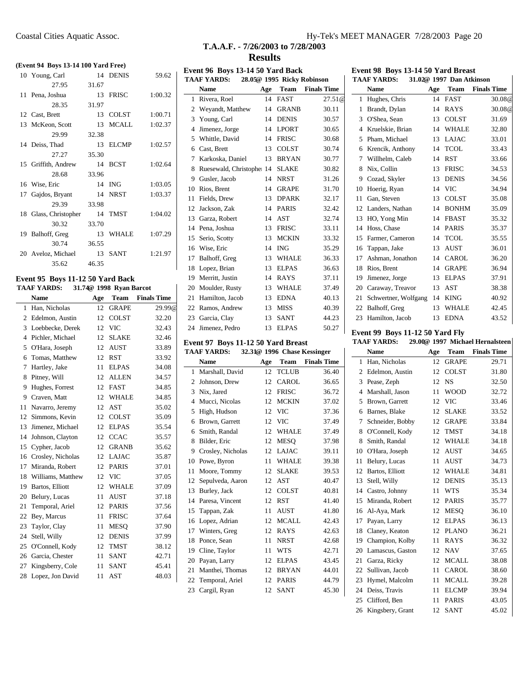#### **(Event 94 Boys 13-14 100 Yard Free)**

| 10 Young, Carl        |       | 14 DENIS | 59.62   |
|-----------------------|-------|----------|---------|
| 27.95                 | 31.67 |          |         |
| 11 Pena, Joshua       |       | 13 FRISC | 1:00.32 |
| 28.35                 | 31.97 |          |         |
| 12 Cast, Brett        |       | 13 COLST | 1:00.71 |
| 13 McKeon, Scott      |       | 13 MCALL | 1:02.37 |
| 29.99                 | 32.38 |          |         |
| 14 Deiss, Thad        |       | 13 ELCMP | 1:02.57 |
| 27.27                 | 35.30 |          |         |
| 15 Griffith, Andrew   |       | 14 BCST  | 1:02.64 |
| 28.68                 | 33.96 |          |         |
| 16 Wise, Eric         |       | 14 ING   | 1:03.05 |
| 17 Gajdos, Bryant     |       | 14 NRST  | 1:03.37 |
| 29.39                 | 33.98 |          |         |
| 18 Glass, Christopher |       | 14 TMST  | 1:04.02 |
| 30.32                 | 33.70 |          |         |
| 19 Balhoff, Greg      | 13    | WHALE    | 1:07.29 |
| 30.74                 | 36.55 |          |         |
| 20 Aveloz, Michael    |       | 13 SANT  | 1:21.97 |
| 35.62                 | 46.35 |          |         |

# **Event 95 Boys 11-12 50 Yard Back**

| TAAF YARDS: |  |  | 31.74@ 1998 Ryan Barcot |  |
|-------------|--|--|-------------------------|--|
|-------------|--|--|-------------------------|--|

|    | <b>Name</b>          | Age | Team         | <b>Finals Time</b> |
|----|----------------------|-----|--------------|--------------------|
| 1  | Han, Nicholas        | 12  | <b>GRAPE</b> | 29.99@             |
| 2  | Edelmon, Austin      | 12  | <b>COLST</b> | 32.20              |
| 3  | Loebbecke, Derek     | 12  | <b>VIC</b>   | 32.43              |
| 4  | Pichler, Michael     | 12  | <b>SLAKE</b> | 32.46              |
| 5  | O'Hara, Joseph       | 12  | <b>AUST</b>  | 33.89              |
| 6  | Tomas, Matthew       | 12  | RST          | 33.92              |
| 7  | Hartley, Jake        | 11  | <b>ELPAS</b> | 34.08              |
| 8  | Pitney, Will         | 12  | ALLEN        | 34.57              |
| 9  | Hughes, Forrest      | 12  | <b>FAST</b>  | 34.85              |
| 9  | Craven, Matt         | 12  | <b>WHALE</b> | 34.85              |
| 11 | Navarro, Jeremy      | 12  | AST          | 35.02              |
| 12 | Simmons, Kevin       | 12  | <b>COLST</b> | 35.09              |
| 13 | Jimenez, Michael     | 12  | <b>ELPAS</b> | 35.54              |
| 14 | Johnson, Clayton     | 12  | <b>CCAC</b>  | 35.57              |
| 15 | Cypher, Jacob        | 12  | <b>GRANB</b> | 35.62              |
| 16 | Crosley, Nicholas    | 12  | LAJAC        | 35.87              |
| 17 | Miranda, Robert      | 12  | <b>PARIS</b> | 37.01              |
|    | 18 Williams, Matthew | 12  | <b>VIC</b>   | 37.05              |
| 19 | Bartos, Elliott      | 12  | <b>WHALE</b> | 37.09              |
| 20 | Belury, Lucas        | 11  | <b>AUST</b>  | 37.18              |
| 21 | Temporal, Ariel      | 12  | <b>PARIS</b> | 37.56              |
| 22 | Bey, Marcus          | 11  | <b>FRISC</b> | 37.64              |
| 23 | Taylor, Clay         | 11  | <b>MESO</b>  | 37.90              |
| 24 | Stell, Willy         | 12  | <b>DENIS</b> | 37.99              |
| 25 | O'Connell, Kody      | 12  | TMST         | 38.12              |
| 26 | Garcia, Chester      | 11  | <b>SANT</b>  | 42.71              |
| 27 | Kingsberry, Cole     | 11  | <b>SANT</b>  | 45.41              |
| 28 | Lopez, Jon David     | 11  | AST          | 48.03              |
|    |                      |     |              |                    |

# Coastal Cities Aquatic Assoc. Hy-Tek's MEET MANAGER 7/28/2003 Page 20

# **T.A.A.F. - 7/26/2003 to 7/28/2003 Results**

|    | Event 96 Boys 13-14 50 Yard Back<br><b>TAAF YARDS:</b> |     | 28.05@ 1995 Ricky Robinson  |                    |
|----|--------------------------------------------------------|-----|-----------------------------|--------------------|
|    | <b>Name</b>                                            | Age | Team                        | <b>Finals Time</b> |
| 1  | Rivera, Roel                                           | 14  | <b>FAST</b>                 | 27.51@             |
| 2  | Weyandt, Matthew                                       | 14  | <b>GRANB</b>                | 30.11              |
| 3  | Young, Carl                                            | 14  | <b>DENIS</b>                | 30.57              |
| 4  | Jimenez, Jorge                                         | 14  | <b>LPORT</b>                | 30.65              |
| 5  | Whittle, David                                         | 14  | <b>FRISC</b>                | 30.68              |
| 6  | Cast, Brett                                            | 13  | <b>COLST</b>                | 30.74              |
| 7  | Karkoska, Daniel                                       | 13  | <b>BRYAN</b>                | 30.77              |
| 8  | Ruesewald, Christophe: 14 SLAKE                        |     |                             | 30.82              |
| 9  | Gusler, Jacob                                          | 14  | <b>NRST</b>                 | 31.26              |
| 10 | Rios, Brent                                            | 14  | <b>GRAPE</b>                | 31.70              |
| 11 | Fields, Drew                                           | 13  | <b>DPARK</b>                | 32.17              |
| 12 | Jackson, Zak                                           | 14  | <b>PARIS</b>                | 32.42              |
| 13 | Garza, Robert                                          | 14  | AST                         | 32.74              |
|    | 14 Pena, Joshua                                        | 13  | <b>FRISC</b>                | 33.11              |
|    |                                                        | 13  | <b>MCKIN</b>                |                    |
| 15 | Serio, Scotty                                          |     |                             | 33.32              |
| 16 | Wise, Eric                                             | 14  | <b>ING</b>                  | 35.29              |
| 17 | Balhoff, Greg                                          | 13  | WHALE                       | 36.33              |
| 18 | Lopez, Brian                                           | 13  | <b>ELPAS</b>                | 36.63              |
| 19 | Merritt, Justin                                        | 14  | <b>RAYS</b>                 | 37.11              |
| 20 | Moulder, Rusty                                         |     | 13 WHALE                    | 37.49              |
| 21 | Hamilton, Jacob                                        | 13  | <b>EDNA</b>                 | 40.13              |
| 22 | Ramos, Andrew                                          | 13  | MISS                        | 40.39              |
| 23 | Garcia, Clay                                           | 13  | <b>SANT</b>                 | 44.23              |
| 24 | Jimenez, Pedro                                         | 13  | <b>ELPAS</b>                | 50.27              |
|    | Event 97 Boys 11-12 50 Yard Breast                     |     |                             |                    |
|    | <b>TAAF YARDS:</b>                                     |     | 32.31@ 1996 Chase Kessinger |                    |
|    | <b>Name</b>                                            | Age | Team                        | <b>Finals Time</b> |
| 1  | Marshall, David                                        | 12  | <b>TCLUB</b>                | 36.40              |
| 2  | Johnson, Drew                                          | 12  | <b>CAROL</b>                | 36.65              |
| 3  | Nix, Jared                                             | 12  | <b>FRISC</b>                | 36.72              |
| 4  | Mucci, Nicolas                                         | 12  | <b>MCKIN</b>                | 37.02              |
| 5  | High, Hudson                                           |     | 12 VIC                      | 37.36              |
| 6  | Brown, Garrett                                         | 12  | VIC                         | 37.49              |
| 6  | Smith, Randal                                          | 12  | <b>WHALE</b>                | 37.49              |
| 8  | Bilder, Eric                                           | 12  | <b>MESQ</b>                 | 37.98              |
| 9  | Crosley, Nicholas                                      | 12  | LAJAC                       | 39.11              |
| 10 | Powe, Byron                                            | 11  | WHALE                       | 39.38              |
| 11 | Moore, Tommy                                           | 12  | SLAKE                       | 39.53              |
| 12 | Sepulveda, Aaron                                       | 12  | AST                         | 40.47              |
| 13 | Burley, Jack                                           | 12  | <b>COLST</b>                | 40.81              |
| 14 | Paresa, Vincent                                        | 12  | RST                         | 41.40              |
| 15 | Tappan, Zak                                            | 11  | AUST                        | 41.80              |
| 16 | Lopez, Adrian                                          | 12  | MCALL                       | 42.43              |
| 17 | Winters, Greg                                          | 12  | RAYS                        | 42.63              |
| 18 | Ponce, Sean                                            | 11  | NRST                        | 42.68              |
| 19 | Cline, Taylor                                          | 11  | <b>WTS</b>                  | 42.71              |

 Payan, Larry 12 ELPAS 43.45 Manthei, Thomas 12 BRYAN 44.01 Temporal, Ariel 12 PARIS 44.79 Cargil, Ryan 12 SANT 45.30 **Event 98 Boys 13-14 50 Yard Breast TAAF YARDS: 31.02@ 1997 Dan Atkinson**

|    | <b>Name</b>          | Age | Team         | <b>Finals Time</b> |
|----|----------------------|-----|--------------|--------------------|
| 1  | Hughes, Chris        | 14  | <b>FAST</b>  | 30.08 <sup>@</sup> |
| 1  | Brandt, Dylan        | 14  | <b>RAYS</b>  | 30.08 <sup>@</sup> |
| 3  | O'Shea, Sean         | 13  | <b>COLST</b> | 31.69              |
| 4  | Kruelskie, Brian     | 14  | <b>WHALE</b> | 32.80              |
| 5  | Pham, Michael        | 13  | <b>LAJAC</b> | 33.01              |
| 6  | Krencik, Anthony     | 14  | <b>TCOL</b>  | 33.43              |
| 7  | Willhelm, Caleb      | 14  | <b>RST</b>   | 33.66              |
| 8  | Nix, Collin          | 13  | <b>FRISC</b> | 34.53              |
| 9  | Cozad, Skyler        | 13  | <b>DENIS</b> | 34.56              |
| 10 | Hoerig, Ryan         | 14  | <b>VIC</b>   | 34.94              |
| 11 | Gan, Steven          | 13  | <b>COLST</b> | 35.08              |
| 12 | Landers, Nathan      | 14  | <b>BONHM</b> | 35.09              |
| 13 | HO, Yong Min         | 14  | <b>FBAST</b> | 35.32              |
| 14 | Hoss, Chase          | 14  | <b>PARIS</b> | 35.37              |
| 15 | Farmer, Cameron      | 14  | <b>TCOL</b>  | 35.55              |
| 16 | Tappan, Jake         | 13  | <b>AUST</b>  | 36.01              |
| 17 | Ashman, Jonathon     | 14  | CAROL        | 36.20              |
| 18 | Rios, Brent          | 14  | <b>GRAPE</b> | 36.94              |
| 19 | Jimenez, Jorge       | 13  | <b>ELPAS</b> | 37.91              |
| 20 | Caraway, Treavor     | 13  | <b>AST</b>   | 38.38              |
| 21 | Schwertner, Wolfgang | 14  | <b>KING</b>  | 40.92              |
| 22 | Balhoff, Greg        | 13  | <b>WHALE</b> | 42.45              |
| 23 | Hamilton, Jacob      | 13  | <b>EDNA</b>  | 43.52              |

# **Event 99 Boys 11-12 50 Yard Fly TAAF YARDS:** 29.00@ 1997 Mich

| 29.00@ 1997 Michael Hernalsteen | TAAF YARDS: |  |  |  |
|---------------------------------|-------------|--|--|--|
|---------------------------------|-------------|--|--|--|

|    | <b>Name</b>      | Age | Team         | <b>Finals Time</b> |
|----|------------------|-----|--------------|--------------------|
| 1  | Han, Nicholas    | 12  | <b>GRAPE</b> | 29.71              |
| 2  | Edelmon, Austin  | 12  | <b>COLST</b> | 31.80              |
| 3  | Pease, Zeph      | 12  | <b>NS</b>    | 32.50              |
| 4  | Marshall, Jason  | 11  | <b>WOOD</b>  | 32.72              |
| 5  | Brown, Garrett   | 12  | <b>VIC</b>   | 33.46              |
| 6  | Barnes, Blake    | 12  | SLAKE        | 33.52              |
| 7  | Schneider, Bobby | 12  | <b>GRAPE</b> | 33.84              |
| 8  | O'Connell, Kody  | 12  | <b>TMST</b>  | 34.18              |
| 8  | Smith, Randal    | 12  | WHALE        | 34.18              |
| 10 | O'Hara, Joseph   | 12  | <b>AUST</b>  | 34.65              |
| 11 | Belury, Lucas    | 11  | <b>AUST</b>  | 34.73              |
| 12 | Bartos, Elliott  | 12  | <b>WHALE</b> | 34.81              |
| 13 | Stell, Willy     | 12  | <b>DENIS</b> | 35.13              |
| 14 | Castro, Johnny   | 11  | <b>WTS</b>   | 35.34              |
| 15 | Miranda, Robert  | 12  | <b>PARIS</b> | 35.77              |
| 16 | Al-Aya, Mark     | 12  | <b>MESO</b>  | 36.10              |
| 17 | Payan, Larry     | 12  | <b>ELPAS</b> | 36.13              |
| 18 | Claney, Keaton   | 12  | <b>PLANO</b> | 36.21              |
| 19 | Champion, Kolby  | 11  | <b>RAYS</b>  | 36.32              |
| 20 | Lamascus, Gaston | 12  | <b>NAV</b>   | 37.65              |
| 21 | Garza, Ricky     | 12  | <b>MCALL</b> | 38.08              |
| 22 | Sullivan, Jacob  | 11  | CAROL        | 38.60              |
| 23 | Hymel, Malcolm   | 11  | <b>MCALL</b> | 39.28              |
| 24 | Deiss, Travis    | 11  | <b>ELCMP</b> | 39.94              |
| 25 | Clifford, Ben    | 11  | <b>PARIS</b> | 43.05              |
| 26 | Kingsbery, Grant | 12  | <b>SANT</b>  | 45.02              |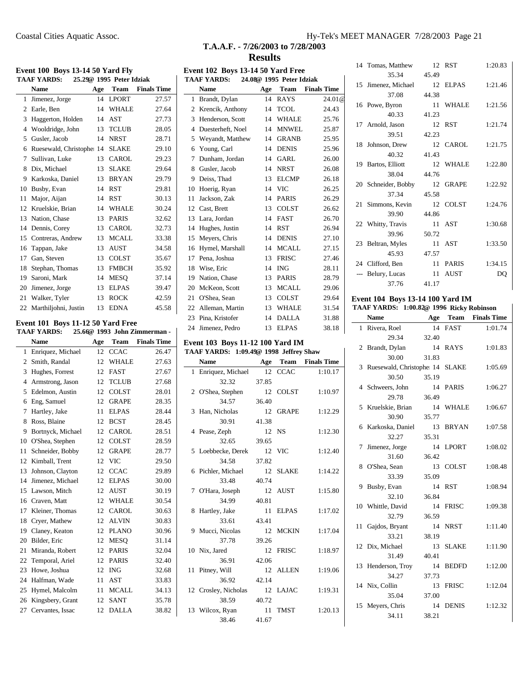RST 1:20.83

ELPAS 1:21.46

WHALE 1:21.56

RST 1:21.74

CAROL 1:21.75

WHALE 1:22.80

GRAPE 1:22.92

COLST 1:24.76

AST 1:30.68

AST 1:33.50

PARIS 1:34.15 AUST DQ

**Name Age Team Finals Time** FAST 1:01.74

RAYS 1:01.83

SLAKE 1:05.69

PARIS 1:06.27

WHALE 1:06.67

8 BRYAN 1:07.58

LPORT 1:08.02

COLST 1:08.48

RST 1:08.94

FRISC 1:09.38

NRST 1:11.40

SLAKE 1:11.90

**BEDFD** 1:12.00

FRISC 1:12.04

**DENIS** 1:12.32

# **T.A.A.F. - 7/26/2003 to 7/28/2003 Results**

|                                                         |     |                          |                              |                                                                            | <b>Results</b>           |          |                    |                                          |       |          |                  |
|---------------------------------------------------------|-----|--------------------------|------------------------------|----------------------------------------------------------------------------|--------------------------|----------|--------------------|------------------------------------------|-------|----------|------------------|
| <b>Event 100 Boys 13-14 50 Yard Fly</b>                 |     |                          |                              | Event 102 Boys 13-14 50 Yard Free                                          |                          |          |                    | 14 Tomas, Matthew                        |       | 12 RST   | 1:20             |
| <b>TAAF YARDS:</b>                                      |     | 25.29@ 1995 Peter Idziak |                              | <b>TAAF YARDS:</b>                                                         | 24.08@ 1995 Peter Idziak |          |                    | 35.34                                    | 45.49 |          |                  |
| Name                                                    | Age | Team                     | <b>Finals Time</b>           | Name                                                                       | Age                      | Team     | <b>Finals Time</b> | 15 Jimenez, Michael<br>37.08             | 44.38 | 12 ELPAS | 1:21             |
| 1 Jimenez, Jorge                                        |     | 14 LPORT                 | 27.57                        | 1 Brandt, Dylan                                                            |                          | 14 RAYS  | 24.01@             | 16 Powe, Byron                           |       | 11 WHALE | 1:21             |
| 2 Earle, Ben                                            |     | 14 WHALE                 | 27.64                        | 2 Krencik, Anthony                                                         |                          | 14 TCOL  | 24.43              | 40.33                                    | 41.23 |          |                  |
| 3 Haggerton, Holden                                     |     | 14 AST                   | 27.73                        | 3 Henderson, Scott                                                         |                          | 14 WHALE | 25.76              | 17 Arnold, Jason                         |       | 12 RST   | 1:21             |
| 4 Wooldridge, John                                      |     | 13 TCLUB                 | 28.05                        | 4 Duesterheft, Noel                                                        |                          | 14 MNWEL | 25.87              | 39.51                                    | 42.23 |          |                  |
| 5 Gusler, Jacob                                         |     | 14 NRST                  | 28.71                        | 5 Weyandt, Matthew                                                         |                          | 14 GRANB | 25.95              | 18 Johnson, Drew                         |       | 12 CAROL | 1:21             |
| 6 Ruesewald, Christophe 14 SLAKE                        |     |                          | 29.10                        | 6 Young, Carl                                                              |                          | 14 DENIS | 25.96              | 40.32                                    | 41.43 |          |                  |
| 7 Sullivan, Luke                                        |     | 13 CAROL                 | 29.23                        | 7 Dunham, Jordan                                                           |                          | 14 GARL  | 26.00              | 19 Bartos, Elliott                       |       | 12 WHALE | 1:22             |
| 8 Dix, Michael                                          |     | 13 SLAKE                 | 29.64                        | 8 Gusler, Jacob                                                            |                          | 14 NRST  | 26.08              | 38.04                                    | 44.76 |          |                  |
| 9 Karkoska, Daniel                                      |     | 13 BRYAN                 | 29.79                        | 9 Deiss, Thad                                                              |                          | 13 ELCMP | 26.18              | 20 Schneider, Bobby                      |       | 12 GRAPE | 1:22             |
| 10 Busby, Evan                                          |     | 14 RST                   | 29.81                        | 10 Hoerig, Ryan                                                            |                          | 14 VIC   | 26.25              | 37.34                                    | 45.58 |          |                  |
| 11 Major, Aijan                                         |     | 14 RST                   | 30.13                        | 11 Jackson, Zak                                                            |                          | 14 PARIS | 26.29              | 21 Simmons, Kevin                        |       | 12 COLST | 1:24             |
| 12 Kruelskie, Brian                                     |     | 14 WHALE                 | 30.24                        | 12 Cast, Brett                                                             |                          | 13 COLST | 26.62              | 39.90                                    | 44.86 |          |                  |
| 13 Nation, Chase                                        |     | 13 PARIS                 | 32.62                        | 13 Lara, Jordan                                                            |                          | 14 FAST  | 26.70              | 22 Whitty, Travis                        |       | 11 AST   | 1:30             |
| 14 Dennis, Corey                                        |     | 13 CAROL                 | 32.73                        | 14 Hughes, Justin                                                          |                          | 14 RST   | 26.94              |                                          |       |          |                  |
| 15 Contreras, Andrew                                    |     | 13 MCALL                 | 33.38                        | 15 Meyers, Chris                                                           |                          | 14 DENIS | 27.10              | 39.96                                    | 50.72 | 11 AST   | 1:33             |
| 16 Tappan, Jake                                         |     | 13 AUST                  | 34.58                        | 16 Hymel, Marshall                                                         |                          | 14 MCALL | 27.15              | 23 Beltran, Myles<br>45.93               | 47.57 |          |                  |
| 17 Gan, Steven                                          |     | 13 COLST                 | 35.67                        | 17 Pena, Joshua                                                            |                          | 13 FRISC | 27.46              |                                          |       |          |                  |
| 18 Stephan, Thomas                                      |     | 13 FMBCH                 | 35.92                        | 18 Wise, Eric                                                              |                          | 14 ING   | 28.11              | 24 Clifford, Ben                         |       | 11 PARIS | 1:34             |
| 19 Saroni, Mark                                         |     | 14 MESQ                  | 37.14                        | 19 Nation, Chase                                                           |                          | 13 PARIS | 28.79              | --- Belury, Lucas                        |       | 11 AUST  |                  |
| 20 Jimenez, Jorge                                       |     | 13 ELPAS                 | 39.47                        | 20 McKeon, Scott                                                           |                          | 13 MCALL | 29.06              | 37.76                                    | 41.17 |          |                  |
| 21 Walker, Tyler                                        |     | 13 ROCK                  | 42.59                        | 21 O'Shea, Sean                                                            |                          | 13 COLST | 29.64              | <b>Event 104 Boys 13-14 100 Yard IM</b>  |       |          |                  |
| 22 Marthiljohni, Justin                                 |     | 13 EDNA                  | 45.58                        | 22 Alleman, Martin                                                         |                          | 13 WHALE | 31.54              | TAAF YARDS: 1:00.82@ 1996 Ricky Robinson |       |          |                  |
|                                                         |     |                          |                              | 23 Pina, Kristofer                                                         |                          | 14 DALLA | 31.88              | Name                                     | Age   | Team     | <b>Finals Ti</b> |
| Event 101 Boys 11-12 50 Yard Free<br><b>TAAF YARDS:</b> |     |                          | 25.66@ 1993 John Zimmerman - | 24 Jimenez, Pedro                                                          |                          | 13 ELPAS | 38.18              | 1 Rivera, Roel                           |       | 14 FAST  | 1:01             |
| Name                                                    | Age | Team                     | <b>Finals Time</b>           |                                                                            |                          |          |                    | 29.34                                    | 32.40 |          |                  |
|                                                         |     |                          |                              | Event 103 Boys 11-12 100 Yard IM<br>TAAF YARDS: 1:09.49@ 1998 Jeffrey Shaw |                          |          |                    | 2 Brandt, Dylan                          |       | 14 RAYS  | 1:01             |
|                                                         |     |                          |                              |                                                                            |                          |          |                    |                                          |       |          |                  |
| 1 Enriquez, Michael                                     |     | 12 CCAC                  | 26.47                        |                                                                            |                          |          |                    | 30.00                                    | 31.83 |          |                  |
| 2 Smith, Randal                                         |     | 12 WHALE                 | 27.63                        | Name                                                                       | Age                      | Team     | <b>Finals Time</b> | 3 Ruesewald, Christophe: 14 SLAKE        |       |          | 1:05             |
| 3 Hughes, Forrest                                       |     | 12 FAST                  | 27.67                        | 1 Enriquez, Michael                                                        |                          | 12 CCAC  | 1:10.17            | 30.50                                    | 35.19 |          |                  |
| 4 Armstrong, Jason                                      |     | 12 TCLUB                 | 27.68                        | 32.32                                                                      | 37.85                    |          |                    | 4 Schweers, John                         |       | 14 PARIS | 1:06             |
| 5 Edelmon, Austin                                       |     | 12 COLST                 | 28.01                        | 2 O'Shea, Stephen                                                          |                          | 12 COLST | 1:10.97            | 29.78                                    | 36.49 |          |                  |
| 6 Eng, Samuel                                           |     | 12 GRAPE                 | 28.35                        | 34.57                                                                      | 36.40                    |          |                    | 5 Kruelskie, Brian                       |       | 14 WHALE | 1:06             |
| 7 Hartley, Jake                                         |     | 11 ELPAS                 | 28.44                        | 3 Han, Nicholas                                                            |                          | 12 GRAPE | 1:12.29            | 30.90                                    | 35.77 |          |                  |
| 8 Ross, Blaine                                          |     | 12 BCST                  | 28.45                        | 30.91                                                                      | 41.38                    |          |                    | 6 Karkoska, Daniel                       |       | 13 BRYAN | 1:07             |
| 9 Bortnyck, Michael                                     |     | 12 CAROL                 | 28.51                        | 4 Pease, Zeph                                                              |                          | 12 NS    | 1:12.30            | 32.27                                    | 35.31 |          |                  |
| 10 O'Shea, Stephen                                      |     | 12 COLST                 | 28.59                        | 32.65                                                                      | 39.65                    |          |                    | 7 Jimenez, Jorge                         |       | 14 LPORT | 1:08             |
| 11 Schneider, Bobby                                     |     | 12 GRAPE                 | 28.77                        | 5 Loebbecke, Derek                                                         |                          | 12 VIC   | 1:12.40            | 31.60                                    | 36.42 |          |                  |
| 12 Kimball, Trent                                       |     | 12 VIC                   | 29.50                        | 34.58                                                                      | 37.82                    |          |                    | 8 O'Shea, Sean                           |       | 13 COLST | 1:08             |
| 13 Johnson, Clayton                                     |     | 12 CCAC                  | 29.89                        | 6 Pichler, Michael                                                         |                          | 12 SLAKE | 1:14.22            | 33.39                                    | 35.09 |          |                  |
| 14 Jimenez, Michael                                     |     | 12 ELPAS                 | 30.00                        | 33.48                                                                      | 40.74                    |          |                    | 9 Busby, Evan                            |       | 14 RST   | 1:08             |
| 15 Lawson, Mitch                                        |     | 12 AUST                  | 30.19                        | 7 O'Hara, Joseph                                                           |                          | 12 AUST  | 1:15.80            | 32.10                                    | 36.84 |          |                  |
| 16 Craven, Matt                                         |     | 12 WHALE                 | 30.54                        | 34.99                                                                      | 40.81                    |          |                    |                                          |       |          | 1:09             |
| 17 Kleiner, Thomas                                      |     | 12 CAROL                 | 30.63                        | 8 Hartley, Jake                                                            |                          | 11 ELPAS | 1:17.02            | 10 Whittle, David<br>32.79               | 36.59 | 14 FRISC |                  |
| 18 Cryer, Mathew                                        |     | 12 ALVIN                 | 30.83                        | 33.61                                                                      | 43.41                    |          |                    | 11 Gajdos, Bryant                        |       | 14 NRST  | 1:11             |
| 19 Claney, Keaton                                       |     | 12 PLANO                 | 30.96                        | 9 Mucci, Nicolas                                                           |                          | 12 MCKIN | 1:17.04            | 33.21                                    | 38.19 |          |                  |
| 20 Bilder, Eric                                         |     | 12 MESQ                  | 31.14                        | 37.78                                                                      | 39.26                    |          |                    |                                          |       |          |                  |
| 21 Miranda, Robert                                      |     | 12 PARIS                 | 32.04                        | 10 Nix, Jared                                                              |                          | 12 FRISC | 1:18.97            | 12 Dix, Michael                          |       | 13 SLAKE | 1:11             |
| 22 Temporal, Ariel                                      |     | 12 PARIS                 | 32.40                        | 36.91                                                                      | 42.06                    |          |                    | 31.49                                    | 40.41 |          |                  |
| 23 Howe, Joshua                                         |     | 12 ING                   | 32.68                        | 11 Pitney, Will                                                            |                          | 12 ALLEN | 1:19.06            | 13 Henderson, Troy                       |       | 14 BEDFD | 1:12             |
| 24 Halfman, Wade                                        |     | 11 AST                   | 33.83                        | 36.92                                                                      | 42.14                    |          |                    | 34.27                                    | 37.73 |          |                  |
| 25 Hymel, Malcolm                                       |     | 11 MCALL                 | 34.13                        | 12 Crosley, Nicholas                                                       |                          | 12 LAJAC | 1:19.31            | 14 Nix, Collin                           |       | 13 FRISC | 1:12             |
| 26 Kingsbery, Grant                                     |     | 12 SANT                  | 35.78                        | 38.59                                                                      | 40.72                    |          |                    | 35.04                                    | 37.00 |          |                  |
| 27 Cervantes, Issac                                     |     | 12 DALLA                 | 38.82                        | 13 Wilcox, Ryan<br>38.46                                                   | 41.67                    | 11 TMST  | 1:20.13            | 15 Meyers, Chris<br>34.11                | 38.21 | 14 DENIS | 1:12             |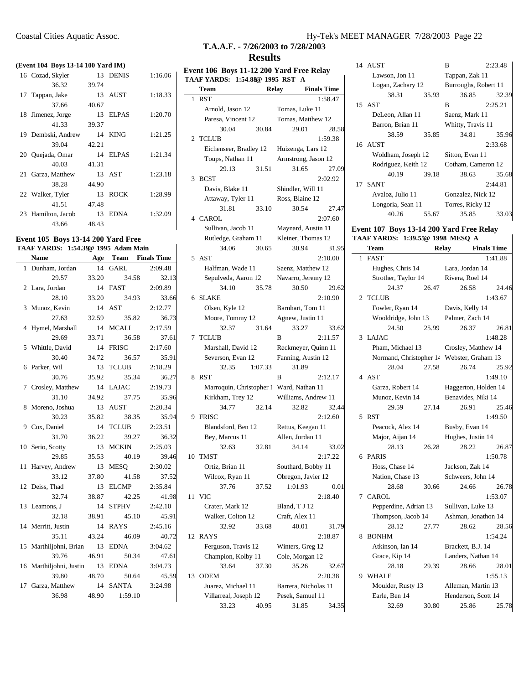#### **(Event 104 Boys 13-14 100 Yard IM)**

| 16 Cozad, Skyler   |       | 13 DENIS    | 1:16.06 |
|--------------------|-------|-------------|---------|
| 36.32              | 39.74 |             |         |
| 17 Tappan, Jake    |       | 13 AUST     | 1:18.33 |
| 37.66              | 40.67 |             |         |
| 18 Jimenez, Jorge  |       | 13 ELPAS    | 1:20.70 |
| 41.33              | 39.37 |             |         |
| 19 Dembski, Andrew | 14    | <b>KING</b> | 1:21.25 |
| 39.04              | 42.21 |             |         |
| 20 Quejada, Omar   |       | 14 ELPAS    | 1:21.34 |
| 40.03              | 41.31 |             |         |
| 21 Garza, Matthew  |       | 13 AST      | 1:23.18 |
| 38.28              | 44.90 |             |         |
| 22 Walker, Tyler   | 13    | <b>ROCK</b> | 1:28.99 |
| 41.51              | 47.48 |             |         |
| 23 Hamilton, Jacob | 13    | <b>EDNA</b> | 1:32.09 |
| 43.66              | 48.43 |             |         |
|                    |       |             |         |

#### **Event 105 Boys 13-14 200 Yard Free TAAF YARDS: 1:54.39@ 1995 Adam Main**

|              | <b>Name</b>                     | Age   |               | <b>Team</b> Finals Time |
|--------------|---------------------------------|-------|---------------|-------------------------|
| $\mathbf{1}$ | Dunham, Jordan                  | 14    | <b>GARL</b>   | 2:09.48                 |
|              | 29.57                           | 33.20 | 34.58         | 32.13                   |
|              | 2 Lara, Jordan                  |       | 14 FAST       | 2:09.89                 |
|              | 28.10                           | 33.20 | 34.93         | 33.66                   |
| 3            | Munoz, Kevin                    |       | 14 AST        | 2:12.77                 |
|              | 27.63                           | 32.59 | 35.82         | 36.73                   |
| 4            | Hymel, Marshall                 |       | 14 MCALL      | 2:17.59                 |
|              | 29.69                           | 33.71 | 36.58         | 37.61                   |
|              | 5 Whittle, David                |       | 14 FRISC      | 2:17.60                 |
|              | 30.40                           | 34.72 | 36.57         | 35.91                   |
|              | 6 Parker, Wil                   |       | 13 TCLUB      | 2:18.29                 |
|              | 30.76                           | 35.92 | 35.34         | 36.27                   |
|              | 7 Crosley, Matthew 14 LAJAC     |       |               | 2:19.73                 |
|              | 31.10                           | 34.92 | 37.75         | 35.96                   |
| 8            | Moreno, Joshua                  | 13    | AUST          | 2:20.34                 |
|              | 30.23                           | 35.82 | 38.35         | 35.94                   |
|              | 9 Cox, Daniel                   | 14    | <b>TCLUB</b>  | 2:23.51                 |
|              | 31.70                           | 36.22 | 39.27         | 36.32                   |
|              | 10 Serio, Scotty                |       | 13 MCKIN      | 2:25.03                 |
|              | 29.85                           | 35.53 | 40.19         | 39.46                   |
| 11           | Harvey, Andrew                  | - 13  | <b>MESO</b>   | 2:30.02                 |
|              | 33.12                           | 37.80 | 41.58         | 37.52                   |
|              | 12 Deiss, Thad                  | 13    | <b>ELCMP</b>  | 2:35.84                 |
|              | 32.74                           | 38.87 | 42.25         | 41.98                   |
|              | 13 Leamons, J                   |       | 14 STPHV      | 2:42.10                 |
|              | 32.18                           | 38.91 | 45.10         | 45.91                   |
|              | 14 Merritt, Justin              |       | 14 RAYS       | 2:45.16                 |
|              | 35.11                           | 43.24 | 46.09         | 40.72                   |
|              | 15 Marthiljohni, Brian 13 EDNA  |       |               | 3:04.62                 |
|              | 39.76                           | 46.91 | 50.34         | 47.61                   |
|              | 16 Marthiljohni, Justin 13 EDNA |       |               | 3:04.73                 |
|              | 39.80                           |       | 48.70 50.64   | 45.59                   |
| 17           | Garza, Matthew 14 SANTA         |       |               | 3:24.98                 |
|              | 36.98                           |       | 48.90 1:59.10 |                         |
|              |                                 |       |               |                         |

# Coastal Cities Aquatic Assoc. Hy-Tek's MEET MANAGER 7/28/2003 Page 22

# **T.A.A.F. - 7/26/2003 to 7/28/2003 Results**

| Event 106 Boys 11-12 200 Yard Free Relay<br>TAAF YARDS: 1:54.88@ 1995 RST |                                          |                                    |  |  |  |
|---------------------------------------------------------------------------|------------------------------------------|------------------------------------|--|--|--|
|                                                                           | <b>Team</b>                              | <b>Relay</b><br><b>Finals Time</b> |  |  |  |
|                                                                           | 1 RST                                    | 1:58.47                            |  |  |  |
|                                                                           | Arnold, Jason 12                         | Tomas, Luke 11                     |  |  |  |
|                                                                           | Paresa, Vincent 12                       | Tomas, Matthew 12                  |  |  |  |
|                                                                           | 30.04<br>30.84                           | 29.01<br>28.58                     |  |  |  |
| $\overline{2}$                                                            | <b>TCLUB</b>                             | 1:59.38                            |  |  |  |
|                                                                           | Eichenseer, Bradley 12 Huizenga, Lars 12 |                                    |  |  |  |
|                                                                           | Toups, Nathan 11                         | Armstrong, Jason 12                |  |  |  |
|                                                                           | 29.13<br>31.51                           | 31.65<br>27.09                     |  |  |  |
|                                                                           | 3 BCST                                   | 2:02.92                            |  |  |  |
|                                                                           | Davis, Blake 11                          | Shindler, Will 11                  |  |  |  |
|                                                                           | Attaway, Tyler 11                        | Ross, Blaine 12                    |  |  |  |
|                                                                           | 31.81<br>33.10                           | 30.54<br>27.47                     |  |  |  |
|                                                                           | 4 CAROL                                  | 2:07.60                            |  |  |  |
|                                                                           | Sullivan, Jacob 11                       | Maynard, Austin 11                 |  |  |  |
|                                                                           | Rutledge, Graham 11                      | Kleiner, Thomas 12                 |  |  |  |
|                                                                           | 34.06<br>30.65                           | 30.94<br>31.95                     |  |  |  |
|                                                                           | 5 AST                                    | 2:10.00                            |  |  |  |
|                                                                           | Halfman, Wade 11                         | Saenz, Matthew 12                  |  |  |  |
|                                                                           | Sepulveda, Aaron 12 Navarro, Jeremy 12   |                                    |  |  |  |
|                                                                           | 34.10<br>35.78                           | 30.50<br>29.62                     |  |  |  |
| 6                                                                         | SLAKE                                    | 2:10.90                            |  |  |  |
|                                                                           | Olsen, Kyle 12                           | Barnhart, Tom 11                   |  |  |  |
|                                                                           | Moore, Tommy 12                          | Agnew, Justin 11                   |  |  |  |
|                                                                           | 32.37<br>31.64                           | 33.27<br>33.62                     |  |  |  |
|                                                                           | 7 TCLUB                                  | B<br>2:11.57                       |  |  |  |
|                                                                           | Marshall, David 12                       | Reckmeyer, Quinn 11                |  |  |  |
|                                                                           | Severson, Evan 12                        | Fanning, Austin 12                 |  |  |  |
|                                                                           | 32.35<br>1:07.33                         | 31.89                              |  |  |  |
| 8                                                                         | <b>RST</b>                               | 2:12.17<br>B                       |  |  |  |
|                                                                           | Marroquin, Christopher 1 Ward, Nathan 11 |                                    |  |  |  |
|                                                                           | Kirkham, Trey 12                         | Williams, Andrew 11                |  |  |  |
|                                                                           | 32.14<br>34.77                           | 32.82<br>32.44                     |  |  |  |
| 9                                                                         | <b>FRISC</b>                             | 2:12.60                            |  |  |  |
|                                                                           | Blandsford, Ben 12                       | Rettus, Keegan 11                  |  |  |  |
|                                                                           | Bey, Marcus 11                           | Allen, Jordan 11                   |  |  |  |
|                                                                           | 32.63<br>32.81                           | 34.14<br>33.02                     |  |  |  |
| 10                                                                        | <b>TMST</b>                              | 2:17.22                            |  |  |  |
|                                                                           | Ortiz, Brian 11                          | Southard, Bobby 11                 |  |  |  |
|                                                                           | Wilcox, Ryan 11                          | Obregon, Javier 12                 |  |  |  |
|                                                                           | 37.76<br>37.52                           | 1:01.93<br>0.01                    |  |  |  |
| 11                                                                        | <b>VIC</b>                               | 2:18.40                            |  |  |  |
|                                                                           | Crater, Mark 12                          | Bland, T J 12                      |  |  |  |
|                                                                           | Walker, Colton 12                        | Craft, Alex 11                     |  |  |  |
|                                                                           | 32.92<br>33.68                           | 40.01<br>31.79                     |  |  |  |
| 12                                                                        | RAYS                                     | 2:18.87                            |  |  |  |
|                                                                           |                                          | Winters, Greg 12                   |  |  |  |
|                                                                           | Ferguson, Travis 12                      |                                    |  |  |  |
|                                                                           | Champion, Kolby 11                       | Cole, Morgan 12                    |  |  |  |
|                                                                           | 33.64<br>37.30<br><b>ODEM</b>            | 35.26<br>32.67                     |  |  |  |
| 13                                                                        |                                          | 2:20.38                            |  |  |  |
|                                                                           | Juarez, Michael 11                       | Barrera, Nicholas 11               |  |  |  |
|                                                                           | Villarreal, Joseph 12                    | Pesek, Samuel 11                   |  |  |  |
|                                                                           | 33.23<br>40.95                           | 31.85<br>34.35                     |  |  |  |

|    | 14 AUST             |       | B                    | 2:23.48 |
|----|---------------------|-------|----------------------|---------|
|    | Lawson, Jon 11      |       | Tappan, Zak 11       |         |
|    | Logan, Zachary 12   |       | Burroughs, Robert 11 |         |
|    | 38.31               | 35.93 | 36.85                | 32.39   |
|    | 15 AST              |       | B                    | 2:25.21 |
|    | DeLeon, Allan 11    |       | Saenz, Mark 11       |         |
|    | Barron, Brian 11    |       | Whitty, Travis 11    |         |
|    | 38.59               | 35.85 | 34.81                | 35.96   |
|    | 16 AUST             |       |                      | 2:33.68 |
|    | Woldham, Joseph 12  |       | Sitton, Evan 11      |         |
|    | Rodriguez, Keith 12 |       | Cotham, Cameron 12   |         |
|    | 40.19               | 39.18 | 38.63                | 35.68   |
| 17 | <b>SANT</b>         |       |                      | 2:44.81 |
|    | Avaloz, Julio 11    |       | Gonzalez, Nick 12    |         |
|    | Longoria, Sean 11   |       | Torres, Ricky 12     |         |
|    | 40.26               | 55.67 | 35.85                | 33.03   |
|    |                     |       |                      |         |

#### **Event 107 Boys 13-14 200 Yard Free Relay TAAF YARDS: 1:39.55@ 1998 MESQ A**

|   | Team                                       |       | Relay                | <b>Finals Time</b> |
|---|--------------------------------------------|-------|----------------------|--------------------|
| 1 | <b>FAST</b>                                |       |                      | 1:41.88            |
|   | Hughes, Chris 14                           |       | Lara, Jordan 14      |                    |
|   | Strother, Taylor 14                        |       | Rivera, Roel 14      |                    |
|   | 24.37                                      | 26.47 | 26.58                | 24.46              |
| 2 | <b>TCLUB</b>                               |       |                      | 1:43.67            |
|   | Fowler, Ryan 14                            |       | Davis, Kelly 14      |                    |
|   | Wooldridge, John 13                        |       | Palmer, Zach 14      |                    |
|   | 24.50                                      | 25.99 | 26.37                | 26.81              |
| 3 | LAJAC                                      |       |                      | 1:48.28            |
|   | Pham, Michael 13                           |       | Crosley, Matthew 14  |                    |
|   | Normand, Christopher 14 Webster, Graham 13 |       |                      |                    |
|   | 28.04                                      | 27.58 | 26.74                | 25.92              |
|   | 4 AST                                      |       |                      | 1:49.10            |
|   | Garza, Robert 14                           |       | Haggerton, Holden 14 |                    |
|   | Munoz, Kevin 14                            |       | Benavides, Niki 14   |                    |
|   | 29.59                                      | 27.14 | 26.91                | 25.46              |
|   | 5 RST                                      |       |                      | 1:49.50            |
|   | Peacock, Alex 14                           |       | Busby, Evan 14       |                    |
|   | Major, Aijan 14                            |       | Hughes, Justin 14    |                    |
|   | 28.13                                      | 26.28 | 28.22                | 26.87              |
|   | 6 PARIS                                    |       |                      | 1:50.78            |
|   | Hoss, Chase 14                             |       | Jackson, Zak 14      |                    |
|   | Nation, Chase 13                           |       | Schweers, John 14    |                    |
|   | 28.68                                      | 30.66 | 24.66                | 26.78              |
|   | 7 CAROL                                    |       |                      | 1:53.07            |
|   | Pepperdine, Adrian 13                      |       | Sullivan, Luke 13    |                    |
|   | Thompson, Jacob 14                         |       | Ashman, Jonathon 14  |                    |
|   | 28.12                                      | 27.77 | 28.62                | 28.56              |
| 8 | <b>BONHM</b>                               |       |                      | 1:54.24            |
|   | Atkinson, Ian 14                           |       | Brackett, B.J. 14    |                    |
|   | Grace, Kip 14                              |       | Landers, Nathan 14   |                    |
|   | 28.18                                      | 29.39 | 28.66                | 28.01              |
|   | 9 WHALE                                    |       |                      | 1:55.13            |
|   | Moulder, Rusty 13                          |       | Alleman, Martin 13   |                    |
|   | Earle, Ben 14                              |       | Henderson, Scott 14  |                    |
|   | 32.69                                      | 30.80 | 25.86                | 25.78              |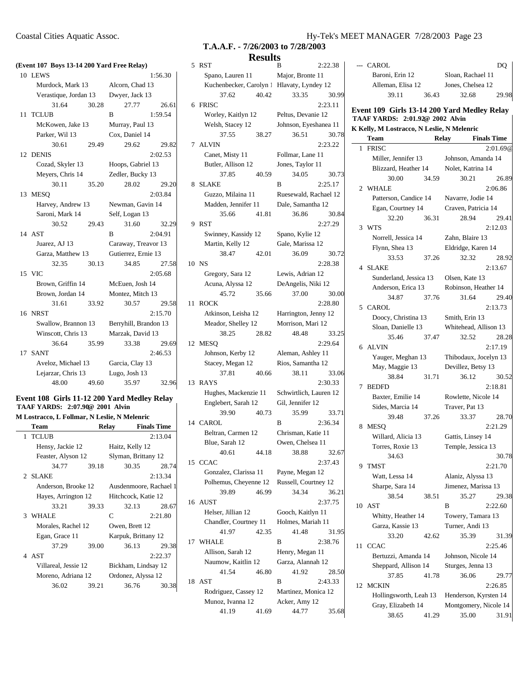|    | (Event 107 Boys 13-14 200 Yard Free Relay) |       |                                           |         |
|----|--------------------------------------------|-------|-------------------------------------------|---------|
|    | 10 LEWS                                    |       |                                           | 1:56.30 |
|    | Murdock, Mark 13                           |       | Alcorn, Chad 13                           |         |
|    | Verastique, Jordan 13                      |       | Dwyer, Jack 13                            |         |
|    | 31.64                                      | 30.28 | 27.77                                     | 26.61   |
| 11 | <b>TCLUB</b>                               |       | B                                         | 1:59.54 |
|    | McKowen, Jake 13                           |       | Murray, Paul 13                           |         |
|    | Parker, Wil 13                             |       | Cox, Daniel 14                            |         |
|    | 30.61                                      | 29.49 | 29.62                                     | 29.82   |
|    | 12 DENIS                                   |       |                                           | 2:02.53 |
|    | Cozad, Skyler 13                           |       | Hoops, Gabriel 13                         |         |
|    | Meyers, Chris 14                           |       | Zedler, Bucky 13                          |         |
|    | 30.11                                      | 35.20 | 28.02                                     | 29.20   |
| 13 | <b>MESO</b>                                |       |                                           | 2:03.84 |
|    | Harvey, Andrew 13                          |       | Newman, Gavin 14                          |         |
|    | Saroni, Mark 14                            |       | Self, Logan 13                            |         |
|    | 30.52                                      | 29.43 | 31.60                                     | 32.29   |
|    | 14 AST                                     |       | B                                         | 2:04.91 |
|    | Juarez, AJ 13                              |       | Caraway, Treavor 13                       |         |
|    | Garza, Matthew 13                          |       | Gutierrez, Ernie 13                       |         |
|    | 32.35                                      | 30.13 | 34.85                                     | 27.58   |
|    | 15 VIC                                     |       |                                           | 2:05.68 |
|    | Brown, Griffin 14                          |       | McEuen, Josh 14                           |         |
|    | Brown, Jordan 14                           |       | Montez, Mitch 13                          |         |
|    | 31.61                                      | 33.92 | 30.57                                     | 29.58   |
|    | 16 NRST                                    |       |                                           | 2:15.70 |
|    |                                            |       | Swallow, Brannon 13 Berryhill, Brandon 13 |         |
|    | Winscott, Chris 13                         |       | Marzak, David 13                          |         |
|    | 36.64                                      | 35.99 | 33.38                                     | 29.69   |
|    | 17 SANT                                    |       |                                           | 2:46.53 |
|    | Aveloz, Michael 13                         |       | Garcia, Clay 13                           |         |
|    | Lejarzar, Chris 13                         |       | Lugo, Josh 13                             |         |
|    | 48.00                                      | 49.60 | 35.97                                     | 32.96   |
|    |                                            |       |                                           |         |

#### **Event 108 Girls 11-12 200 Yard Medley Relay TAAF YARDS: 2:07.90@ 2001 Alvin M Lostracco, L Follmar, N Leslie, N Melenric**

| 2:13.04                |
|------------------------|
|                        |
| Haitz, Kelly 12        |
| Slyman, Brittany 12    |
| 30.35<br>28.74         |
| 2:13.34                |
| Ausdenmoore, Rachael 1 |
| Hitchcock, Katie 12    |
| 32.13<br>28.67         |
| 2:21.80                |
| Owen, Brett 12         |
| Karpuk, Brittany 12    |
| 36.13<br>29.38         |
| 2:22.37                |
| Bickham, Lindsay 12    |
| Ordonez, Alyssa 12     |
| 36.76                  |
|                        |

# Coastal Cities Aquatic Assoc. Hy-Tek's MEET MANAGER 7/28/2003 Page 23

|       | T.A.A.F. - 7/26/2003 to 7/28/2003 |         |
|-------|-----------------------------------|---------|
|       | <b>Results</b>                    |         |
| 5 RST |                                   | 2:22.38 |

| 5  | <b>RST</b>                                 |       | В                      | 2:22.38 |
|----|--------------------------------------------|-------|------------------------|---------|
|    | Spano, Lauren 11                           |       | Major, Bronte 11       |         |
|    | Kuchenbecker, Carolyn 1 Hlavaty, Lyndey 12 |       |                        |         |
|    | 37.62                                      | 40.42 | 33.35                  | 30.99   |
| 6  | FRISC                                      |       |                        | 2:23.11 |
|    | Worley, Kaitlyn 12                         |       | Peltus, Devanie 12     |         |
|    |                                            |       |                        |         |
|    | Welsh, Stacey 12                           |       | Johnson, Eyeshanea 11  |         |
|    | 37.55                                      | 38.27 | 36.51                  | 30.78   |
|    | 7 ALVIN                                    |       |                        | 2:23.22 |
|    | Canet, Misty 11                            |       | Follmar, Lane 11       |         |
|    | Butler, Allison 12                         |       | Jones, Taylor 11       |         |
|    | 37.85                                      | 40.59 | 34.05                  | 30.73   |
| 8  | <b>SLAKE</b>                               |       | B                      | 2:25.17 |
|    | Guzzo, Milaina 11                          |       | Ruesewald, Rachael 12  |         |
|    | Madden, Jennifer 11 Dale, Samantha 12      |       |                        |         |
|    | 35.66                                      | 41.81 | 36.86                  | 30.84   |
| 9  | <b>RST</b>                                 |       |                        | 2:27.29 |
|    | Swinney, Kassidy 12                        |       | Spano, Kylie 12        |         |
|    | Martin, Kelly 12                           |       | Gale, Marissa 12       |         |
|    | 38.47                                      | 42.01 | 36.09                  | 30.72   |
|    |                                            |       |                        |         |
|    | 10 NS                                      |       |                        | 2:28.38 |
|    | Gregory, Sara 12                           |       | Lewis, Adrian 12       |         |
|    | Acuna, Alyssa 12                           |       | DeAngelis, Niki 12     |         |
|    | 45.72                                      | 35.66 | 37.00                  | 30.00   |
|    | 11 ROCK                                    |       |                        | 2:28.80 |
|    | Atkinson, Leisha 12                        |       | Harrington, Jenny 12   |         |
|    | Meador, Shelley 12                         |       | Morrison, Mari 12      |         |
|    | 38.25                                      | 28.82 | 48.48                  | 33.25   |
|    | 12 MESQ                                    |       |                        | 2:29.64 |
|    |                                            |       |                        |         |
|    | Johnson, Kerby 12                          |       | Aleman, Ashley 11      |         |
|    | Stacey, Megan 12                           |       | Rios, Samantha 12      |         |
|    | 37.81                                      | 40.66 | 38.11                  | 33.06   |
|    | 13 RAYS                                    |       |                        | 2:30.33 |
|    | Hughes, Mackenzie 11                       |       | Schwirtlich, Lauren 12 |         |
|    | Englebert, Sarah 12                        |       | Gil, Jennifer 12       |         |
|    | 39.90                                      | 40.73 | 35.99                  | 33.71   |
|    | 14 CAROL                                   |       | B                      | 2:36.34 |
|    | Beltran, Carmen 12                         |       | Chrisman, Katie 11     |         |
|    | Blue, Sarah 12                             |       | Owen, Chelsea 11       |         |
|    |                                            |       |                        |         |
|    | 40.61                                      | 44.18 | 38.88                  | 32.67   |
|    | 15 CCAC                                    |       |                        | 2:37.43 |
|    | Gonzalez, Clarissa 11                      |       | Payne, Megan 12        |         |
|    | Polhemus, Cheyenne 12                      |       | Russell, Courtney 12   |         |
|    | 39.89                                      | 46.99 | 34.34                  | 36.21   |
|    | 16 AUST                                    |       |                        | 2:37.75 |
|    | Helser, Jillian 12                         |       | Gooch, Kaitlyn 11      |         |
|    | Chandler, Courtney 11                      |       | Holmes, Mariah 11      |         |
|    | 41.97                                      | 42.35 | 41.48                  | 31.95   |
| 17 | <b>WHALE</b>                               |       | B                      | 2:38.76 |
|    | Allison, Sarah 12                          |       | Henry, Megan 11        |         |
|    | Naumow, Kaitlin 12                         |       | Garza, Alannah 12      |         |
|    | 41.54                                      | 46.80 | 41.92                  | 28.50   |
| 18 | AST                                        |       | B                      | 2:43.33 |
|    | Rodriguez, Cassey 12                       |       | Martinez, Monica 12    |         |
|    | Munoz, Ivanna 12<br>41.19                  | 41.69 | Acker, Amy 12<br>44.77 |         |

| --- CAROL                                                                                                                                                                                                                                                                                                              |       |                   | DQ    |
|------------------------------------------------------------------------------------------------------------------------------------------------------------------------------------------------------------------------------------------------------------------------------------------------------------------------|-------|-------------------|-------|
| Baroni, Erin 12                                                                                                                                                                                                                                                                                                        |       | Sloan, Rachael 11 |       |
| Alleman, Elisa 12                                                                                                                                                                                                                                                                                                      |       | Jones, Chelsea 12 |       |
| 39.11                                                                                                                                                                                                                                                                                                                  | 36.43 | 32.68             | 29.98 |
| Event 109 Girls 13-14 200 Yard Medley Relay<br>$T_{A}$ $\uparrow$ $T_{A}$ $T_{B}$ $T_{C}$ $\downarrow$ $T_{C}$ $T_{C}$ $T_{C}$ $T_{D}$ $T_{C}$ $T_{C}$ $T_{D}$ $T_{C}$ $T_{C}$ $T_{D}$ $T_{C}$ $T_{C}$ $T_{C}$ $T_{C}$ $T_{C}$ $T_{C}$ $T_{C}$ $T_{C}$ $T_{C}$ $T_{C}$ $T_{C}$ $T_{C}$ $T_{C}$ $T_{C}$ $T_{C}$ $T_{C}$ |       |                   |       |

#### **TAAF YARDS: 2:01.92@ 2002 Alvin K Kelly, M Lostracco, N Leslie, N Melenric**

|    | Team                                  |       | <b>Relay</b>                                   | <b>Finals Time</b>    |
|----|---------------------------------------|-------|------------------------------------------------|-----------------------|
| 1  | <b>FRISC</b>                          |       |                                                | 2:01.69@              |
|    | Miller, Jennifer 13                   |       | Johnson, Amanda 14                             |                       |
|    | Blizzard, Heather 14                  |       | Nolet, Katrina 14                              |                       |
|    | 30.00                                 | 34.59 | 30.21                                          | 26.89                 |
|    | 2 WHALE                               |       |                                                | 2:06.86               |
|    | Patterson, Candice 14                 |       | Navarre, Jodie 14                              |                       |
|    | Egan, Courtney 14                     |       | Craven, Patricia 14                            |                       |
|    | 32.20                                 | 36.31 | 28.94                                          | 29.41                 |
|    | 3 WTS                                 |       |                                                | 2:12.03               |
|    | Norrell, Jessica 14                   |       | Zahn, Blaire 13                                |                       |
|    | Flynn, Shea 13                        |       | Eldridge, Karen 14                             |                       |
|    | 33.53                                 | 37.26 | 32.32                                          | 28.92                 |
|    | 4 SLAKE                               |       |                                                | 2:13.67               |
|    | Sunderland, Jessica 13 Olsen, Kate 13 |       |                                                |                       |
|    | Anderson, Erica 13                    |       | Robinson, Heather 14                           |                       |
|    | 34.87                                 | 37.76 | 31.64                                          | 29.40                 |
|    | 5 CAROL                               |       |                                                | 2:13.73               |
|    | Doocy, Christina 13                   |       | Smith, Erin 13                                 |                       |
|    | Sloan, Danielle 13                    |       |                                                | Whitehead, Allison 13 |
|    | 35.46                                 | 37.47 | 32.52                                          | 28.28                 |
|    | 6 ALVIN                               |       |                                                | 2:17.19               |
|    | Yauger, Meghan 13                     |       |                                                | Thibodaux, Jocelyn 13 |
|    | May, Maggie 13<br>38.84               | 31.71 | Devillez, Betsy 13<br>36.12                    | 30.52                 |
| 7  | <b>BEDFD</b>                          |       |                                                | 2:18.81               |
|    | Baxter, Emilie 14                     |       | Rowlette, Nicole 14                            |                       |
|    | Sides, Marcia 14                      |       | Traver, Pat 13                                 |                       |
|    | 39.48                                 | 37.26 | 33.37                                          | 28.70                 |
| 8  | <b>MESQ</b>                           |       |                                                | 2:21.29               |
|    | Willard, Alicia 13                    |       | Gattis, Linsey 14                              |                       |
|    | Torres, Roxie 13                      |       | Temple, Jessica 13                             |                       |
|    | 34.63                                 |       |                                                | 30.78                 |
| 9. | <b>TMST</b>                           |       |                                                | 2:21.70               |
|    | Watt, Lessa 14                        |       | Alaniz, Alyssa 13                              |                       |
|    | Sharpe, Sara 14                       |       | Jimenez, Marissa 13                            |                       |
|    | 38.54                                 | 38.51 | 35.27                                          | 29.38                 |
|    | 10 AST                                |       | B                                              | 2:22.60               |
|    | Whitty, Heather 14                    |       | Towery, Tamara 13                              |                       |
|    | Garza, Kassie 13                      |       | Turner, Andi 13                                |                       |
|    | 33.20                                 | 42.62 | 35.39                                          | 31.39                 |
| 11 | <b>CCAC</b>                           |       |                                                | 2:25.46               |
|    | Bertuzzi, Amanda 14                   |       | Johnson, Nicole 14<br>Sturges, Jenna 13        |                       |
|    | Sheppard, Allison 14<br>37.85         | 41.78 | 36.06                                          | 29.77                 |
| 12 | <b>MCKIN</b>                          |       |                                                |                       |
|    | Hollingsworth, Leah 13                |       | 2:26.85                                        |                       |
|    | Gray, Elizabeth 14                    |       | Henderson, Kyrsten 14<br>Montgomery, Nicole 14 |                       |
|    | 38.65                                 | 41.29 | 35.00                                          | 31.91                 |
|    |                                       |       |                                                |                       |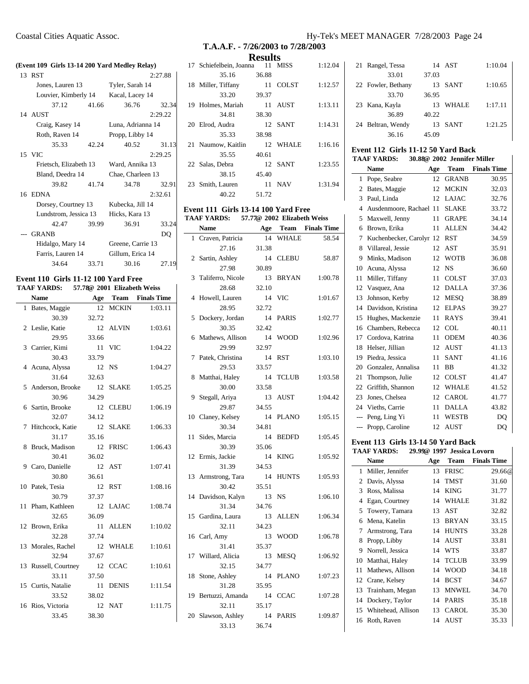| (Event 109 Girls 13-14 200 Yard Medley Relay) |                                      |       |                   |         |  |
|-----------------------------------------------|--------------------------------------|-------|-------------------|---------|--|
|                                               | 13 RST                               |       |                   | 2:27.88 |  |
|                                               | Jones, Lauren 13                     |       | Tyler, Sarah 14   |         |  |
|                                               | Louvier, Kimberly 14 Kacal, Lacey 14 |       |                   |         |  |
|                                               | 37.12                                | 41.66 | 36.76             | 32.34   |  |
|                                               | 14 AUST                              |       |                   | 2:29.22 |  |
|                                               | Craig, Kasey 14                      |       | Luna, Adrianna 14 |         |  |
|                                               | Roth, Raven 14                       |       | Propp, Libby 14   |         |  |
|                                               | 35.33                                | 42.24 | 40.52             | 31.13   |  |
|                                               | 15 VIC                               |       |                   | 2:29.25 |  |
|                                               | Frietsch, Elizabeth 13               |       | Ward, Annika 13   |         |  |
|                                               | Bland, Deedra 14                     |       | Chae, Charleen 13 |         |  |
|                                               | 39.82                                | 41.74 | 34.78             | 32.91   |  |
|                                               | 16 EDNA                              |       |                   | 2:32.61 |  |
|                                               | Dorsey, Courtney 13 Kubecka, Jill 14 |       |                   |         |  |
|                                               | Lundstrom, Jessica 13                |       | Hicks, Kara 13    |         |  |
|                                               | 42.47                                | 39.99 | 36.91             | 33.24   |  |
|                                               | --- GRANB                            |       |                   | DO      |  |
|                                               | Hidalgo, Mary 14                     |       | Greene, Carrie 13 |         |  |
|                                               | Farris, Lauren 14                    |       | Gillum, Erica 14  |         |  |
|                                               | 34.64                                | 33.71 | 30.16             | 27.19   |  |

#### **Event 110 Girls 11-12 100 Yard Free TAAF YARDS: 57.78@ 2001 Elizabeth Weiss**

|    | <b>Name</b>        | Age   |              | <b>Team</b> Finals Time |
|----|--------------------|-------|--------------|-------------------------|
| 1  | Bates, Maggie      | 12    | <b>MCKIN</b> | 1:03.11                 |
|    | 30.39              | 32.72 |              |                         |
|    | 2 Leslie, Katie    | 12    | <b>ALVIN</b> | 1:03.61                 |
|    | 29.95              | 33.66 |              |                         |
| 3  | Carrier, Kimi      | 11    | <b>VIC</b>   | 1:04.22                 |
|    | 30.43              | 33.79 |              |                         |
| 4  | Acuna, Alyssa      | 12    | <b>NS</b>    | 1:04.27                 |
|    | 31.64              | 32.63 |              |                         |
| 5  | Anderson, Brooke   | 12    | <b>SLAKE</b> | 1:05.25                 |
|    | 30.96              | 34.29 |              |                         |
| 6  | Sartin, Brooke     | 12    | <b>CLEBU</b> | 1:06.19                 |
|    | 32.07              | 34.12 |              |                         |
| 7  | Hitchcock, Katie   | 12    | <b>SLAKE</b> | 1:06.33                 |
|    | 31.17              | 35.16 |              |                         |
| 8  | Bruck, Madison     | 12    | <b>FRISC</b> | 1:06.43                 |
|    | 30.41              | 36.02 |              |                         |
|    | 9 Caro, Danielle   | 12    | AST          | 1:07.41                 |
|    | 30.80              | 36.61 |              |                         |
|    | 10 Patek, Tesia    | 12    | <b>RST</b>   | 1:08.16                 |
|    | 30.79              | 37.37 |              |                         |
| 11 | Pham, Kathleen     |       | 12 LAJAC     | 1:08.74                 |
|    | 32.65              | 36.09 |              |                         |
| 12 | Brown, Erika       | 11    | <b>ALLEN</b> | 1:10.02                 |
|    | 32.28              | 37.74 |              |                         |
| 13 | Morales, Rachel    | 12    | <b>WHALE</b> | 1:10.61                 |
|    | 32.94              | 37.67 |              |                         |
| 13 | Russell, Courtney  | 12    | <b>CCAC</b>  | 1:10.61                 |
|    | 33.11              | 37.50 |              |                         |
|    | 15 Curtis, Natalie | 11    | <b>DENIS</b> | 1:11.54                 |
|    | 33.52              | 38.02 |              |                         |
|    | 16 Rios, Victoria  | 12    | <b>NAT</b>   | 1:11.75                 |
|    | 33.45              | 38.30 |              |                         |

# **T.A.A.F. - 7/26/2003 to 7/28/2003**

**Results**

| 17 Schiefelbein, Joanna 11 MISS |       |              | 1:12.04 |
|---------------------------------|-------|--------------|---------|
| 35.16                           | 36.88 |              |         |
| 18 Miller, Tiffany              | 11    | <b>COLST</b> | 1:12.57 |
| 33.20                           | 39.37 |              |         |
| 19 Holmes, Mariah               | 11    | AUST         | 1:13.11 |
| 34.81                           | 38.30 |              |         |
| 20 Elrod, Audra                 |       | 12 SANT      | 1:14.31 |
| 35.33                           | 38.98 |              |         |
| 21 Naumow, Kaitlin              |       | 12 WHALE     | 1:16.16 |
| 35.55                           | 40.61 |              |         |
| 22 Salas, Debra                 |       | 12 SANT      | 1:23.55 |
| 38.15                           | 45.40 |              |         |
| 23 Smith, Lauren                | 11    | <b>NAV</b>   | 1:31.94 |
| 40.22                           | 51.72 |              |         |

#### **Event 111 Girls 13-14 100 Yard Free TAAF YARDS: 57.77@ 2002 Elizabeth Weiss**

|                | Name              | Age   | Team         | <b>Finals Time</b> |
|----------------|-------------------|-------|--------------|--------------------|
| 1              | Craven, Patricia  | 14    | <b>WHALE</b> | 58.54              |
|                | 27.16             | 31.38 |              |                    |
| $\overline{c}$ | Sartin, Ashley    | 14    | <b>CLEBU</b> | 58.87              |
|                | 27.98             | 30.89 |              |                    |
| 3              | Taliferro, Nicole | 13    | <b>BRYAN</b> | 1:00.78            |
|                | 28.68             | 32.10 |              |                    |
| 4              | Howell, Lauren    | 14    | VIC          | 1:01.67            |
|                | 28.95             | 32.72 |              |                    |
| 5              | Dockery, Jordan   | 14    | <b>PARIS</b> | 1:02.77            |
|                | 30.35             | 32.42 |              |                    |
| 6              | Mathews, Allison  | 14    | <b>WOOD</b>  | 1:02.96            |
|                | 29.99             | 32.97 |              |                    |
| 7              | Patek, Christina  | 14    | <b>RST</b>   | 1:03.10            |
|                | 29.53             | 33.57 |              |                    |
| 8              | Matthai, Haley    | 14    | <b>TCLUB</b> | 1:03.58            |
|                | 30.00             | 33.58 |              |                    |
| 9              | Stegall, Ariya    | 13    | <b>AUST</b>  | 1:04.42            |
|                | 29.87             | 34.55 |              |                    |
| 10             | Claney, Kelsey    | 14    | <b>PLANO</b> | 1:05.15            |
|                | 30.34             | 34.81 |              |                    |
| 11             | Sides, Marcia     | 14    | <b>BEDFD</b> | 1:05.45            |
|                | 30.39             | 35.06 |              |                    |
| 12             | Ermis, Jackie     | 14    | <b>KING</b>  | 1:05.92            |
|                | 31.39             | 34.53 |              |                    |
| 13             | Armstrong, Tara   | 14    | <b>HUNTS</b> | 1:05.93            |
|                | 30.42             | 35.51 |              |                    |
| 14             | Davidson, Kalyn   | 13    | <b>NS</b>    | 1:06.10            |
|                | 31.34             | 34.76 |              |                    |
| 15             | Gardina, Laura    | 13    | <b>ALLEN</b> | 1:06.34            |
|                | 32.11             | 34.23 |              |                    |
| 16             | Carl, Amy         | 13    | <b>WOOD</b>  | 1:06.78            |
|                | 31.41             | 35.37 |              |                    |
| 17             | Willard, Alicia   | 13    | <b>MESO</b>  | 1:06.92            |
|                | 32.15             | 34.77 |              |                    |
| 18             | Stone, Ashley     | 14    | <b>PLANO</b> | 1:07.23            |
|                | 31.28             | 35.95 |              |                    |
| 19             | Bertuzzi, Amanda  | 14    | <b>CCAC</b>  | 1:07.28            |
|                | 32.11             | 35.17 |              |                    |
| 20             | Slawson, Ashley   | 14    | <b>PARIS</b> | 1:09.87            |
|                | 33.13             | 36.74 |              |                    |

## Coastal Cities Aquatic Assoc. Hy-Tek's MEET MANAGER 7/28/2003 Page 24

| 21 Rangel, Tessa   |       | 14 AST       | 1:10.04 |
|--------------------|-------|--------------|---------|
| 33.01              | 37.03 |              |         |
| 22 Fowler, Bethany | 13    | SANT         | 1:10.65 |
| 33.70              | 36.95 |              |         |
| 23 Kana, Kayla     | 13    | <b>WHALE</b> | 1:17.11 |
| 36.89              | 40.22 |              |         |
| 24 Beltran, Wendy  | 13    | SANT         | 1:21.25 |
| 36.16              | 45.09 |              |         |

#### **Event 112 Girls 11-12 50 Yard Back TAAF YARDS: 30.88@ 2002 Jennifer Miller**

|       | <b>Name</b>             | Age | Team         | <b>Finals Time</b> |
|-------|-------------------------|-----|--------------|--------------------|
| 1     | Pope, Seabre            | 12  | <b>GRANB</b> | 30.95              |
| 2     | Bates, Maggie           | 12  | <b>MCKIN</b> | 32.03              |
| 3     | Paul, Linda             | 12  | <b>LAJAC</b> | 32.76              |
| 4     | Ausdenmoore, Rachael 11 |     | <b>SLAKE</b> | 33.72              |
| 5     | Maxwell, Jenny          | 11  | <b>GRAPE</b> | 34.14              |
| 6     | Brown, Erika            | 11  | ALLEN        | 34.42              |
| 7     | Kuchenbecker, Carolyr   | 12  | <b>RST</b>   | 34.59              |
| 8     | Villareal, Jessie       | 12  | AST          | 35.91              |
| 9     | Minks, Madison          | 12  | <b>WOTB</b>  | 36.08              |
| 10    | Acuna, Alyssa           | 12  | <b>NS</b>    | 36.60              |
| 11    | Miller, Tiffany         | 11  | <b>COLST</b> | 37.03              |
| 12    | Vasquez, Ana            | 12  | <b>DALLA</b> | 37.36              |
| 13    | Johnson, Kerby          | 12  | MESO         | 38.89              |
| 14    | Davidson, Kristina      | 12  | <b>ELPAS</b> | 39.27              |
| 15    | Hughes, Mackenzie       | 11  | <b>RAYS</b>  | 39.41              |
| 16    | Chambers, Rebecca       | 12  | <b>COL</b>   | 40.11              |
| 17    | Cordova, Katrina        | 11  | <b>ODEM</b>  | 40.36              |
| 18    | Helser, Jillian         | 12  | AUST         | 41.13              |
| 19    | Piedra, Jessica         | 11  | <b>SANT</b>  | 41.16              |
| 20    | Gonzalez, Annalisa      | 11  | BB           | 41.32              |
| 21    | Thompson, Julie         | 12  | COLST        | 41.47              |
| 22    | Griffith, Shannon       | 12  | <b>WHALE</b> | 41.52              |
| 23    | Jones, Chelsea          | 12  | <b>CAROL</b> | 41.77              |
| 24    | Vieths, Carrie          | 11  | <b>DALLA</b> | 43.82              |
| $---$ | Peng, Ling Yi           | 11  | WESTB        | DO                 |
| ---   | Propp, Caroline         | 12  | AUST         | DQ                 |

#### **Event 113 Girls 13-14 50 Yard Back TAAF YARDS: 29.99@ 1997 Jessica Lovorn**

|    | Name                  | Age | Team         | <b>Finals Time</b> |
|----|-----------------------|-----|--------------|--------------------|
| 1  | Miller, Jennifer      | 13  | <b>FRISC</b> | 29.66@             |
| 2  | Davis, Alyssa         | 14  | TMST         | 31.60              |
| 3  | Ross, Malissa         | 14  | <b>KING</b>  | 31.77              |
| 4  | Egan, Courtney        | 14  | <b>WHALE</b> | 31.82              |
| 5  | Towery, Tamara        | 13  | AST          | 32.82              |
| 6  | Mena, Katelin         | 13  | <b>BRYAN</b> | 33.15              |
| 7  | Armstrong, Tara       | 14  | <b>HUNTS</b> | 33.28              |
| 8  | Propp, Libby          | 14  | <b>AUST</b>  | 33.81              |
| 9  | Norrell, Jessica      | 14  | WTS          | 33.87              |
| 10 | Matthai, Haley        | 14  | <b>TCLUB</b> | 33.99              |
| 11 | Mathews, Allison      | 14  | <b>WOOD</b>  | 34.18              |
| 12 | Crane, Kelsey         | 14  | <b>BCST</b>  | 34.67              |
| 13 | Trainham, Megan       | 13  | <b>MNWEL</b> | 34.70              |
| 14 | Dockery, Taylor       | 14  | <b>PARIS</b> | 35.18              |
|    | 15 Whitehead, Allison | 13  | CAROL        | 35.30              |
| 16 | Roth, Raven           | 14  | AUST         | 35.33              |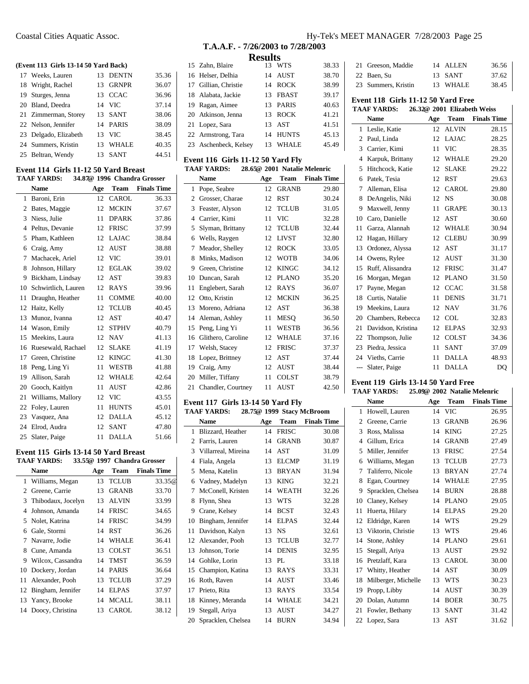#### **(Event 113 Girls 13-14 50 Yard Back)**

| 17 Weeks, Lauren      |    | 13 DENTN     | 35.36 |
|-----------------------|----|--------------|-------|
| 18 Wright, Rachel     | 13 | <b>GRNPR</b> | 36.07 |
| 19 Sturges, Jenna     |    | 13 CCAC      | 36.96 |
| 20 Bland, Deedra      |    | 14 VIC       | 37.14 |
| 21 Zimmerman, Storey  |    | 13 SANT      | 38.06 |
| 22 Nelson, Jennifer   |    | 14 PARIS     | 38.09 |
| 23 Delgado, Elizabeth | 13 | <b>VIC</b>   | 38.45 |
| 24 Summers, Kristin   |    | 13 WHALE     | 40.35 |
| 25 Beltran, Wendy     | 13 | SANT         | 44.51 |

#### **Event 114 Girls 11-12 50 Yard Breast TAAF YARDS: 34.87@ 1996 Chandra Grosser**

|    | <b>Name</b>           | Age             | Team         | <b>Finals Time</b> |
|----|-----------------------|-----------------|--------------|--------------------|
| 1  | Baroni, Erin          | 12              | <b>CAROL</b> | 36.33              |
| 2  | Bates, Maggie         | 12              | <b>MCKIN</b> | 37.67              |
| 3  | Niess, Julie          | 11              | <b>DPARK</b> | 37.86              |
| 4  | Peltus, Devanie       | 12              | <b>FRISC</b> | 37.99              |
| 5  | Pham, Kathleen        | 12              | <b>LAJAC</b> | 38.84              |
| 6  | Craig, Amy            | 12 <sup>2</sup> | <b>AUST</b>  | 38.88              |
| 7  | Machacek, Ariel       | 12              | <b>VIC</b>   | 39.01              |
| 8  | Johnson, Hillary      | 12              | <b>EGLAK</b> | 39.02              |
| 9  | Bickham, Lindsay      | 12              | AST          | 39.83              |
| 10 | Schwirtlich, Lauren   | 12              | RAYS         | 39.96              |
| 11 | Draughn, Heather      | 11              | <b>COMME</b> | 40.00              |
| 12 | Haitz, Kelly          | 12              | <b>TCLUB</b> | 40.45              |
| 13 | Munoz, Ivanna         | 12              | <b>AST</b>   | 40.47              |
| 14 | Wason, Emily          | 12              | <b>STPHV</b> | 40.79              |
| 15 | Meekins, Laura        | 12              | <b>NAV</b>   | 41.13              |
|    | 16 Ruesewald, Rachael | 12              | <b>SLAKE</b> | 41.19              |
| 17 | Green, Christine      | 12              | <b>KINGC</b> | 41.30              |
| 18 | Peng, Ling Yi         | 11              | WESTB        | 41.88              |
| 19 | Allison, Sarah        | 12              | <b>WHALE</b> | 42.64              |
| 20 | Gooch, Kaitlyn        | 11              | AUST         | 42.86              |
| 21 | Williams, Mallory     | 12              | <b>VIC</b>   | 43.55              |
| 22 | Foley, Lauren         | 11              | <b>HUNTS</b> | 45.01              |
|    | 23 Vasquez, Ana       | 12              | <b>DALLA</b> | 45.12              |
|    | 24 Elrod, Audra       | 12              | SANT         | 47.80              |
| 25 | Slater, Paige         | 11              | <b>DALLA</b> | 51.66              |

# **Event 115 Girls 13-14 50 Yard Breast**

Ĭ.

# **TAAF YARDS: 33.55@ 1997 Chandra Grosser**

|    | Name               | Age | Team         | <b>Finals Time</b> |
|----|--------------------|-----|--------------|--------------------|
|    | 1 Williams, Megan  | 13  | <b>TCLUB</b> | 33.35@             |
| 2  | Greene, Carrie     | 13  | <b>GRANB</b> | 33.70              |
| 3  | Thibodaux, Jocelyn | 13  | <b>ALVIN</b> | 33.99              |
| 4  | Johnson, Amanda    | 14  | <b>FRISC</b> | 34.65              |
|    | 5 Nolet, Katrina   | 14  | <b>FRISC</b> | 34.99              |
| 6  | Gale, Stormi       | 14  | <b>RST</b>   | 36.26              |
|    | 7 Navarre, Jodie   | 14  | <b>WHALE</b> | 36.41              |
| 8  | Cune, Amanda       | 13  | <b>COLST</b> | 36.51              |
| 9  | Wilcox, Cassandra  | 14  | TMST         | 36.59              |
| 10 | Dockery, Jordan    | 14  | <b>PARIS</b> | 36.64              |
| 11 | Alexander, Pooh    | 13  | <b>TCLUB</b> | 37.29              |
| 12 | Bingham, Jennifer  | 14  | <b>ELPAS</b> | 37.97              |
|    | 13 Yancy, Brooke   | 14  | <b>MCALL</b> | 38.11              |
| 14 | Doocy, Christina   | 13  | CAROL.       | 38.12              |
|    |                    |     |              |                    |

# **T.A.A.F. - 7/26/2003 to 7/28/2003 Results**

| 15 Zahn, Blaire       | 13 WTS   | 38.33 |
|-----------------------|----------|-------|
| 16 Helser, Delhia     | 14 AUST  | 38.70 |
| 17 Gillian, Christie  | 14 ROCK  | 38.99 |
| 18 Alabata, Jackie    | 13 FBAST | 39.17 |
| 19 Ragan, Aimee       | 13 PARIS | 40.63 |
| 20 Atkinson, Jenna    | 13 ROCK  | 41.21 |
| 21 Lopez, Sara        | 13 AST   | 41.51 |
| 22 Armstrong, Tara    | 14 HUNTS | 45.13 |
| 23 Aschenbeck, Kelsey | 13 WHALE | 45.49 |

#### **Event 116 Girls 11-12 50 Yard Fly TAAF YARDS: 28.65@ 2001 Natalie Melenric**

| THE TIMPS.<br>$20.000 \pm 1001$ radium intentified |                       |     |              |                    |
|----------------------------------------------------|-----------------------|-----|--------------|--------------------|
|                                                    | <b>Name</b>           | Age | Team         | <b>Finals Time</b> |
| 1                                                  | Pope, Seabre          | 12  | <b>GRANB</b> | 29.80              |
| $\overline{2}$                                     | Grosser, Charae       | 12  | <b>RST</b>   | 30.24              |
| 3                                                  | Feaster, Alyson       | 12  | <b>TCLUB</b> | 31.05              |
| 4                                                  | Carrier, Kimi         | 11  | VIC          | 32.28              |
| 5                                                  | Slyman, Brittany      | 12  | <b>TCLUB</b> | 32.44              |
|                                                    | 6 Wells, Raygen       | 12  | <b>LIVST</b> | 32.80              |
| 7                                                  | Meador, Shelley       | 12  | ROCK         | 33.05              |
| 8                                                  | Minks, Madison        | 12  | <b>WOTB</b>  | 34.06              |
| 9                                                  | Green, Christine      | 12  | <b>KINGC</b> | 34.12              |
| 10                                                 | Duncan, Sarah         | 12  | <b>PLANO</b> | 35.20              |
| 11                                                 | Englebert, Sarah      | 12  | <b>RAYS</b>  | 36.07              |
| 12                                                 | Otto, Kristin         | 12  | <b>MCKIN</b> | 36.25              |
| 13                                                 | Moreno, Adriana       | 12  | AST          | 36.38              |
| 14                                                 | Aleman, Ashley        | 11  | <b>MESO</b>  | 36.50              |
| 15                                                 | Peng, Ling Yi         | 11  | <b>WESTB</b> | 36.56              |
|                                                    | 16 Glithero, Caroline | 12  | <b>WHALE</b> | 37.16              |
|                                                    | 17 Welsh, Stacey      | 12  | <b>FRISC</b> | 37.37              |
|                                                    | 18 Lopez, Brittney    | 12  | AST          | 37.44              |
|                                                    | 19 Craig, Amy         | 12  | <b>AUST</b>  | 38.44              |
|                                                    | 20 Miller, Tiffany    | 11  | <b>COLST</b> | 38.79              |
|                                                    | 21 Chandler, Courtney | 11  | <b>AUST</b>  | 42.50              |

#### **Event 117 Girls 13-14 50 Yard Fly**<br>TAAE VARDS: 28.75% 1909 Street McD **TAAF YARDS: 28.75@ 1999 Stacy McBroom**

e la

|                | AAF YAKDS:<br>28.75@ 1999 Stacy McBroom |     |              |                    |  |  |
|----------------|-----------------------------------------|-----|--------------|--------------------|--|--|
|                | <b>Name</b>                             | Age | Team         | <b>Finals Time</b> |  |  |
| 1              | Blizzard, Heather                       | 14  | <b>FRISC</b> | 30.08              |  |  |
| 2              | Farris, Lauren                          | 14  | <b>GRANB</b> | 30.87              |  |  |
| 3              | Villarreal, Mireina                     | 14  | AST          | 31.09              |  |  |
| $\overline{4}$ | Fiala, Angela                           | 13  | <b>ELCMP</b> | 31.19              |  |  |
| 5              | Mena, Katelin                           | 13  | <b>BRYAN</b> | 31.94              |  |  |
| 6              | Vadney, Madelyn                         | 13  | <b>KING</b>  | 32.21              |  |  |
| 7              | McConell, Kristen                       | 14  | <b>WEATH</b> | 32.26              |  |  |
| 8              | Flynn, Shea                             | 13  | <b>WTS</b>   | 32.28              |  |  |
| 9              | Crane, Kelsey                           | 14  | <b>BCST</b>  | 32.43              |  |  |
| 10             | Bingham, Jennifer                       | 14  | <b>ELPAS</b> | 32.44              |  |  |
| 11             | Davidson, Kalyn                         | 13  | NS           | 32.61              |  |  |
| 12             | Alexander, Pooh                         | 13  | <b>TCLUB</b> | 32.77              |  |  |
| 13             | Johnson, Torie                          | 14  | <b>DENIS</b> | 32.95              |  |  |
| 14             | Gohlke, Lorin                           | 13  | PL           | 33.18              |  |  |
| 15             | Champion, Katina                        | 13  | <b>RAYS</b>  | 33.31              |  |  |
| 16             | Roth, Raven                             | 14  | AUST         | 33.46              |  |  |
| 17             | Prieto, Rita                            | 13  | <b>RAYS</b>  | 33.54              |  |  |
| 18             | Kinney, Meranda                         | 14  | <b>WHALE</b> | 34.21              |  |  |
| 19             | Stegall, Ariya                          | 13  | <b>AUST</b>  | 34.27              |  |  |
| 20             | Spracklen, Chelsea                      | 14  | <b>BURN</b>  | 34.94              |  |  |
|                |                                         |     |              |                    |  |  |

### Coastal Cities Aquatic Assoc. Hy-Tek's MEET MANAGER 7/28/2003 Page 25

| 21 Greeson, Maddie<br>14 ALLEN<br>13 SANT<br>22 Baen, Su | 38.45<br>23 Summers, Kristin<br>13 WHALE<br>Event 118 Girls 11-12 50 Yard Free |  |  |  |       |  |
|----------------------------------------------------------|--------------------------------------------------------------------------------|--|--|--|-------|--|
|                                                          |                                                                                |  |  |  |       |  |
|                                                          |                                                                                |  |  |  | 37.62 |  |
|                                                          |                                                                                |  |  |  | 36.56 |  |

# **TAAF YARDS: 26.32@ 2001 Elizabeth Weiss**

|     | <b>Name</b>        | Age | Team         | <b>Finals Time</b> |
|-----|--------------------|-----|--------------|--------------------|
| 1   | Leslie, Katie      | 12  | <b>ALVIN</b> | 28.15              |
| 2   | Paul, Linda        | 12  | <b>LAJAC</b> | 28.25              |
| 3   | Carrier, Kimi      | 11  | <b>VIC</b>   | 28.35              |
| 4   | Karpuk, Brittany   | 12  | <b>WHALE</b> | 29.20              |
| 5   | Hitchcock, Katie   | 12  | <b>SLAKE</b> | 29.22              |
| 6   | Patek, Tesia       | 12  | <b>RST</b>   | 29.63              |
| 7   | Alleman, Elisa     | 12  | <b>CAROL</b> | 29.80              |
| 8   | DeAngelis, Niki    | 12  | <b>NS</b>    | 30.08              |
| 9   | Maxwell, Jenny     | 11  | <b>GRAPE</b> | 30.13              |
| 10  | Caro, Danielle     | 12  | AST          | 30.60              |
| 11  | Garza, Alannah     | 12  | <b>WHALE</b> | 30.94              |
| 12  | Hagan, Hillary     | 12  | <b>CLEBU</b> | 30.99              |
| 13  | Ordonez, Alyssa    | 12  | AST          | 31.17              |
| 14  | Owens, Rylee       | 12  | AUST         | 31.30              |
| 15  | Ruff, Alissandra   | 12  | <b>FRISC</b> | 31.47              |
| 16  | Morgan, Megan      | 12  | <b>PLANO</b> | 31.50              |
| 17  | Payne, Megan       | 12  | <b>CCAC</b>  | 31.58              |
| 18  | Curtis, Natalie    | 11  | <b>DENIS</b> | 31.71              |
| 19  | Meekins, Laura     | 12  | <b>NAV</b>   | 31.76              |
| 20  | Chambers, Rebecca  | 12  | <b>COL</b>   | 32.83              |
| 21  | Davidson, Kristina | 12  | <b>ELPAS</b> | 32.93              |
| 22  | Thompson, Julie    | 12  | <b>COLST</b> | 34.36              |
| 23  | Piedra, Jessica    | 11  | <b>SANT</b>  | 37.09              |
| 24  | Vieths, Carrie     | 11  | DALLA        | 48.93              |
| --- | Slater, Paige      | 11  | DALLA        | DQ                 |

#### **Event 119 Girls 13-14 50 Yard Free**

#### **TAAF YARDS: 25.09@ 2002 Natalie Melenric**

|    | <b>Name</b>         | Age | Team         | <b>Finals Time</b> |
|----|---------------------|-----|--------------|--------------------|
| 1  | Howell, Lauren      | 14  | VIC          | 26.95              |
| 2  | Greene, Carrie      | 13  | <b>GRANB</b> | 26.96              |
| 3  | Ross, Malissa       | 14  | <b>KING</b>  | 27.25              |
| 4  | Gillum, Erica       | 14  | <b>GRANB</b> | 27.49              |
| 5  | Miller, Jennifer    | 13  | <b>FRISC</b> | 27.54              |
| 6  | Williams, Megan     | 13  | <b>TCLUB</b> | 27.73              |
| 7  | Taliferro, Nicole   | 13  | <b>BRYAN</b> | 27.74              |
| 8  | Egan, Courtney      | 14  | WHALE        | 27.95              |
| 9  | Spracklen, Chelsea  | 14  | <b>BURN</b>  | 28.88              |
| 10 | Claney, Kelsey      | 14  | <b>PLANO</b> | 29.05              |
| 11 | Huerta, Hilary      | 14  | <b>ELPAS</b> | 29.20              |
| 12 | Eldridge, Karen     | 14  | <b>WTS</b>   | 29.29              |
| 13 | Viktorin, Christie  | 13  | <b>WTS</b>   | 29.46              |
| 14 | Stone, Ashley       | 14  | <b>PLANO</b> | 29.61              |
| 15 | Stegall, Ariya      | 13  | <b>AUST</b>  | 29.92              |
| 16 | Pretzlaff, Kara     | 13  | <b>CAROL</b> | 30.00              |
| 17 | Whitty, Heather     | 14  | AST          | 30.09              |
| 18 | Milberger, Michelle | 13  | WTS          | 30.23              |
| 19 | Propp, Libby        | 14  | AUST         | 30.39              |
| 20 | Dolan, Autumn       | 14  | <b>BOER</b>  | 30.75              |
| 21 | Fowler, Bethany     | 13  | <b>SANT</b>  | 31.42              |
| 22 | Lopez, Sara         | 13  | <b>AST</b>   | 31.62              |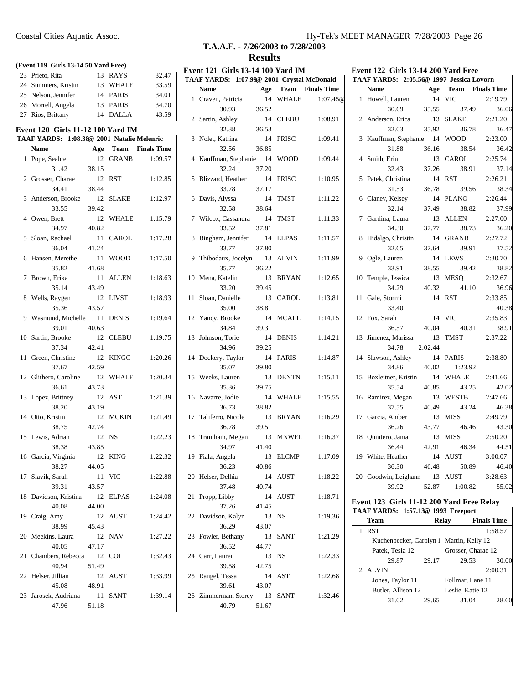#### **(Event 119 Girls 13-14 50 Yard Free)**

| 23 Prieto, Rita     | 13 RAYS  | 32.47 |
|---------------------|----------|-------|
| 24 Summers, Kristin | 13 WHALE | 33.59 |
| 25 Nelson, Jennifer | 14 PARIS | 34.01 |
| 26 Morrell, Angela  | 13 PARIS | 34.70 |
| 27 Rios, Brittany   | 14 DALLA | 43.59 |

#### **Event 120 Girls 11-12 100 Yard IM**

### **TAAF YARDS: 1:08.38@ 2001 Natalie Melenric Name Age Team Finals Time** 1 Pope, Seabre 12 GRANB 1:09.57 31.42 38.15 2 Grosser, Charae 12 RST 1:12.85 34.41 38.44 3 Anderson, Brooke 12 SLAKE 1:12.97 33.55 39.42 4 Owen, Brett 12 WHALE 1:15.79 34.97 40.82 5 Sloan, Rachael 11 CAROL 1:17.28 36.04 41.24 6 Hansen, Merethe 11 WOOD 1:17.50 35.82 41.68 7 Brown, Erika 11 ALLEN 1:18.63 35.14 43.49 8 Wells, Raygen 12 LIVST 1:18.93 35.36 43.57 9 Wasmund, Michelle 11 DENIS 1:19.64 39.01 40.63 10 Sartin, Brooke 12 CLEBU 1:19.75 37.34 42.41 11 Green, Christine 12 KINGC 1:20.26 37.67 42.59 12 Glithero, Caroline 12 WHALE 1:20.34 36.61 43.73 13 Lopez, Brittney 12 AST 1:21.39 38.20 43.19 14 Otto, Kristin 12 MCKIN 1:21.49 38.75 42.74 15 Lewis, Adrian 12 NS 1:22.23 38.38 43.85 16 Garcia, Virginia 12 KING 1:22.32 38.27 44.05 17 Slavik, Sarah 11 VIC 1:22.88 39.31 43.57 18 Davidson, Kristina 12 ELPAS 1:24.08 40.08 44.00 19 Craig, Amy 12 AUST 1:24.42 38.99 45.43 20 Meekins, Laura 12 NAV 1:27.22 40.05 47.17 21 Chambers, Rebecca 12 COL 1:32.43 40.94 51.49 22 Helser, Jillian 12 AUST 1:33.99 45.08 48.91 23 Jarosek, Audriana 11 SANT 1:39.14 47.96 51.18

# **T.A.A.F. - 7/26/2003 to 7/28/2003 Results**

#### **Event 121 Girls 13-14 100 Yard IM TAAF YARDS: 1:07.99@ 2001 Crystal McDonald Name Age Team Finals Time**

| 1  | Craven, Patricia           | 14          | <b>WHALE</b> | 1:07.45@ |
|----|----------------------------|-------------|--------------|----------|
|    | 30.93                      | 36.52       |              |          |
| 2  | Sartin, Ashley             | 14          | <b>CLEBU</b> | 1:08.91  |
|    | 32.38                      | 36.53       |              |          |
| 3  | Nolet, Katrina             | 14          | <b>FRISC</b> | 1:09.41  |
|    | 32.56                      | 36.85       |              |          |
| 4  | Kauffman, Stephanie 14     |             | <b>WOOD</b>  | 1:09.44  |
|    | 32.24                      | 37.20       |              | 1:10.95  |
| 5  | Blizzard, Heather<br>33.78 | 14<br>37.17 | <b>FRISC</b> |          |
|    |                            | -14         |              | 1:11.22  |
| 6  | Davis, Alyssa<br>32.58     | 38.64       | TMST         |          |
| 7  | Wilcox, Cassandra          | 14          | TMST         | 1:11.33  |
|    | 33.52                      | 37.81       |              |          |
| 8  | Bingham, Jennifer 14       |             | <b>ELPAS</b> | 1:11.57  |
|    | 33.77                      | 37.80       |              |          |
| 9  | Thibodaux, Jocelyn         | 13          | <b>ALVIN</b> | 1:11.99  |
|    | 35.77                      | 36.22       |              |          |
| 10 | Mena, Katelin              | 13          | <b>BRYAN</b> | 1:12.65  |
|    | 33.20                      | 39.45       |              |          |
| 11 | Sloan, Danielle            | 13          | <b>CAROL</b> | 1:13.81  |
|    | 35.00                      | 38.81       |              |          |
| 12 | Yancy, Brooke              | 14          | <b>MCALL</b> | 1:14.15  |
|    | 34.84                      | 39.31       |              |          |
| 13 | Johnson, Torie             | 14          | <b>DENIS</b> | 1:14.21  |
|    | 34.96                      | 39.25       |              |          |
| 14 | Dockery, Taylor            | 14          | PARIS        | 1:14.87  |
|    | 35.07                      | 39.80       |              |          |
| 15 | Weeks, Lauren              | 13          | <b>DENTN</b> | 1:15.11  |
|    | 35.36                      | 39.75       |              |          |
| 16 | Navarre, Jodie             | 14          | <b>WHALE</b> | 1:15.55  |
|    | 36.73                      | 38.82       |              |          |
| 17 | Taliferro, Nicole          | 13          | <b>BRYAN</b> | 1:16.29  |
|    | 36.78                      | 39.51       |              |          |
| 18 | Trainham, Megan            | 13          | MNWEL        | 1:16.37  |
|    | 34.97                      | 41.40       |              |          |
| 19 | Fiala, Angela<br>36.23     | 13<br>40.86 | <b>ELCMP</b> | 1:17.09  |
|    | Helser, Delhia             |             |              |          |
| 20 | 37.48                      | 14<br>40.74 | <b>AUST</b>  | 1:18.22  |
| 21 | Propp, Libby               | 14          | AUST         | 1:18.71  |
|    | 37.26                      | 41.45       |              |          |
| 22 | Davidson, Kalyn            | 13          | NS           | 1:19.36  |
|    | 36.29                      | 43.07       |              |          |
| 23 | Fowler, Bethany            | 13          | SANT         | 1:21.29  |
|    | 36.52                      | 44.77       |              |          |
|    | 24 Carr, Lauren            | 13          | NS           | 1:22.33  |
|    | 39.58                      | 42.75       |              |          |
|    | 25 Rangel, Tessa           | 14          | AST          | 1:22.68  |
|    | 39.61                      | 43.07       |              |          |
|    | 26 Zimmerman, Storey 13    |             | SANT         | 1:32.46  |
|    | 40.79                      | 51.67       |              |          |
|    |                            |             |              |          |

| Event 122 Girls 13-14 200 Yard Free      |  |  |  |
|------------------------------------------|--|--|--|
| TAAF YARDS: 2:05.56@ 1997 Jessica Lovorn |  |  |  |

|    | <b>Name</b>                  | Age     |              | <b>Team</b> Finals Time |
|----|------------------------------|---------|--------------|-------------------------|
| 1  | Howell, Lauren               | 14      | VIC          | 2:19.79                 |
|    | 30.69                        | 35.55   | 37.49        | 36.06                   |
|    | 2 Anderson, Erica            | 13      | <b>SLAKE</b> | 2:21.20                 |
|    | 32.03                        | 35.92   | 36.78        | 36.47                   |
|    | 3 Kauffman, Stephanie 14     |         | <b>WOOD</b>  | 2:23.00                 |
|    | 31.88                        | 36.16   | 38.54        | 36.42                   |
|    | 4 Smith, Erin                | 13      | <b>CAROL</b> | 2:25.74                 |
|    | 32.43                        | 37.26   | 38.91        | 37.14                   |
| 5  | Patek, Christina             | 14      | <b>RST</b>   | 2:26.21                 |
|    | 31.53                        | 36.78   | 39.56        | 38.34                   |
|    | 6 Claney, Kelsey             | 14      | <b>PLANO</b> | 2:26.44                 |
|    | 32.14                        | 37.49   | 38.82        | 37.99                   |
|    | 7 Gardina, Laura             | 13      | <b>ALLEN</b> | 2:27.00                 |
|    | 34.30                        | 37.77   | 38.73        | 36.20                   |
| 8  | Hidalgo, Christin            | 14      | <b>GRANB</b> | 2:27.72                 |
|    | 32.65                        | 37.64   | 39.91        | 37.52                   |
| 9  | Ogle, Lauren                 | 14      | <b>LEWS</b>  | 2:30.70                 |
|    | 33.91                        | 38.55   | 39.42        | 38.82                   |
| 10 | Temple, Jessica              | 13      | MESQ         | 2:32.67                 |
|    | 34.29                        | 40.32   | 41.10        | 36.96                   |
| 11 | Gale, Stormi                 | 14      | <b>RST</b>   | 2:33.85                 |
|    | 33.40                        |         |              | 40.38                   |
| 12 | Fox, Sarah                   | 14      | <b>VIC</b>   | 2:35.83                 |
|    | 36.57                        | 40.04   | 40.31        | 38.91                   |
|    | 13 Jimenez, Marissa          | 13      | <b>TMST</b>  | 2:37.22                 |
|    | 34.78                        | 2:02.44 |              |                         |
|    | 14 Slawson, Ashley           | 14      | <b>PARIS</b> | 2:38.80                 |
|    | 34.86                        | 40.02   | 1:23.92      |                         |
|    | 15 Boxleitner, Kristin       | 14      | <b>WHALE</b> | 2:41.66                 |
|    | 35.54                        | 40.85   | 43.25        | 42.02                   |
| 16 | Ramirez, Megan               | 13      | <b>WESTB</b> | 2:47.66                 |
|    | 37.55                        | 40.49   | 43.24        | 46.38                   |
| 17 | Garcia, Amber                | 13      | <b>MISS</b>  | 2:49.79                 |
|    | 36.26                        | 43.77   | 46.46        | 43.30                   |
| 18 | Qunitero, Jania              | 13      | <b>MISS</b>  | 2:50.20                 |
|    | 36.44                        | 42.91   | 46.34        | 44.51                   |
|    | 19 White, Heather            | 14      | <b>AUST</b>  | 3:00.07                 |
|    | 36.30                        | 46.48   | 50.89        | 46.40                   |
|    | 20 Goodwin, Leighann 13 AUST |         |              | 3:28.63                 |
|    | 39.92                        | 52.87   | 1:00.82      | 55.02                   |

#### **Event 123 Girls 11-12 200 Yard Free Relay TAAF YARDS: 1:57.13@ 1993 Freeport**

| Team               | Relay |                                          | <b>Finals Time</b> |
|--------------------|-------|------------------------------------------|--------------------|
| <b>RST</b>         |       |                                          | 1:58.57            |
|                    |       | Kuchenbecker, Carolyn 1 Martin, Kelly 12 |                    |
| Patek, Tesia 12    |       | Grosser, Charae 12                       |                    |
| 29.87              | 29.17 | 29.53                                    | 30.00              |
| 2 ALVIN            |       |                                          | 2:00.31            |
| Jones, Taylor 11   |       | Follmar, Lane 11                         |                    |
| Butler, Allison 12 |       | Leslie, Katie 12                         |                    |
| 31.02              | 29.65 | 31.04                                    |                    |